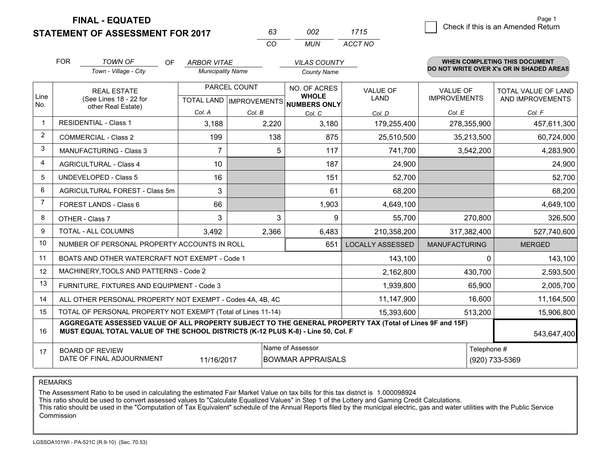**FINAL - EQUATED**

# **STATEMENT OF ASSESSMENT FOR 2017**

| 63  | nn2 | 1715    |
|-----|-----|---------|
| CO. | MUN | ACCT NO |

|                | <b>FOR</b>                                                                                                                                                                                                  | <b>TOWN OF</b><br><b>OF</b><br>Town - Village - City                                               | <b>ARBOR VITAE</b><br><b>Municipality Name</b> |              | <b>VILAS COUNTY</b><br><b>County Name</b> |                         |                      | <b>WHEN COMPLETING THIS DOCUMENT</b><br>DO NOT WRITE OVER X's OR IN SHADED AREAS |  |  |
|----------------|-------------------------------------------------------------------------------------------------------------------------------------------------------------------------------------------------------------|----------------------------------------------------------------------------------------------------|------------------------------------------------|--------------|-------------------------------------------|-------------------------|----------------------|----------------------------------------------------------------------------------|--|--|
|                |                                                                                                                                                                                                             | <b>REAL ESTATE</b>                                                                                 |                                                | PARCEL COUNT | NO. OF ACRES<br><b>WHOLE</b>              | <b>VALUE OF</b>         | <b>VALUE OF</b>      | TOTAL VALUE OF LAND                                                              |  |  |
| Line<br>No.    |                                                                                                                                                                                                             | (See Lines 18 - 22 for<br>TOTAL LAND   IMPROVEMENTS  <br><b>NUMBERS ONLY</b><br>other Real Estate) |                                                | <b>LAND</b>  | <b>IMPROVEMENTS</b>                       | AND IMPROVEMENTS        |                      |                                                                                  |  |  |
|                |                                                                                                                                                                                                             | <b>RESIDENTIAL - Class 1</b>                                                                       | Col. A                                         | Col. B       | Col. C                                    | Col. D                  | Col. E               | Col. F                                                                           |  |  |
| $\mathbf 1$    |                                                                                                                                                                                                             |                                                                                                    | 3,188                                          | 2,220        | 3,180                                     | 179,255,400             | 278,355,900          | 457,611,300                                                                      |  |  |
| $\overline{2}$ |                                                                                                                                                                                                             | <b>COMMERCIAL - Class 2</b>                                                                        | 199                                            | 138          | 875                                       | 25,510,500              | 35,213,500           | 60,724,000                                                                       |  |  |
| 3              |                                                                                                                                                                                                             | <b>MANUFACTURING - Class 3</b>                                                                     | $\overline{7}$                                 | 5            | 117                                       | 741,700                 | 3,542,200            | 4,283,900                                                                        |  |  |
| 4              |                                                                                                                                                                                                             | <b>AGRICULTURAL - Class 4</b>                                                                      | 10                                             |              | 187                                       | 24,900                  |                      | 24,900                                                                           |  |  |
| 5              |                                                                                                                                                                                                             | <b>UNDEVELOPED - Class 5</b>                                                                       | 16                                             |              | 151                                       | 52,700                  |                      | 52,700                                                                           |  |  |
| 6              |                                                                                                                                                                                                             | AGRICULTURAL FOREST - Class 5m                                                                     | 3                                              |              | 61                                        | 68,200                  |                      | 68,200                                                                           |  |  |
| 7              | FOREST LANDS - Class 6                                                                                                                                                                                      |                                                                                                    | 66                                             |              | 1,903                                     | 4,649,100               |                      | 4,649,100                                                                        |  |  |
| 8              |                                                                                                                                                                                                             | OTHER - Class 7                                                                                    | 3                                              | 3            | 9                                         | 55,700                  | 270,800              | 326,500                                                                          |  |  |
| 9              |                                                                                                                                                                                                             | TOTAL - ALL COLUMNS                                                                                | 3,492                                          | 2,366        | 6,483                                     | 210,358,200             | 317,382,400          | 527,740,600                                                                      |  |  |
| 10             |                                                                                                                                                                                                             | NUMBER OF PERSONAL PROPERTY ACCOUNTS IN ROLL                                                       |                                                |              | 651                                       | <b>LOCALLY ASSESSED</b> | <b>MANUFACTURING</b> | <b>MERGED</b>                                                                    |  |  |
| 11             |                                                                                                                                                                                                             | BOATS AND OTHER WATERCRAFT NOT EXEMPT - Code 1                                                     |                                                |              |                                           | 143,100                 | $\Omega$             | 143,100                                                                          |  |  |
| 12             |                                                                                                                                                                                                             | MACHINERY, TOOLS AND PATTERNS - Code 2                                                             |                                                |              |                                           | 2,162,800               | 430,700              | 2,593,500                                                                        |  |  |
| 13             |                                                                                                                                                                                                             | FURNITURE, FIXTURES AND EQUIPMENT - Code 3                                                         |                                                |              |                                           | 1,939,800               | 65,900               | 2,005,700                                                                        |  |  |
| 14             |                                                                                                                                                                                                             | ALL OTHER PERSONAL PROPERTY NOT EXEMPT - Codes 4A, 4B, 4C                                          |                                                |              |                                           | 11,147,900              | 16,600               | 11,164,500                                                                       |  |  |
| 15             |                                                                                                                                                                                                             | TOTAL OF PERSONAL PROPERTY NOT EXEMPT (Total of Lines 11-14)                                       |                                                |              |                                           | 15,393,600              | 513,200              | 15,906,800                                                                       |  |  |
| 16             | AGGREGATE ASSESSED VALUE OF ALL PROPERTY SUBJECT TO THE GENERAL PROPERTY TAX (Total of Lines 9F and 15F)<br>MUST EQUAL TOTAL VALUE OF THE SCHOOL DISTRICTS (K-12 PLUS K-8) - Line 50, Col. F<br>543,647,400 |                                                                                                    |                                                |              |                                           |                         |                      |                                                                                  |  |  |
| 17             | Name of Assessor<br><b>BOARD OF REVIEW</b><br>DATE OF FINAL ADJOURNMENT<br>11/16/2017<br><b>BOWMAR APPRAISALS</b>                                                                                           |                                                                                                    |                                                |              |                                           |                         | Telephone #          | (920) 733-5369                                                                   |  |  |

REMARKS

The Assessment Ratio to be used in calculating the estimated Fair Market Value on tax bills for this tax district is 1.000098924

This ratio should be used to convert assessed values to "Calculate Equalized Values" in Step 1 of the Lottery and Gaming Credit Calculations.<br>This ratio should be used in the "Computation of Tax Equivalent" schedule of the Commission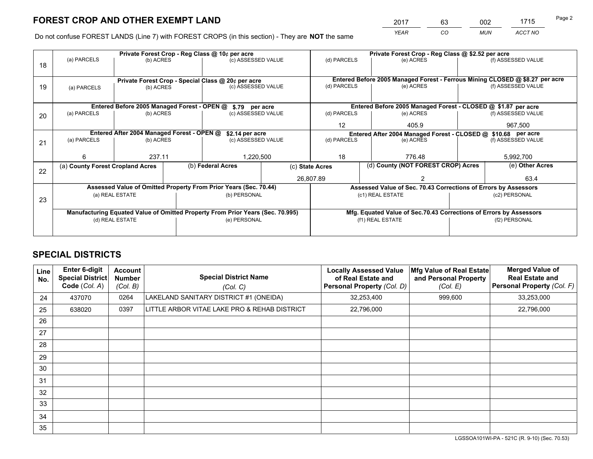*YEAR CO MUN ACCT NO* <sup>2017</sup> <sup>63</sup> <sup>002</sup> <sup>1715</sup> Page 2

Do not confuse FOREST LANDS (Line 7) with FOREST CROPS (in this section) - They are **NOT** the same

|    |                                            |                                             |  | Private Forest Crop - Reg Class @ 10¢ per acre                                 |                                                               |                                                                              |                  |                                                                 | Private Forest Crop - Reg Class @ \$2.52 per acre |                                                                    |  |  |
|----|--------------------------------------------|---------------------------------------------|--|--------------------------------------------------------------------------------|---------------------------------------------------------------|------------------------------------------------------------------------------|------------------|-----------------------------------------------------------------|---------------------------------------------------|--------------------------------------------------------------------|--|--|
| 18 | (a) PARCELS                                | (b) ACRES                                   |  | (c) ASSESSED VALUE                                                             |                                                               | (d) PARCELS                                                                  |                  | (e) ACRES                                                       |                                                   | (f) ASSESSED VALUE                                                 |  |  |
|    |                                            |                                             |  |                                                                                |                                                               |                                                                              |                  |                                                                 |                                                   |                                                                    |  |  |
|    |                                            |                                             |  | Private Forest Crop - Special Class @ 20¢ per acre                             |                                                               | Entered Before 2005 Managed Forest - Ferrous Mining CLOSED @ \$8.27 per acre |                  |                                                                 |                                                   |                                                                    |  |  |
| 19 | (a) PARCELS                                | (b) ACRES                                   |  | (c) ASSESSED VALUE                                                             |                                                               | (d) PARCELS                                                                  |                  | (e) ACRES                                                       |                                                   | (f) ASSESSED VALUE                                                 |  |  |
|    |                                            |                                             |  |                                                                                |                                                               |                                                                              |                  |                                                                 |                                                   |                                                                    |  |  |
|    |                                            | Entered Before 2005 Managed Forest - OPEN @ |  | \$.79 per acre                                                                 |                                                               |                                                                              |                  | Entered Before 2005 Managed Forest - CLOSED @ \$1.87 per acre   |                                                   |                                                                    |  |  |
| 20 | (a) PARCELS                                | (b) ACRES                                   |  | (c) ASSESSED VALUE                                                             |                                                               | (d) PARCELS                                                                  |                  | (e) ACRES                                                       |                                                   | (f) ASSESSED VALUE                                                 |  |  |
|    |                                            |                                             |  |                                                                                |                                                               | $12 \overline{ }$                                                            |                  | 405.9                                                           |                                                   | 967,500                                                            |  |  |
|    | Entered After 2004 Managed Forest - OPEN @ | \$2.14 per acre                             |  |                                                                                | Entered After 2004 Managed Forest - CLOSED @ \$10.68 per acre |                                                                              |                  |                                                                 |                                                   |                                                                    |  |  |
| 21 | (a) PARCELS                                | (b) ACRES                                   |  | (c) ASSESSED VALUE                                                             | (d) PARCELS                                                   |                                                                              |                  | (e) ACRES                                                       |                                                   | (f) ASSESSED VALUE                                                 |  |  |
|    |                                            |                                             |  |                                                                                |                                                               |                                                                              |                  |                                                                 |                                                   |                                                                    |  |  |
|    | 6                                          | 237.11                                      |  | .220,500                                                                       |                                                               | 18                                                                           |                  | 776.48                                                          |                                                   | 5,992,700                                                          |  |  |
| 22 | (a) County Forest Cropland Acres           |                                             |  | (b) Federal Acres                                                              |                                                               | (d) County (NOT FOREST CROP) Acres<br>(c) State Acres                        |                  |                                                                 |                                                   | (e) Other Acres                                                    |  |  |
|    |                                            |                                             |  |                                                                                |                                                               | 26,807.89                                                                    |                  |                                                                 |                                                   | 63.4                                                               |  |  |
|    |                                            |                                             |  | Assessed Value of Omitted Property From Prior Years (Sec. 70.44)               |                                                               |                                                                              |                  | Assessed Value of Sec. 70.43 Corrections of Errors by Assessors |                                                   |                                                                    |  |  |
|    |                                            | (a) REAL ESTATE                             |  | (b) PERSONAL                                                                   |                                                               |                                                                              | (c1) REAL ESTATE |                                                                 |                                                   | (c2) PERSONAL                                                      |  |  |
| 23 |                                            |                                             |  |                                                                                |                                                               |                                                                              |                  |                                                                 |                                                   |                                                                    |  |  |
|    |                                            |                                             |  | Manufacturing Equated Value of Omitted Property From Prior Years (Sec. 70.995) |                                                               |                                                                              |                  |                                                                 |                                                   | Mfg. Equated Value of Sec.70.43 Corrections of Errors by Assessors |  |  |
|    |                                            | (d) REAL ESTATE                             |  | (e) PERSONAL                                                                   |                                                               | (f1) REAL ESTATE                                                             |                  |                                                                 | (f2) PERSONAL                                     |                                                                    |  |  |
|    |                                            |                                             |  |                                                                                |                                                               |                                                                              |                  |                                                                 |                                                   |                                                                    |  |  |

# **SPECIAL DISTRICTS**

| <b>Line</b><br>No. | <b>Enter 6-digit</b><br><b>Special District</b><br>Code (Col. A) | <b>Account</b><br><b>Number</b><br>(Col. B) | <b>Special District Name</b><br>(Col. C)     | <b>Locally Assessed Value</b><br>of Real Estate and<br>Personal Property (Col. D) | Mfg Value of Real Estate<br>and Personal Property<br>(Col. E) | <b>Merged Value of</b><br><b>Real Estate and</b><br>Personal Property (Col. F) |
|--------------------|------------------------------------------------------------------|---------------------------------------------|----------------------------------------------|-----------------------------------------------------------------------------------|---------------------------------------------------------------|--------------------------------------------------------------------------------|
| 24                 | 437070                                                           | 0264                                        | LAKELAND SANITARY DISTRICT #1 (ONEIDA)       | 32,253,400                                                                        | 999,600                                                       | 33,253,000                                                                     |
| 25                 | 638020                                                           | 0397                                        | LITTLE ARBOR VITAE LAKE PRO & REHAB DISTRICT | 22,796,000                                                                        |                                                               | 22,796,000                                                                     |
| 26                 |                                                                  |                                             |                                              |                                                                                   |                                                               |                                                                                |
| 27                 |                                                                  |                                             |                                              |                                                                                   |                                                               |                                                                                |
| 28                 |                                                                  |                                             |                                              |                                                                                   |                                                               |                                                                                |
| 29                 |                                                                  |                                             |                                              |                                                                                   |                                                               |                                                                                |
| 30                 |                                                                  |                                             |                                              |                                                                                   |                                                               |                                                                                |
| 31                 |                                                                  |                                             |                                              |                                                                                   |                                                               |                                                                                |
| 32                 |                                                                  |                                             |                                              |                                                                                   |                                                               |                                                                                |
| 33                 |                                                                  |                                             |                                              |                                                                                   |                                                               |                                                                                |
| 34                 |                                                                  |                                             |                                              |                                                                                   |                                                               |                                                                                |
| 35                 |                                                                  |                                             |                                              |                                                                                   |                                                               |                                                                                |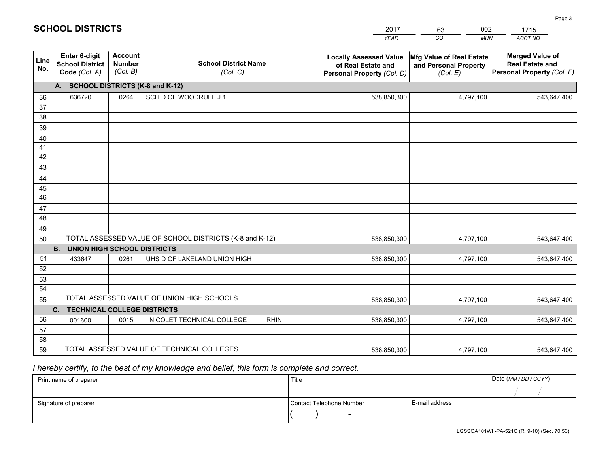|             |                                                          |                                             |                                                         | <b>YEAR</b>                                                                       | CO<br><b>MUN</b>                                              | ACCT NO                                                                        |
|-------------|----------------------------------------------------------|---------------------------------------------|---------------------------------------------------------|-----------------------------------------------------------------------------------|---------------------------------------------------------------|--------------------------------------------------------------------------------|
| Line<br>No. | Enter 6-digit<br><b>School District</b><br>Code (Col. A) | <b>Account</b><br><b>Number</b><br>(Col. B) | <b>School District Name</b><br>(Col. C)                 | <b>Locally Assessed Value</b><br>of Real Estate and<br>Personal Property (Col. D) | Mfg Value of Real Estate<br>and Personal Property<br>(Col. E) | <b>Merged Value of</b><br><b>Real Estate and</b><br>Personal Property (Col. F) |
|             | A. SCHOOL DISTRICTS (K-8 and K-12)                       |                                             |                                                         |                                                                                   |                                                               |                                                                                |
| 36          | 636720                                                   | 0264                                        | SCH D OF WOODRUFF J 1                                   | 538,850,300                                                                       | 4,797,100                                                     | 543,647,400                                                                    |
| 37          |                                                          |                                             |                                                         |                                                                                   |                                                               |                                                                                |
| 38          |                                                          |                                             |                                                         |                                                                                   |                                                               |                                                                                |
| 39          |                                                          |                                             |                                                         |                                                                                   |                                                               |                                                                                |
| 40          |                                                          |                                             |                                                         |                                                                                   |                                                               |                                                                                |
| 41          |                                                          |                                             |                                                         |                                                                                   |                                                               |                                                                                |
| 42          |                                                          |                                             |                                                         |                                                                                   |                                                               |                                                                                |
| 43          |                                                          |                                             |                                                         |                                                                                   |                                                               |                                                                                |
| 44          |                                                          |                                             |                                                         |                                                                                   |                                                               |                                                                                |
| 45<br>46    |                                                          |                                             |                                                         |                                                                                   |                                                               |                                                                                |
| 47          |                                                          |                                             |                                                         |                                                                                   |                                                               |                                                                                |
| 48          |                                                          |                                             |                                                         |                                                                                   |                                                               |                                                                                |
| 49          |                                                          |                                             |                                                         |                                                                                   |                                                               |                                                                                |
| 50          |                                                          |                                             | TOTAL ASSESSED VALUE OF SCHOOL DISTRICTS (K-8 and K-12) | 538,850,300                                                                       | 4,797,100                                                     | 543,647,400                                                                    |
|             | <b>B.</b><br><b>UNION HIGH SCHOOL DISTRICTS</b>          |                                             |                                                         |                                                                                   |                                                               |                                                                                |
| 51          | 433647                                                   | 0261                                        | UHS D OF LAKELAND UNION HIGH                            | 538,850,300                                                                       | 4,797,100                                                     | 543,647,400                                                                    |
| 52          |                                                          |                                             |                                                         |                                                                                   |                                                               |                                                                                |
| 53          |                                                          |                                             |                                                         |                                                                                   |                                                               |                                                                                |
| 54          |                                                          |                                             |                                                         |                                                                                   |                                                               |                                                                                |
| 55          |                                                          |                                             | TOTAL ASSESSED VALUE OF UNION HIGH SCHOOLS              | 538,850,300                                                                       | 4,797,100                                                     | 543,647,400                                                                    |
|             | C.<br><b>TECHNICAL COLLEGE DISTRICTS</b>                 |                                             |                                                         |                                                                                   |                                                               |                                                                                |
| 56          | 001600                                                   | 0015                                        | NICOLET TECHNICAL COLLEGE<br><b>RHIN</b>                | 538,850,300                                                                       | 4,797,100                                                     | 543,647,400                                                                    |
| 57          |                                                          |                                             |                                                         |                                                                                   |                                                               |                                                                                |
| 58          |                                                          |                                             |                                                         |                                                                                   |                                                               |                                                                                |
| 59          |                                                          |                                             | TOTAL ASSESSED VALUE OF TECHNICAL COLLEGES              | 538,850,300                                                                       | 4,797,100                                                     | 543,647,400                                                                    |

2017

63

002

# *I hereby certify, to the best of my knowledge and belief, this form is complete and correct.*

**SCHOOL DISTRICTS**

| Print name of preparer | Title                    | Date (MM / DD / CCYY) |  |
|------------------------|--------------------------|-----------------------|--|
|                        |                          |                       |  |
| Signature of preparer  | Contact Telephone Number | E-mail address        |  |
|                        | $\sim$                   |                       |  |

1715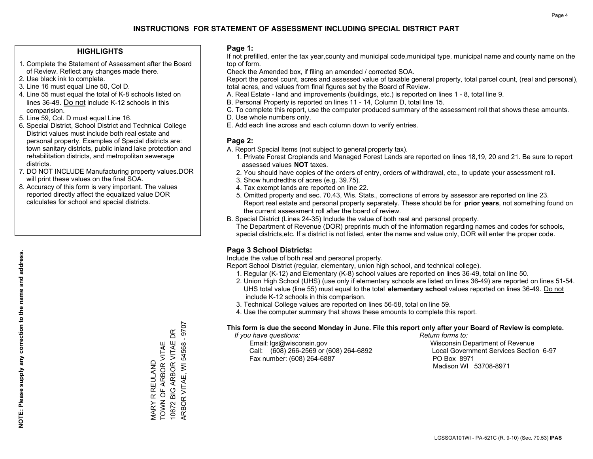## **HIGHLIGHTS**

- 1. Complete the Statement of Assessment after the Board of Review. Reflect any changes made there.
- 2. Use black ink to complete.
- 3. Line 16 must equal Line 50, Col D.
- 4. Line 55 must equal the total of K-8 schools listed on lines 36-49. Do not include K-12 schools in this comparision.
- 5. Line 59, Col. D must equal Line 16.
- 6. Special District, School District and Technical College District values must include both real estate and personal property. Examples of Special districts are: town sanitary districts, public inland lake protection and rehabilitation districts, and metropolitan sewerage districts.
- 7. DO NOT INCLUDE Manufacturing property values.DOR will print these values on the final SOA.
- 8. Accuracy of this form is very important. The values reported directly affect the equalized value DOR calculates for school and special districts.

### **Page 1:**

 If not prefilled, enter the tax year,county and municipal code,municipal type, municipal name and county name on the top of form.

Check the Amended box, if filing an amended / corrected SOA.

 Report the parcel count, acres and assessed value of taxable general property, total parcel count, (real and personal), total acres, and values from final figures set by the Board of Review.

- A. Real Estate land and improvements (buildings, etc.) is reported on lines 1 8, total line 9.
- B. Personal Property is reported on lines 11 14, Column D, total line 15.
- C. To complete this report, use the computer produced summary of the assessment roll that shows these amounts.
- D. Use whole numbers only.
- E. Add each line across and each column down to verify entries.

## **Page 2:**

- A. Report Special Items (not subject to general property tax).
- 1. Private Forest Croplands and Managed Forest Lands are reported on lines 18,19, 20 and 21. Be sure to report assessed values **NOT** taxes.
- 2. You should have copies of the orders of entry, orders of withdrawal, etc., to update your assessment roll.
	- 3. Show hundredths of acres (e.g. 39.75).
- 4. Tax exempt lands are reported on line 22.
- 5. Omitted property and sec. 70.43, Wis. Stats., corrections of errors by assessor are reported on line 23. Report real estate and personal property separately. These should be for **prior years**, not something found on the current assessment roll after the board of review.
- B. Special District (Lines 24-35) Include the value of both real and personal property.
- The Department of Revenue (DOR) preprints much of the information regarding names and codes for schools, special districts,etc. If a district is not listed, enter the name and value only, DOR will enter the proper code.

# **Page 3 School Districts:**

Include the value of both real and personal property.

Report School District (regular, elementary, union high school, and technical college).

- 1. Regular (K-12) and Elementary (K-8) school values are reported on lines 36-49, total on line 50.
- 2. Union High School (UHS) (use only if elementary schools are listed on lines 36-49) are reported on lines 51-54. UHS total value (line 55) must equal to the total **elementary school** values reported on lines 36-49. Do notinclude K-12 schools in this comparison.
- 3. Technical College values are reported on lines 56-58, total on line 59.
- 4. Use the computer summary that shows these amounts to complete this report.

#### **This form is due the second Monday in June. File this report only after your Board of Review is complete.**

 *If you have questions: Return forms to:*

 Email: lgs@wisconsin.gov Wisconsin Department of RevenueCall:  $(608)$  266-2569 or  $(608)$  264-6892 Fax number: (608) 264-6887 PO Box 8971

Local Government Services Section 6-97 Madison WI 53708-8971

 $-9707$ ARBOR VITAE, WI 54568 - 9707 10672 BIG ARBOR VITAE DR 10672 BIG ARBOR VITAE DR VARY R REULAND<br>TOWN OF ARBOR VITAE TOWN OF ARBOR VITAE ARBOR VITAE, WI 54568 MARY R REULAND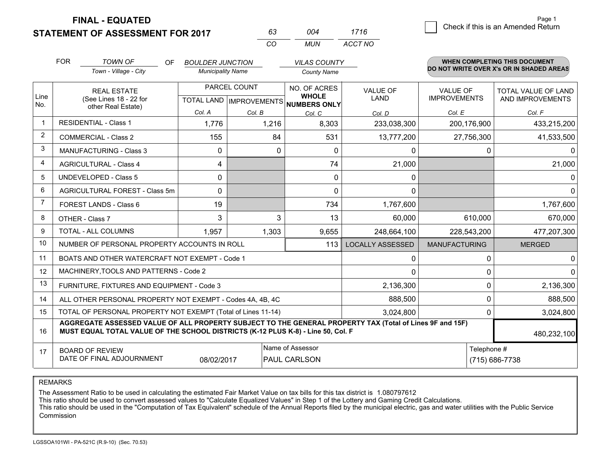**STATEMENT OF ASSESSMENT FOR 2017** 

**FINAL - EQUATED**

|                | <b>FOR</b>                     | <b>TOWN OF</b><br>OF.<br>Town - Village - City                                                                                                                                               | <b>BOULDER JUNCTION</b><br><b>Municipality Name</b> |                                           | <b>VILAS COUNTY</b><br><b>County Name</b>           |                                |                                        | <b>WHEN COMPLETING THIS DOCUMENT</b><br>DO NOT WRITE OVER X's OR IN SHADED AREAS |
|----------------|--------------------------------|----------------------------------------------------------------------------------------------------------------------------------------------------------------------------------------------|-----------------------------------------------------|-------------------------------------------|-----------------------------------------------------|--------------------------------|----------------------------------------|----------------------------------------------------------------------------------|
| Line<br>No.    |                                | <b>REAL ESTATE</b><br>(See Lines 18 - 22 for                                                                                                                                                 |                                                     | PARCEL COUNT<br>TOTAL LAND   IMPROVEMENTS | NO. OF ACRES<br><b>WHOLE</b><br><b>NUMBERS ONLY</b> | <b>VALUE OF</b><br><b>LAND</b> | <b>VALUE OF</b><br><b>IMPROVEMENTS</b> | TOTAL VALUE OF LAND<br>AND IMPROVEMENTS                                          |
|                |                                | other Real Estate)                                                                                                                                                                           | Col. A                                              | Col. B                                    | Col. C                                              | Col. D                         | Col. E                                 | Col. F                                                                           |
|                |                                | <b>RESIDENTIAL - Class 1</b>                                                                                                                                                                 | 1,776                                               | 1,216                                     | 8,303                                               | 233,038,300                    | 200,176,900                            | 433,215,200                                                                      |
| $\overline{2}$ | <b>COMMERCIAL - Class 2</b>    |                                                                                                                                                                                              | 155                                                 | 84                                        | 531                                                 | 13,777,200                     | 27,756,300                             | 41,533,500                                                                       |
| 3              |                                | <b>MANUFACTURING - Class 3</b>                                                                                                                                                               | $\mathbf{0}$                                        | 0                                         | 0                                                   | 0                              |                                        | 0<br>$\Omega$                                                                    |
| 4              |                                | <b>AGRICULTURAL - Class 4</b>                                                                                                                                                                | 4                                                   |                                           | 74                                                  | 21,000                         |                                        | 21,000                                                                           |
| 5              | <b>UNDEVELOPED - Class 5</b>   |                                                                                                                                                                                              | 0                                                   |                                           | 0                                                   | 0                              |                                        | $\mathbf{0}$                                                                     |
| 6              | AGRICULTURAL FOREST - Class 5m |                                                                                                                                                                                              | 0                                                   |                                           | $\Omega$                                            | $\Omega$                       |                                        | $\Omega$                                                                         |
| $\overline{7}$ | FOREST LANDS - Class 6         |                                                                                                                                                                                              | 19                                                  |                                           | 734                                                 | 1,767,600                      |                                        | 1,767,600                                                                        |
| 8              |                                | OTHER - Class 7                                                                                                                                                                              | 3                                                   | 3                                         | 13                                                  | 60,000                         | 610,000                                | 670,000                                                                          |
| 9              |                                | TOTAL - ALL COLUMNS                                                                                                                                                                          | 1,957                                               | 1,303                                     | 9,655                                               | 248,664,100                    | 228,543,200                            | 477,207,300                                                                      |
| 10             |                                | NUMBER OF PERSONAL PROPERTY ACCOUNTS IN ROLL                                                                                                                                                 |                                                     |                                           | 113                                                 | <b>LOCALLY ASSESSED</b>        | <b>MANUFACTURING</b>                   | <b>MERGED</b>                                                                    |
| 11             |                                | BOATS AND OTHER WATERCRAFT NOT EXEMPT - Code 1                                                                                                                                               |                                                     |                                           |                                                     | 0                              |                                        | 0<br>0                                                                           |
| 12             |                                | MACHINERY, TOOLS AND PATTERNS - Code 2                                                                                                                                                       |                                                     |                                           |                                                     | 0                              |                                        | 0<br>$\Omega$                                                                    |
| 13             |                                | FURNITURE, FIXTURES AND EQUIPMENT - Code 3                                                                                                                                                   |                                                     |                                           |                                                     | 2,136,300                      |                                        | $\Omega$<br>2,136,300                                                            |
| 14             |                                | ALL OTHER PERSONAL PROPERTY NOT EXEMPT - Codes 4A, 4B, 4C                                                                                                                                    |                                                     |                                           |                                                     | 888,500                        |                                        | 0<br>888,500                                                                     |
| 15             |                                | TOTAL OF PERSONAL PROPERTY NOT EXEMPT (Total of Lines 11-14)                                                                                                                                 |                                                     |                                           |                                                     | 3,024,800                      |                                        | $\Omega$<br>3,024,800                                                            |
| 16             |                                | AGGREGATE ASSESSED VALUE OF ALL PROPERTY SUBJECT TO THE GENERAL PROPERTY TAX (Total of Lines 9F and 15F)<br>MUST EQUAL TOTAL VALUE OF THE SCHOOL DISTRICTS (K-12 PLUS K-8) - Line 50, Col. F |                                                     |                                           |                                                     |                                |                                        | 480,232,100                                                                      |
| 17             |                                | <b>BOARD OF REVIEW</b><br>DATE OF FINAL ADJOURNMENT                                                                                                                                          | 08/02/2017                                          |                                           | Name of Assessor<br><b>PAUL CARLSON</b>             |                                | Telephone #                            | (715) 686-7738                                                                   |

*CO*

*MUN*

*ACCT NO1716*

*<sup>63</sup> <sup>004</sup>*

REMARKS

The Assessment Ratio to be used in calculating the estimated Fair Market Value on tax bills for this tax district is 1.080797612<br>This ratio should be used to convert assessed values to "Calculate Equalized Values" in Step Commission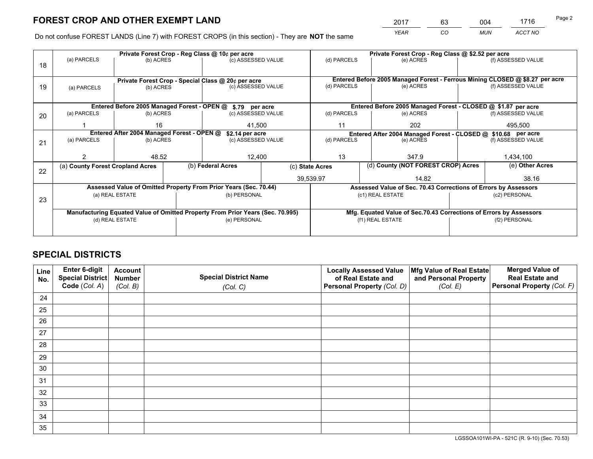*YEAR CO MUN ACCT NO* <sup>2017</sup> <sup>63</sup> <sup>004</sup> <sup>1716</sup>

Do not confuse FOREST LANDS (Line 7) with FOREST CROPS (in this section) - They are **NOT** the same

|    |                                                                                  |                                            |  | Private Forest Crop - Reg Class @ 10¢ per acre                                 |             |                                                                              |                  | Private Forest Crop - Reg Class @ \$2.52 per acre |                 |                                                                    |  |
|----|----------------------------------------------------------------------------------|--------------------------------------------|--|--------------------------------------------------------------------------------|-------------|------------------------------------------------------------------------------|------------------|---------------------------------------------------|-----------------|--------------------------------------------------------------------|--|
| 18 | (a) PARCELS                                                                      | (b) ACRES                                  |  | (c) ASSESSED VALUE                                                             |             | (d) PARCELS                                                                  |                  | (e) ACRES                                         |                 | (f) ASSESSED VALUE                                                 |  |
|    |                                                                                  |                                            |  |                                                                                |             |                                                                              |                  |                                                   |                 |                                                                    |  |
|    |                                                                                  |                                            |  | Private Forest Crop - Special Class @ 20¢ per acre                             |             | Entered Before 2005 Managed Forest - Ferrous Mining CLOSED @ \$8.27 per acre |                  |                                                   |                 |                                                                    |  |
| 19 | (a) PARCELS                                                                      | (b) ACRES                                  |  | (c) ASSESSED VALUE                                                             |             | (d) PARCELS                                                                  |                  | (e) ACRES                                         |                 | (f) ASSESSED VALUE                                                 |  |
|    |                                                                                  |                                            |  |                                                                                |             |                                                                              |                  |                                                   |                 |                                                                    |  |
|    |                                                                                  |                                            |  |                                                                                |             |                                                                              |                  |                                                   |                 |                                                                    |  |
|    | Entered Before 2005 Managed Forest - OPEN @ \$.79 per acre<br>(c) ASSESSED VALUE |                                            |  |                                                                                |             |                                                                              |                  |                                                   |                 | Entered Before 2005 Managed Forest - CLOSED @ \$1.87 per acre      |  |
| 20 | (a) PARCELS                                                                      | (b) ACRES                                  |  |                                                                                |             | (d) PARCELS                                                                  |                  | (e) ACRES                                         |                 | (f) ASSESSED VALUE                                                 |  |
|    |                                                                                  | 16<br>41,500                               |  |                                                                                |             | 11                                                                           |                  | 202                                               |                 | 495,500                                                            |  |
|    |                                                                                  | Entered After 2004 Managed Forest - OPEN @ |  | \$2.14 per acre                                                                |             |                                                                              |                  |                                                   |                 | Entered After 2004 Managed Forest - CLOSED @ \$10.68 per acre      |  |
| 21 | (a) PARCELS                                                                      | (b) ACRES                                  |  | (c) ASSESSED VALUE                                                             | (d) PARCELS |                                                                              |                  | (e) ACRES                                         |                 | (f) ASSESSED VALUE                                                 |  |
|    |                                                                                  |                                            |  |                                                                                |             |                                                                              |                  |                                                   |                 |                                                                    |  |
|    |                                                                                  | 48.52                                      |  | 12,400                                                                         |             | 13                                                                           |                  | 347.9                                             |                 | 1,434,100                                                          |  |
|    | (a) County Forest Cropland Acres                                                 |                                            |  | (b) Federal Acres<br>(c) State Acres                                           |             | (d) County (NOT FOREST CROP) Acres                                           |                  |                                                   | (e) Other Acres |                                                                    |  |
| 22 |                                                                                  |                                            |  |                                                                                |             |                                                                              |                  |                                                   |                 |                                                                    |  |
|    |                                                                                  |                                            |  |                                                                                |             | 39,539.97                                                                    |                  | 14.82                                             |                 | 38.16                                                              |  |
|    |                                                                                  |                                            |  | Assessed Value of Omitted Property From Prior Years (Sec. 70.44)               |             |                                                                              |                  |                                                   |                 | Assessed Value of Sec. 70.43 Corrections of Errors by Assessors    |  |
| 23 |                                                                                  | (a) REAL ESTATE                            |  | (b) PERSONAL                                                                   |             |                                                                              | (c1) REAL ESTATE |                                                   |                 | (c2) PERSONAL                                                      |  |
|    |                                                                                  |                                            |  |                                                                                |             |                                                                              |                  |                                                   |                 |                                                                    |  |
|    |                                                                                  |                                            |  | Manufacturing Equated Value of Omitted Property From Prior Years (Sec. 70.995) |             |                                                                              |                  |                                                   |                 | Mfg. Equated Value of Sec.70.43 Corrections of Errors by Assessors |  |
|    |                                                                                  | (d) REAL ESTATE                            |  | (e) PERSONAL                                                                   |             | (f1) REAL ESTATE                                                             |                  |                                                   | (f2) PERSONAL   |                                                                    |  |
|    |                                                                                  |                                            |  |                                                                                |             |                                                                              |                  |                                                   |                 |                                                                    |  |
|    |                                                                                  |                                            |  |                                                                                |             |                                                                              |                  |                                                   |                 |                                                                    |  |

# **SPECIAL DISTRICTS**

| Line<br>No. | Enter 6-digit<br><b>Special District</b><br>Code (Col. A) | <b>Account</b><br><b>Number</b><br>(Col. B) | <b>Special District Name</b><br>(Col. C) | <b>Locally Assessed Value</b><br>of Real Estate and<br>Personal Property (Col. D) | Mfg Value of Real Estate<br>and Personal Property<br>(Col. E) | <b>Merged Value of</b><br><b>Real Estate and</b><br>Personal Property (Col. F) |
|-------------|-----------------------------------------------------------|---------------------------------------------|------------------------------------------|-----------------------------------------------------------------------------------|---------------------------------------------------------------|--------------------------------------------------------------------------------|
| 24          |                                                           |                                             |                                          |                                                                                   |                                                               |                                                                                |
| 25          |                                                           |                                             |                                          |                                                                                   |                                                               |                                                                                |
| 26          |                                                           |                                             |                                          |                                                                                   |                                                               |                                                                                |
| 27          |                                                           |                                             |                                          |                                                                                   |                                                               |                                                                                |
| 28          |                                                           |                                             |                                          |                                                                                   |                                                               |                                                                                |
| 29          |                                                           |                                             |                                          |                                                                                   |                                                               |                                                                                |
| 30          |                                                           |                                             |                                          |                                                                                   |                                                               |                                                                                |
| 31          |                                                           |                                             |                                          |                                                                                   |                                                               |                                                                                |
| 32          |                                                           |                                             |                                          |                                                                                   |                                                               |                                                                                |
| 33          |                                                           |                                             |                                          |                                                                                   |                                                               |                                                                                |
| 34          |                                                           |                                             |                                          |                                                                                   |                                                               |                                                                                |
| 35          |                                                           |                                             |                                          |                                                                                   |                                                               |                                                                                |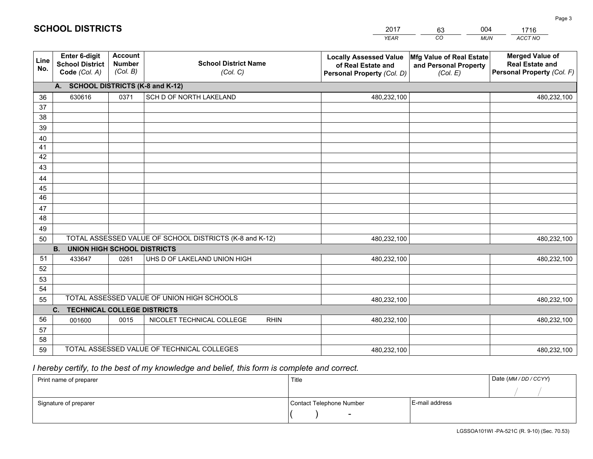|             |                                                          |                                             |                                                         | <b>YEAR</b>                                                                       | CO<br><b>MUN</b>                                              | ACCT NO                                                                        |
|-------------|----------------------------------------------------------|---------------------------------------------|---------------------------------------------------------|-----------------------------------------------------------------------------------|---------------------------------------------------------------|--------------------------------------------------------------------------------|
| Line<br>No. | Enter 6-digit<br><b>School District</b><br>Code (Col. A) | <b>Account</b><br><b>Number</b><br>(Col. B) | <b>School District Name</b><br>(Col. C)                 | <b>Locally Assessed Value</b><br>of Real Estate and<br>Personal Property (Col. D) | Mfg Value of Real Estate<br>and Personal Property<br>(Col. E) | <b>Merged Value of</b><br><b>Real Estate and</b><br>Personal Property (Col. F) |
|             | A. SCHOOL DISTRICTS (K-8 and K-12)                       |                                             |                                                         |                                                                                   |                                                               |                                                                                |
| 36          | 630616                                                   | 0371                                        | SCH D OF NORTH LAKELAND                                 | 480,232,100                                                                       |                                                               | 480,232,100                                                                    |
| 37          |                                                          |                                             |                                                         |                                                                                   |                                                               |                                                                                |
| 38          |                                                          |                                             |                                                         |                                                                                   |                                                               |                                                                                |
| 39          |                                                          |                                             |                                                         |                                                                                   |                                                               |                                                                                |
| 40          |                                                          |                                             |                                                         |                                                                                   |                                                               |                                                                                |
| 41<br>42    |                                                          |                                             |                                                         |                                                                                   |                                                               |                                                                                |
| 43          |                                                          |                                             |                                                         |                                                                                   |                                                               |                                                                                |
| 44          |                                                          |                                             |                                                         |                                                                                   |                                                               |                                                                                |
| 45          |                                                          |                                             |                                                         |                                                                                   |                                                               |                                                                                |
| 46          |                                                          |                                             |                                                         |                                                                                   |                                                               |                                                                                |
| 47          |                                                          |                                             |                                                         |                                                                                   |                                                               |                                                                                |
| 48          |                                                          |                                             |                                                         |                                                                                   |                                                               |                                                                                |
| 49          |                                                          |                                             |                                                         |                                                                                   |                                                               |                                                                                |
| 50          |                                                          |                                             | TOTAL ASSESSED VALUE OF SCHOOL DISTRICTS (K-8 and K-12) | 480,232,100                                                                       |                                                               | 480,232,100                                                                    |
|             | <b>B.</b><br><b>UNION HIGH SCHOOL DISTRICTS</b>          |                                             |                                                         |                                                                                   |                                                               |                                                                                |
| 51          | 433647                                                   | 0261                                        | UHS D OF LAKELAND UNION HIGH                            | 480,232,100                                                                       |                                                               | 480,232,100                                                                    |
| 52          |                                                          |                                             |                                                         |                                                                                   |                                                               |                                                                                |
| 53          |                                                          |                                             |                                                         |                                                                                   |                                                               |                                                                                |
| 54          |                                                          |                                             | TOTAL ASSESSED VALUE OF UNION HIGH SCHOOLS              |                                                                                   |                                                               |                                                                                |
| 55          |                                                          |                                             |                                                         | 480,232,100                                                                       |                                                               | 480,232,100                                                                    |
| 56          | C. TECHNICAL COLLEGE DISTRICTS                           | 0015                                        | NICOLET TECHNICAL COLLEGE<br><b>RHIN</b>                | 480,232,100                                                                       |                                                               |                                                                                |
| 57          | 001600                                                   |                                             |                                                         |                                                                                   |                                                               | 480,232,100                                                                    |
| 58          |                                                          |                                             |                                                         |                                                                                   |                                                               |                                                                                |
| 59          |                                                          |                                             | TOTAL ASSESSED VALUE OF TECHNICAL COLLEGES              | 480,232,100                                                                       |                                                               | 480,232,100                                                                    |

2017

63

004

# *I hereby certify, to the best of my knowledge and belief, this form is complete and correct.*

**SCHOOL DISTRICTS**

| Print name of preparer | Title                    | Date (MM / DD / CCYY) |  |
|------------------------|--------------------------|-----------------------|--|
|                        |                          |                       |  |
| Signature of preparer  | Contact Telephone Number | E-mail address        |  |
|                        | $\sim$                   |                       |  |

1716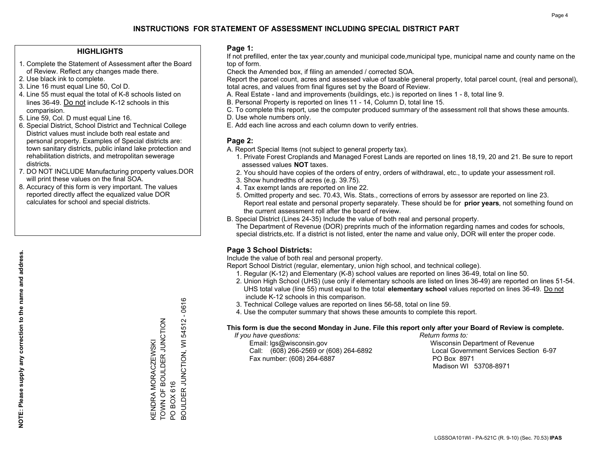## **HIGHLIGHTS**

- 1. Complete the Statement of Assessment after the Board of Review. Reflect any changes made there.
- 2. Use black ink to complete.
- 3. Line 16 must equal Line 50, Col D.
- 4. Line 55 must equal the total of K-8 schools listed on lines 36-49. Do not include K-12 schools in this comparision.
- 5. Line 59, Col. D must equal Line 16.
- 6. Special District, School District and Technical College District values must include both real estate and personal property. Examples of Special districts are: town sanitary districts, public inland lake protection and rehabilitation districts, and metropolitan sewerage districts.
- 7. DO NOT INCLUDE Manufacturing property values.DOR will print these values on the final SOA.
- 8. Accuracy of this form is very important. The values reported directly affect the equalized value DOR calculates for school and special districts.

### **Page 1:**

 If not prefilled, enter the tax year,county and municipal code,municipal type, municipal name and county name on the top of form.

Check the Amended box, if filing an amended / corrected SOA.

 Report the parcel count, acres and assessed value of taxable general property, total parcel count, (real and personal), total acres, and values from final figures set by the Board of Review.

- A. Real Estate land and improvements (buildings, etc.) is reported on lines 1 8, total line 9.
- B. Personal Property is reported on lines 11 14, Column D, total line 15.
- C. To complete this report, use the computer produced summary of the assessment roll that shows these amounts.
- D. Use whole numbers only.
- E. Add each line across and each column down to verify entries.

## **Page 2:**

- A. Report Special Items (not subject to general property tax).
- 1. Private Forest Croplands and Managed Forest Lands are reported on lines 18,19, 20 and 21. Be sure to report assessed values **NOT** taxes.
- 2. You should have copies of the orders of entry, orders of withdrawal, etc., to update your assessment roll.
	- 3. Show hundredths of acres (e.g. 39.75).
- 4. Tax exempt lands are reported on line 22.
- 5. Omitted property and sec. 70.43, Wis. Stats., corrections of errors by assessor are reported on line 23. Report real estate and personal property separately. These should be for **prior years**, not something found on the current assessment roll after the board of review.
- B. Special District (Lines 24-35) Include the value of both real and personal property.
- The Department of Revenue (DOR) preprints much of the information regarding names and codes for schools, special districts,etc. If a district is not listed, enter the name and value only, DOR will enter the proper code.

# **Page 3 School Districts:**

Include the value of both real and personal property.

Report School District (regular, elementary, union high school, and technical college).

- 1. Regular (K-12) and Elementary (K-8) school values are reported on lines 36-49, total on line 50.
- 2. Union High School (UHS) (use only if elementary schools are listed on lines 36-49) are reported on lines 51-54. UHS total value (line 55) must equal to the total **elementary school** values reported on lines 36-49. Do notinclude K-12 schools in this comparison.
- 3. Technical College values are reported on lines 56-58, total on line 59.
- 4. Use the computer summary that shows these amounts to complete this report.

#### **This form is due the second Monday in June. File this report only after your Board of Review is complete.**

 *If you have questions: Return forms to:*

 Email: lgs@wisconsin.gov Wisconsin Department of RevenueCall:  $(608)$  266-2569 or  $(608)$  264-6892 Fax number: (608) 264-6887 PO Box 8971

Local Government Services Section 6-97 Madison WI 53708-8971

54512 - 0616 BOULDER JUNCTION, WI 54512 - 0616 TOWN OF BOULDER JUNCTION KENDRA MORACZEWSKI<br>TOWN OF BOULDER JUNCTION **3OULDER JUNCTION, WI** KENDRA MORACZEWSKI PO BOX 616 PO BOX 616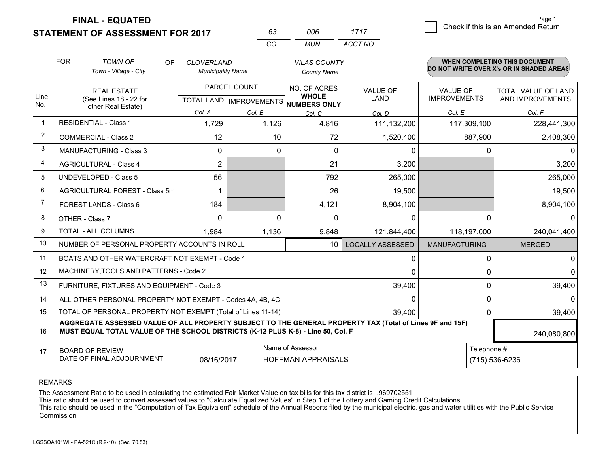**STATEMENT OF ASSESSMENT FOR 2017** 

**FINAL - EQUATED**

|                | <b>FOR</b>                            | <b>TOWN OF</b><br>OF<br>Town - Village - City                                                                                                                                                | <b>CLOVERLAND</b><br><b>Municipality Name</b> |                                                | <b>VILAS COUNTY</b><br><b>County Name</b>     |                                |                                        | <b>WHEN COMPLETING THIS DOCUMENT</b><br>DO NOT WRITE OVER X's OR IN SHADED AREAS |
|----------------|---------------------------------------|----------------------------------------------------------------------------------------------------------------------------------------------------------------------------------------------|-----------------------------------------------|------------------------------------------------|-----------------------------------------------|--------------------------------|----------------------------------------|----------------------------------------------------------------------------------|
| Line<br>No.    |                                       | <b>REAL ESTATE</b><br>(See Lines 18 - 22 for<br>other Real Estate)                                                                                                                           |                                               | PARCEL COUNT<br><b>TOTAL LAND IMPROVEMENTS</b> | NO. OF ACRES<br><b>WHOLE</b><br>NUMBERS ONLY  | <b>VALUE OF</b><br><b>LAND</b> | <b>VALUE OF</b><br><b>IMPROVEMENTS</b> | <b>TOTAL VALUE OF LAND</b><br>AND IMPROVEMENTS                                   |
|                |                                       |                                                                                                                                                                                              | Col. A                                        | Col. B                                         | Col. C                                        | Col. D                         | Col. E                                 | Col. F                                                                           |
| $\mathbf 1$    |                                       | <b>RESIDENTIAL - Class 1</b>                                                                                                                                                                 | 1,729                                         | 1,126                                          | 4,816                                         | 111,132,200                    | 117,309,100                            | 228,441,300                                                                      |
| $\overline{2}$ | <b>COMMERCIAL - Class 2</b>           |                                                                                                                                                                                              | 12                                            | 10                                             | 72                                            | 1,520,400                      | 887,900                                | 2,408,300                                                                        |
| 3              | <b>MANUFACTURING - Class 3</b>        |                                                                                                                                                                                              | 0                                             | 0                                              | $\mathbf{0}$                                  | 0                              | 0                                      | $\mathbf 0$                                                                      |
| 4              | <b>AGRICULTURAL - Class 4</b>         |                                                                                                                                                                                              | $\overline{2}$                                |                                                | 21                                            | 3,200                          |                                        | 3,200                                                                            |
| 5              | <b>UNDEVELOPED - Class 5</b>          |                                                                                                                                                                                              | 56                                            |                                                | 792                                           | 265,000                        |                                        | 265,000                                                                          |
| 6              | <b>AGRICULTURAL FOREST - Class 5m</b> |                                                                                                                                                                                              | 1                                             |                                                | 26                                            | 19,500                         |                                        | 19,500                                                                           |
| $\overline{7}$ |                                       | <b>FOREST LANDS - Class 6</b>                                                                                                                                                                | 184                                           |                                                | 4,121                                         | 8,904,100                      |                                        | 8,904,100                                                                        |
| 8              |                                       | OTHER - Class 7                                                                                                                                                                              | $\Omega$                                      | $\Omega$                                       | $\Omega$                                      | $\Omega$                       | $\Omega$                               | $\Omega$                                                                         |
| $\mathbf{Q}$   |                                       | <b>TOTAL - ALL COLUMNS</b>                                                                                                                                                                   | 1,984                                         | 1,136                                          | 9,848                                         | 121,844,400                    | 118,197,000                            | 240,041,400                                                                      |
| 10             |                                       | NUMBER OF PERSONAL PROPERTY ACCOUNTS IN ROLL                                                                                                                                                 |                                               |                                                | 10 <sup>1</sup>                               | <b>LOCALLY ASSESSED</b>        | <b>MANUFACTURING</b>                   | <b>MERGED</b>                                                                    |
| 11             |                                       | BOATS AND OTHER WATERCRAFT NOT EXEMPT - Code 1                                                                                                                                               |                                               |                                                |                                               | 0                              | 0                                      | 0                                                                                |
| 12             |                                       | MACHINERY, TOOLS AND PATTERNS - Code 2                                                                                                                                                       |                                               |                                                |                                               | $\Omega$                       | 0                                      | $\Omega$                                                                         |
| 13             |                                       | FURNITURE, FIXTURES AND EQUIPMENT - Code 3                                                                                                                                                   |                                               |                                                |                                               | 39,400                         | 0                                      | 39,400                                                                           |
| 14             |                                       | ALL OTHER PERSONAL PROPERTY NOT EXEMPT - Codes 4A, 4B, 4C                                                                                                                                    |                                               |                                                |                                               | $\mathbf{0}$                   | 0                                      | $\Omega$                                                                         |
| 15             |                                       | TOTAL OF PERSONAL PROPERTY NOT EXEMPT (Total of Lines 11-14)                                                                                                                                 |                                               |                                                |                                               | 39,400                         | $\Omega$                               | 39,400                                                                           |
| 16             |                                       | AGGREGATE ASSESSED VALUE OF ALL PROPERTY SUBJECT TO THE GENERAL PROPERTY TAX (Total of Lines 9F and 15F)<br>MUST EQUAL TOTAL VALUE OF THE SCHOOL DISTRICTS (K-12 PLUS K-8) - Line 50, Col. F |                                               |                                                |                                               |                                |                                        | 240,080,800                                                                      |
| 17             |                                       | <b>BOARD OF REVIEW</b><br>DATE OF FINAL ADJOURNMENT                                                                                                                                          | 08/16/2017                                    |                                                | Name of Assessor<br><b>HOFFMAN APPRAISALS</b> | Telephone #<br>(715) 536-6236  |                                        |                                                                                  |

*CO*

*MUN*

*ACCT NO1717*

*<sup>63</sup> <sup>006</sup>*

REMARKS

The Assessment Ratio to be used in calculating the estimated Fair Market Value on tax bills for this tax district is .969702551<br>This ratio should be used to convert assessed values to "Calculate Equalized Values" in Step 1 Commission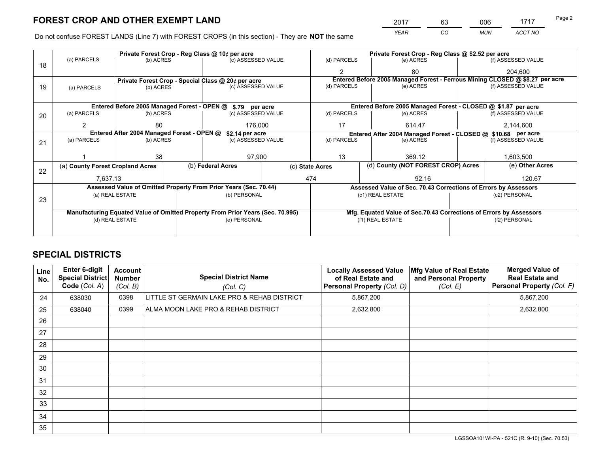*YEAR CO MUN ACCT NO* <sup>2017</sup> <sup>63</sup> <sup>006</sup> <sup>1717</sup> Page 2

Do not confuse FOREST LANDS (Line 7) with FOREST CROPS (in this section) - They are **NOT** the same

|    |                                                            |                 |  | Private Forest Crop - Reg Class @ 10¢ per acre                                 |                 |                  | Private Forest Crop - Reg Class @ \$2.52 per acre                            |                                                                 |               |                                                                    |
|----|------------------------------------------------------------|-----------------|--|--------------------------------------------------------------------------------|-----------------|------------------|------------------------------------------------------------------------------|-----------------------------------------------------------------|---------------|--------------------------------------------------------------------|
| 18 | (a) PARCELS                                                | (b) ACRES       |  | (c) ASSESSED VALUE                                                             |                 | (d) PARCELS      |                                                                              | (e) ACRES                                                       |               | (f) ASSESSED VALUE                                                 |
|    |                                                            |                 |  |                                                                                |                 | $\mathcal{P}$    |                                                                              | 80                                                              |               | 204,600                                                            |
|    |                                                            |                 |  | Private Forest Crop - Special Class @ 20¢ per acre                             |                 |                  | Entered Before 2005 Managed Forest - Ferrous Mining CLOSED @ \$8.27 per acre |                                                                 |               |                                                                    |
| 19 | (a) PARCELS                                                | (b) ACRES       |  | (c) ASSESSED VALUE                                                             |                 | (d) PARCELS      |                                                                              | (e) ACRES                                                       |               | (f) ASSESSED VALUE                                                 |
|    |                                                            |                 |  |                                                                                |                 |                  |                                                                              |                                                                 |               |                                                                    |
|    | Entered Before 2005 Managed Forest - OPEN @ \$.79 per acre |                 |  |                                                                                |                 |                  |                                                                              | Entered Before 2005 Managed Forest - CLOSED @ \$1.87 per acre   |               |                                                                    |
| 20 | (a) PARCELS                                                | (b) ACRES       |  | (c) ASSESSED VALUE                                                             |                 | (d) PARCELS      |                                                                              | (e) ACRES                                                       |               | (f) ASSESSED VALUE                                                 |
|    | 2                                                          | 80              |  | 176,000                                                                        |                 | 17               |                                                                              | 614.47                                                          | 2,144,600     |                                                                    |
|    | Entered After 2004 Managed Forest - OPEN @                 |                 |  |                                                                                | \$2.14 per acre |                  |                                                                              | Entered After 2004 Managed Forest - CLOSED @ \$10.68 per acre   |               |                                                                    |
| 21 | (a) PARCELS                                                | (b) ACRES       |  | (c) ASSESSED VALUE                                                             |                 | (d) PARCELS      |                                                                              | (e) ACRES                                                       |               | (f) ASSESSED VALUE                                                 |
|    |                                                            |                 |  |                                                                                |                 |                  |                                                                              |                                                                 |               |                                                                    |
|    |                                                            | 38              |  | 97,900                                                                         | 13              |                  |                                                                              | 369.12                                                          |               | 1,603,500                                                          |
| 22 | (a) County Forest Cropland Acres                           |                 |  | (b) Federal Acres                                                              | (c) State Acres |                  |                                                                              | (d) County (NOT FOREST CROP) Acres                              |               | (e) Other Acres                                                    |
|    | 7,637.13                                                   |                 |  |                                                                                |                 | 474              |                                                                              | 92.16                                                           |               | 120.67                                                             |
|    |                                                            |                 |  | Assessed Value of Omitted Property From Prior Years (Sec. 70.44)               |                 |                  |                                                                              | Assessed Value of Sec. 70.43 Corrections of Errors by Assessors |               |                                                                    |
| 23 |                                                            | (a) REAL ESTATE |  | (b) PERSONAL                                                                   |                 |                  | (c1) REAL ESTATE                                                             |                                                                 |               | (c2) PERSONAL                                                      |
|    |                                                            |                 |  |                                                                                |                 |                  |                                                                              |                                                                 |               |                                                                    |
|    |                                                            |                 |  | Manufacturing Equated Value of Omitted Property From Prior Years (Sec. 70.995) |                 |                  |                                                                              |                                                                 |               | Mfg. Equated Value of Sec.70.43 Corrections of Errors by Assessors |
|    | (d) REAL ESTATE                                            |                 |  | (e) PERSONAL                                                                   |                 | (f1) REAL ESTATE |                                                                              |                                                                 | (f2) PERSONAL |                                                                    |
|    |                                                            |                 |  |                                                                                |                 |                  |                                                                              |                                                                 |               |                                                                    |

# **SPECIAL DISTRICTS**

| Line<br>No. | <b>Enter 6-digit</b><br><b>Special District</b><br>Code (Col. A) | <b>Account</b><br><b>Number</b><br>(Col. B) | <b>Special District Name</b><br>(Col. C)    | <b>Locally Assessed Value</b><br>of Real Estate and<br>Personal Property (Col. D) | Mfg Value of Real Estate<br>and Personal Property<br>(Col. E) | <b>Merged Value of</b><br><b>Real Estate and</b><br>Personal Property (Col. F) |
|-------------|------------------------------------------------------------------|---------------------------------------------|---------------------------------------------|-----------------------------------------------------------------------------------|---------------------------------------------------------------|--------------------------------------------------------------------------------|
| 24          | 638030                                                           | 0398                                        | LITTLE ST GERMAIN LAKE PRO & REHAB DISTRICT | 5,867,200                                                                         |                                                               | 5,867,200                                                                      |
| 25          | 638040                                                           | 0399                                        | ALMA MOON LAKE PRO & REHAB DISTRICT         | 2,632,800                                                                         |                                                               | 2,632,800                                                                      |
| 26          |                                                                  |                                             |                                             |                                                                                   |                                                               |                                                                                |
| 27          |                                                                  |                                             |                                             |                                                                                   |                                                               |                                                                                |
| 28          |                                                                  |                                             |                                             |                                                                                   |                                                               |                                                                                |
| 29          |                                                                  |                                             |                                             |                                                                                   |                                                               |                                                                                |
| 30          |                                                                  |                                             |                                             |                                                                                   |                                                               |                                                                                |
| 31          |                                                                  |                                             |                                             |                                                                                   |                                                               |                                                                                |
| 32          |                                                                  |                                             |                                             |                                                                                   |                                                               |                                                                                |
| 33          |                                                                  |                                             |                                             |                                                                                   |                                                               |                                                                                |
| 34          |                                                                  |                                             |                                             |                                                                                   |                                                               |                                                                                |
| 35          |                                                                  |                                             |                                             |                                                                                   |                                                               |                                                                                |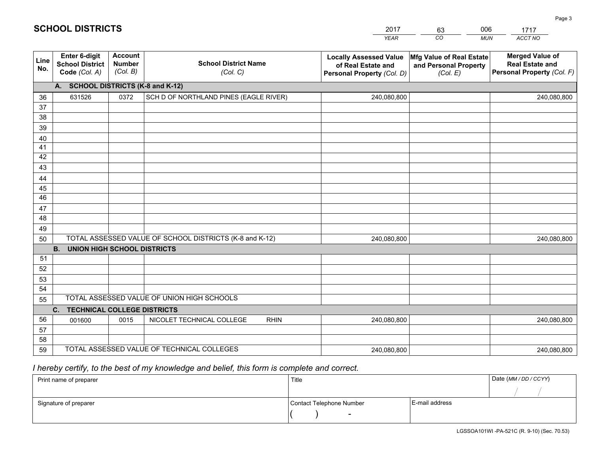| Locally Assessed Value Mfg Value of Real Estate |    |            | Me |
|-------------------------------------------------|----|------------|----|
| <b>YEAR</b>                                     | CO | <b>MUN</b> |    |
| 2017                                            |    | 006        |    |
|                                                 |    |            |    |

| Line<br>No.     | Enter 6-digit<br><b>School District</b><br>Code (Col. A) | <b>Account</b><br><b>Number</b><br>(Col. B) | <b>School District Name</b><br>(Col. C)                 | <b>Locally Assessed Value</b><br>of Real Estate and<br>Personal Property (Col. D) | Mfg Value of Real Estate<br>and Personal Property<br>(Col. E) | <b>Merged Value of</b><br><b>Real Estate and</b><br>Personal Property (Col. F) |
|-----------------|----------------------------------------------------------|---------------------------------------------|---------------------------------------------------------|-----------------------------------------------------------------------------------|---------------------------------------------------------------|--------------------------------------------------------------------------------|
|                 | A. SCHOOL DISTRICTS (K-8 and K-12)                       |                                             |                                                         |                                                                                   |                                                               |                                                                                |
| 36              | 631526                                                   | 0372                                        | SCH D OF NORTHLAND PINES (EAGLE RIVER)                  | 240,080,800                                                                       |                                                               | 240,080,800                                                                    |
| 37              |                                                          |                                             |                                                         |                                                                                   |                                                               |                                                                                |
| $\overline{38}$ |                                                          |                                             |                                                         |                                                                                   |                                                               |                                                                                |
| 39              |                                                          |                                             |                                                         |                                                                                   |                                                               |                                                                                |
| 40              |                                                          |                                             |                                                         |                                                                                   |                                                               |                                                                                |
| 41              |                                                          |                                             |                                                         |                                                                                   |                                                               |                                                                                |
| 42              |                                                          |                                             |                                                         |                                                                                   |                                                               |                                                                                |
| 43              |                                                          |                                             |                                                         |                                                                                   |                                                               |                                                                                |
| 44              |                                                          |                                             |                                                         |                                                                                   |                                                               |                                                                                |
| 45              |                                                          |                                             |                                                         |                                                                                   |                                                               |                                                                                |
| $\overline{46}$ |                                                          |                                             |                                                         |                                                                                   |                                                               |                                                                                |
| 47              |                                                          |                                             |                                                         |                                                                                   |                                                               |                                                                                |
| 48              |                                                          |                                             |                                                         |                                                                                   |                                                               |                                                                                |
| 49              |                                                          |                                             |                                                         |                                                                                   |                                                               |                                                                                |
| 50              |                                                          |                                             | TOTAL ASSESSED VALUE OF SCHOOL DISTRICTS (K-8 and K-12) | 240,080,800                                                                       |                                                               | 240,080,800                                                                    |
| 51              | <b>UNION HIGH SCHOOL DISTRICTS</b><br><b>B.</b>          |                                             |                                                         |                                                                                   |                                                               |                                                                                |
| 52              |                                                          |                                             |                                                         |                                                                                   |                                                               |                                                                                |
| 53              |                                                          |                                             |                                                         |                                                                                   |                                                               |                                                                                |
| 54              |                                                          |                                             |                                                         |                                                                                   |                                                               |                                                                                |
| 55              |                                                          |                                             | TOTAL ASSESSED VALUE OF UNION HIGH SCHOOLS              |                                                                                   |                                                               |                                                                                |
|                 | C.<br><b>TECHNICAL COLLEGE DISTRICTS</b>                 |                                             |                                                         |                                                                                   |                                                               |                                                                                |
| 56              | 001600                                                   | 0015                                        | NICOLET TECHNICAL COLLEGE<br><b>RHIN</b>                | 240,080,800                                                                       |                                                               | 240,080,800                                                                    |
| 57              |                                                          |                                             |                                                         |                                                                                   |                                                               |                                                                                |
| 58              |                                                          |                                             |                                                         |                                                                                   |                                                               |                                                                                |
| 59              |                                                          |                                             | TOTAL ASSESSED VALUE OF TECHNICAL COLLEGES              | 240,080,800                                                                       |                                                               | 240,080,800                                                                    |

 *I hereby certify, to the best of my knowledge and belief, this form is complete and correct.*

**SCHOOL DISTRICTS**

| Print name of preparer | Title                    |                | Date (MM/DD/CCYY) |
|------------------------|--------------------------|----------------|-------------------|
|                        |                          |                |                   |
| Signature of preparer  | Contact Telephone Number | E-mail address |                   |
|                        | $\blacksquare$           |                |                   |

*ACCT NO*  1717<br>- - - - -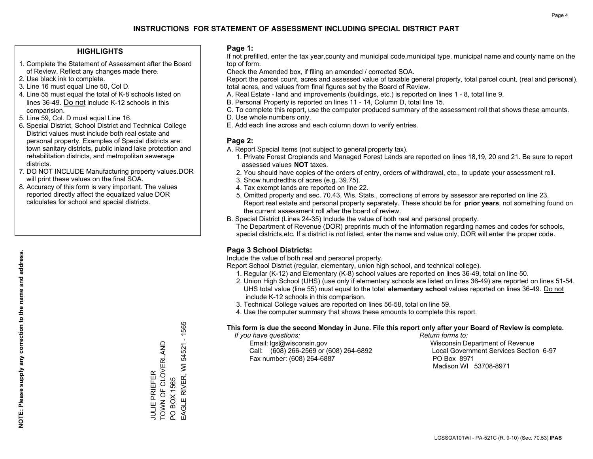## **HIGHLIGHTS**

- 1. Complete the Statement of Assessment after the Board of Review. Reflect any changes made there.
- 2. Use black ink to complete.
- 3. Line 16 must equal Line 50, Col D.
- 4. Line 55 must equal the total of K-8 schools listed on lines 36-49. Do not include K-12 schools in this comparision.
- 5. Line 59, Col. D must equal Line 16.
- 6. Special District, School District and Technical College District values must include both real estate and personal property. Examples of Special districts are: town sanitary districts, public inland lake protection and rehabilitation districts, and metropolitan sewerage districts.
- 7. DO NOT INCLUDE Manufacturing property values.DOR will print these values on the final SOA.

JULIE PRIEFER

**JULIE PRIEFER** 

TOWN OF CLOVERLAND

TOWN OF CLOVERLAND

PO BOX 1565

PO BOX 1565

EAGLE RIVER, WI 54521 - 1565

EAGLE RIVER, WI

 $-1565$ 

54521

 8. Accuracy of this form is very important. The values reported directly affect the equalized value DOR calculates for school and special districts.

### **Page 1:**

 If not prefilled, enter the tax year,county and municipal code,municipal type, municipal name and county name on the top of form.

Check the Amended box, if filing an amended / corrected SOA.

 Report the parcel count, acres and assessed value of taxable general property, total parcel count, (real and personal), total acres, and values from final figures set by the Board of Review.

- A. Real Estate land and improvements (buildings, etc.) is reported on lines 1 8, total line 9.
- B. Personal Property is reported on lines 11 14, Column D, total line 15.
- C. To complete this report, use the computer produced summary of the assessment roll that shows these amounts.
- D. Use whole numbers only.
- E. Add each line across and each column down to verify entries.

### **Page 2:**

- A. Report Special Items (not subject to general property tax).
- 1. Private Forest Croplands and Managed Forest Lands are reported on lines 18,19, 20 and 21. Be sure to report assessed values **NOT** taxes.
- 2. You should have copies of the orders of entry, orders of withdrawal, etc., to update your assessment roll.
	- 3. Show hundredths of acres (e.g. 39.75).
- 4. Tax exempt lands are reported on line 22.
- 5. Omitted property and sec. 70.43, Wis. Stats., corrections of errors by assessor are reported on line 23. Report real estate and personal property separately. These should be for **prior years**, not something found on the current assessment roll after the board of review.
- B. Special District (Lines 24-35) Include the value of both real and personal property.

 The Department of Revenue (DOR) preprints much of the information regarding names and codes for schools, special districts,etc. If a district is not listed, enter the name and value only, DOR will enter the proper code.

# **Page 3 School Districts:**

Include the value of both real and personal property.

Report School District (regular, elementary, union high school, and technical college).

- 1. Regular (K-12) and Elementary (K-8) school values are reported on lines 36-49, total on line 50.
- 2. Union High School (UHS) (use only if elementary schools are listed on lines 36-49) are reported on lines 51-54. UHS total value (line 55) must equal to the total **elementary school** values reported on lines 36-49. Do notinclude K-12 schools in this comparison.
- 3. Technical College values are reported on lines 56-58, total on line 59.
- 4. Use the computer summary that shows these amounts to complete this report.

#### **This form is due the second Monday in June. File this report only after your Board of Review is complete.**

 *If you have questions: Return forms to:*

 Email: lgs@wisconsin.gov Wisconsin Department of RevenueCall:  $(608)$  266-2569 or  $(608)$  264-6892 Fax number: (608) 264-6887 PO Box 8971

Local Government Services Section 6-97 Madison WI 53708-8971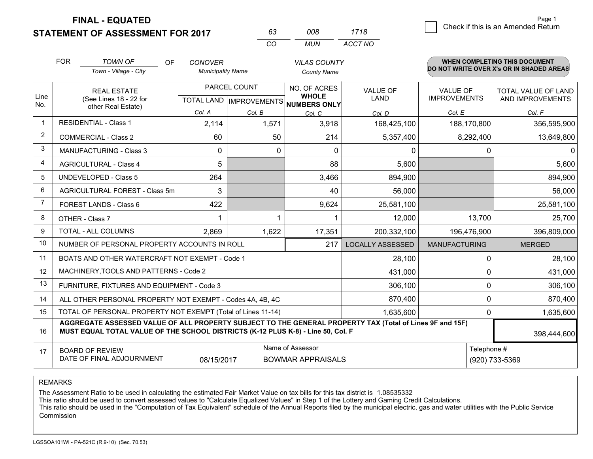**FINAL - EQUATED**

# **STATEMENT OF ASSESSMENT FOR 2017**

| 008 | 1718    | Check if this is an Amended Return |
|-----|---------|------------------------------------|
| MUN | ACCT NO |                                    |

|             | <b>FOR</b>                                                                                                                                         | <b>TOWN OF</b><br><b>OF</b>                                                                                                                                                                  | <b>CONOVER</b>           |                                  | <b>VILAS COUNTY</b>                 |                         |                      | <b>WHEN COMPLETING THIS DOCUMENT</b>     |             |
|-------------|----------------------------------------------------------------------------------------------------------------------------------------------------|----------------------------------------------------------------------------------------------------------------------------------------------------------------------------------------------|--------------------------|----------------------------------|-------------------------------------|-------------------------|----------------------|------------------------------------------|-------------|
|             |                                                                                                                                                    | Town - Village - City                                                                                                                                                                        | <b>Municipality Name</b> |                                  | <b>County Name</b>                  |                         |                      | DO NOT WRITE OVER X's OR IN SHADED AREAS |             |
|             |                                                                                                                                                    | <b>REAL ESTATE</b>                                                                                                                                                                           |                          | PARCEL COUNT                     | NO. OF ACRES                        | <b>VALUE OF</b>         | <b>VALUE OF</b>      | TOTAL VALUE OF LAND                      |             |
| Line<br>No. |                                                                                                                                                    | (See Lines 18 - 22 for<br>other Real Estate)                                                                                                                                                 |                          | <b>TOTAL LAND   IMPROVEMENTS</b> | <b>WHOLE</b><br><b>NUMBERS ONLY</b> | <b>LAND</b>             | <b>IMPROVEMENTS</b>  | AND IMPROVEMENTS                         |             |
|             |                                                                                                                                                    |                                                                                                                                                                                              | Col. A                   | Col. B                           | Col. C                              | Col. D                  | Col. E               | Col. F                                   |             |
|             | <b>RESIDENTIAL - Class 1</b>                                                                                                                       |                                                                                                                                                                                              | 2,114                    | 1,571                            | 3,918                               | 168,425,100             | 188,170,800          | 356,595,900                              |             |
| 2           |                                                                                                                                                    | <b>COMMERCIAL - Class 2</b>                                                                                                                                                                  | 60                       | 50                               | 214                                 | 5,357,400               | 8,292,400            | 13,649,800                               |             |
| 3           |                                                                                                                                                    | <b>MANUFACTURING - Class 3</b>                                                                                                                                                               | $\Omega$                 | 0                                | $\Omega$                            | 0                       | 0                    | $\Omega$                                 |             |
| 4           |                                                                                                                                                    | <b>AGRICULTURAL - Class 4</b>                                                                                                                                                                | 5                        |                                  | 88                                  | 5,600                   |                      | 5,600                                    |             |
| 5           | <b>UNDEVELOPED - Class 5</b>                                                                                                                       |                                                                                                                                                                                              | 264                      |                                  | 3,466                               | 894,900                 |                      | 894,900                                  |             |
| 6           | AGRICULTURAL FOREST - Class 5m                                                                                                                     |                                                                                                                                                                                              | 3                        |                                  | 40                                  | 56,000                  |                      | 56,000                                   |             |
| 7           | FOREST LANDS - Class 6                                                                                                                             |                                                                                                                                                                                              | 422                      |                                  | 9,624                               | 25,581,100              |                      | 25,581,100                               |             |
| 8           |                                                                                                                                                    | OTHER - Class 7                                                                                                                                                                              |                          | 1                                |                                     | 12,000                  | 13,700               | 25,700                                   |             |
| 9           |                                                                                                                                                    | <b>TOTAL - ALL COLUMNS</b>                                                                                                                                                                   |                          | 2,869<br>1,622                   |                                     | 17,351                  | 200,332,100          | 196,476,900                              | 396,809,000 |
| 10          |                                                                                                                                                    | NUMBER OF PERSONAL PROPERTY ACCOUNTS IN ROLL                                                                                                                                                 |                          |                                  | 217                                 | <b>LOCALLY ASSESSED</b> | <b>MANUFACTURING</b> | <b>MERGED</b>                            |             |
| 11          |                                                                                                                                                    | BOATS AND OTHER WATERCRAFT NOT EXEMPT - Code 1                                                                                                                                               |                          |                                  |                                     | 28,100                  | 0                    | 28,100                                   |             |
| 12          |                                                                                                                                                    | MACHINERY, TOOLS AND PATTERNS - Code 2                                                                                                                                                       |                          |                                  |                                     | 431,000                 | 0                    | 431,000                                  |             |
| 13          |                                                                                                                                                    | FURNITURE, FIXTURES AND EQUIPMENT - Code 3                                                                                                                                                   |                          |                                  |                                     | 306,100                 | 0                    | 306,100                                  |             |
| 14          |                                                                                                                                                    | ALL OTHER PERSONAL PROPERTY NOT EXEMPT - Codes 4A, 4B, 4C                                                                                                                                    |                          |                                  |                                     | 870,400                 | 0                    | 870,400                                  |             |
| 15          |                                                                                                                                                    | TOTAL OF PERSONAL PROPERTY NOT EXEMPT (Total of Lines 11-14)                                                                                                                                 |                          |                                  |                                     | 1,635,600               | 0                    | 1,635,600                                |             |
| 16          |                                                                                                                                                    | AGGREGATE ASSESSED VALUE OF ALL PROPERTY SUBJECT TO THE GENERAL PROPERTY TAX (Total of Lines 9F and 15F)<br>MUST EQUAL TOTAL VALUE OF THE SCHOOL DISTRICTS (K-12 PLUS K-8) - Line 50, Col. F |                          |                                  |                                     |                         |                      | 398,444,600                              |             |
| 17          | Name of Assessor<br>Telephone #<br><b>BOARD OF REVIEW</b><br>DATE OF FINAL ADJOURNMENT<br>08/15/2017<br><b>BOWMAR APPRAISALS</b><br>(920) 733-5369 |                                                                                                                                                                                              |                          |                                  |                                     |                         |                      |                                          |             |

*CO*

*<sup>63</sup> <sup>008</sup>*

REMARKS

The Assessment Ratio to be used in calculating the estimated Fair Market Value on tax bills for this tax district is 1.08535332

This ratio should be used to convert assessed values to "Calculate Equalized Values" in Step 1 of the Lottery and Gaming Credit Calculations.<br>This ratio should be used in the "Computation of Tax Equivalent" schedule of the Commission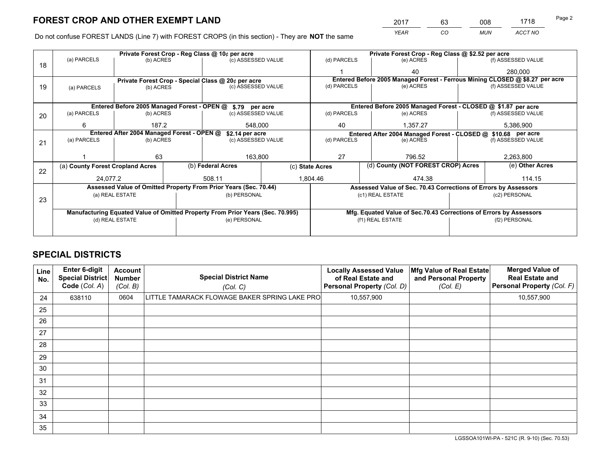*YEAR CO MUN ACCT NO* <sup>2017</sup> <sup>63</sup> <sup>008</sup> <sup>1718</sup> Page 2

Do not confuse FOREST LANDS (Line 7) with FOREST CROPS (in this section) - They are **NOT** the same

|    |                                                               |                 |  | Private Forest Crop - Reg Class @ 10¢ per acre                                 |                 | Private Forest Crop - Reg Class @ \$2.52 per acre               |                                                                              |  |                    |  |
|----|---------------------------------------------------------------|-----------------|--|--------------------------------------------------------------------------------|-----------------|-----------------------------------------------------------------|------------------------------------------------------------------------------|--|--------------------|--|
| 18 | (a) PARCELS                                                   | (b) ACRES       |  | (c) ASSESSED VALUE                                                             |                 | (d) PARCELS                                                     | (e) ACRES                                                                    |  | (f) ASSESSED VALUE |  |
|    |                                                               |                 |  |                                                                                |                 |                                                                 | 40                                                                           |  | 280,000            |  |
|    |                                                               |                 |  | Private Forest Crop - Special Class @ 20¢ per acre                             |                 |                                                                 | Entered Before 2005 Managed Forest - Ferrous Mining CLOSED @ \$8.27 per acre |  |                    |  |
| 19 | (a) PARCELS                                                   | (b) ACRES       |  | (c) ASSESSED VALUE                                                             |                 | (d) PARCELS                                                     | (e) ACRES                                                                    |  | (f) ASSESSED VALUE |  |
|    |                                                               |                 |  |                                                                                |                 |                                                                 |                                                                              |  |                    |  |
|    | Entered Before 2005 Managed Forest - OPEN @ \$.79 per acre    |                 |  |                                                                                |                 |                                                                 | Entered Before 2005 Managed Forest - CLOSED @ \$1.87 per acre                |  |                    |  |
| 20 | (a) PARCELS                                                   | (b) ACRES       |  | (c) ASSESSED VALUE                                                             |                 | (d) PARCELS                                                     | (e) ACRES                                                                    |  | (f) ASSESSED VALUE |  |
|    | 6                                                             | 187.2           |  | 548.000                                                                        |                 | 40                                                              | 1,357.27                                                                     |  | 5,386,900          |  |
|    | Entered After 2004 Managed Forest - OPEN @<br>\$2.14 per acre |                 |  |                                                                                |                 |                                                                 | Entered After 2004 Managed Forest - CLOSED @ \$10.68 per acre                |  |                    |  |
| 21 | (a) PARCELS                                                   | (b) ACRES       |  | (c) ASSESSED VALUE                                                             |                 | (d) PARCELS<br>(e) ACRES                                        |                                                                              |  | (f) ASSESSED VALUE |  |
|    |                                                               |                 |  |                                                                                |                 |                                                                 |                                                                              |  |                    |  |
|    |                                                               | 63              |  |                                                                                | 27<br>163,800   |                                                                 | 796.52                                                                       |  | 2,263,800          |  |
| 22 | (a) County Forest Cropland Acres                              |                 |  | (b) Federal Acres                                                              | (c) State Acres |                                                                 | (d) County (NOT FOREST CROP) Acres                                           |  | (e) Other Acres    |  |
|    | 24,077.2                                                      |                 |  | 508.11                                                                         |                 | 1,804.46<br>474.38                                              |                                                                              |  | 114.15             |  |
|    |                                                               |                 |  | Assessed Value of Omitted Property From Prior Years (Sec. 70.44)               |                 | Assessed Value of Sec. 70.43 Corrections of Errors by Assessors |                                                                              |  |                    |  |
| 23 |                                                               | (a) REAL ESTATE |  | (b) PERSONAL                                                                   |                 |                                                                 | (c1) REAL ESTATE                                                             |  | (c2) PERSONAL      |  |
|    |                                                               |                 |  |                                                                                |                 |                                                                 |                                                                              |  |                    |  |
|    |                                                               |                 |  | Manufacturing Equated Value of Omitted Property From Prior Years (Sec. 70.995) |                 |                                                                 | Mfg. Equated Value of Sec.70.43 Corrections of Errors by Assessors           |  |                    |  |
|    | (d) REAL ESTATE                                               |                 |  | (e) PERSONAL                                                                   |                 | (f1) REAL ESTATE                                                |                                                                              |  | (f2) PERSONAL      |  |
|    |                                                               |                 |  |                                                                                |                 |                                                                 |                                                                              |  |                    |  |

# **SPECIAL DISTRICTS**

| Line<br>No. | Enter 6-digit<br>Special District<br>Code (Col. A) | <b>Account</b><br><b>Number</b><br>(Col. B) | <b>Special District Name</b><br>(Col. C)      | <b>Locally Assessed Value</b><br>of Real Estate and<br>Personal Property (Col. D) | Mfg Value of Real Estate<br>and Personal Property<br>(Col. E) | <b>Merged Value of</b><br><b>Real Estate and</b><br>Personal Property (Col. F) |
|-------------|----------------------------------------------------|---------------------------------------------|-----------------------------------------------|-----------------------------------------------------------------------------------|---------------------------------------------------------------|--------------------------------------------------------------------------------|
| 24          | 638110                                             | 0604                                        | LITTLE TAMARACK FLOWAGE BAKER SPRING LAKE PRO | 10,557,900                                                                        |                                                               | 10,557,900                                                                     |
| 25          |                                                    |                                             |                                               |                                                                                   |                                                               |                                                                                |
| 26          |                                                    |                                             |                                               |                                                                                   |                                                               |                                                                                |
| 27          |                                                    |                                             |                                               |                                                                                   |                                                               |                                                                                |
| 28          |                                                    |                                             |                                               |                                                                                   |                                                               |                                                                                |
| 29          |                                                    |                                             |                                               |                                                                                   |                                                               |                                                                                |
| 30          |                                                    |                                             |                                               |                                                                                   |                                                               |                                                                                |
| 31          |                                                    |                                             |                                               |                                                                                   |                                                               |                                                                                |
| 32          |                                                    |                                             |                                               |                                                                                   |                                                               |                                                                                |
| 33          |                                                    |                                             |                                               |                                                                                   |                                                               |                                                                                |
| 34          |                                                    |                                             |                                               |                                                                                   |                                                               |                                                                                |
| 35          |                                                    |                                             |                                               |                                                                                   |                                                               |                                                                                |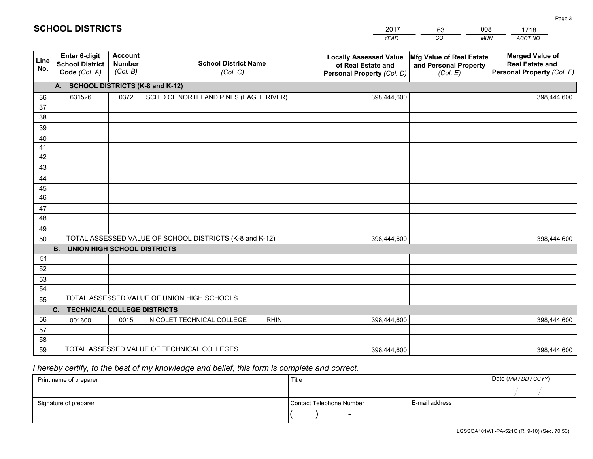|             | <b>SCHOOL DISTRICTS</b>                                  |                                             |                                         | 2017                                                                              | 008<br>63                                                     | 1718                                                                           |
|-------------|----------------------------------------------------------|---------------------------------------------|-----------------------------------------|-----------------------------------------------------------------------------------|---------------------------------------------------------------|--------------------------------------------------------------------------------|
|             |                                                          |                                             |                                         | <b>YEAR</b>                                                                       | CO<br><b>MUN</b>                                              | ACCT NO                                                                        |
| Line<br>No. | Enter 6-digit<br><b>School District</b><br>Code (Col. A) | <b>Account</b><br><b>Number</b><br>(Col. B) | <b>School District Name</b><br>(Col. C) | <b>Locally Assessed Value</b><br>of Real Estate and<br>Personal Property (Col. D) | Mfg Value of Real Estate<br>and Personal Property<br>(Col. E) | <b>Merged Value of</b><br><b>Real Estate and</b><br>Personal Property (Col. F) |
|             | A. SCHOOL DISTRICTS (K-8 and K-12)                       |                                             |                                         |                                                                                   |                                                               |                                                                                |
| 36          | 631526                                                   | 0372                                        | SCH D OF NORTHLAND PINES (EAGLE RIVER)  | 398,444,600                                                                       |                                                               | 398,444,600                                                                    |
| 37          |                                                          |                                             |                                         |                                                                                   |                                                               |                                                                                |
| 38          |                                                          |                                             |                                         |                                                                                   |                                                               |                                                                                |
| 39          |                                                          |                                             |                                         |                                                                                   |                                                               |                                                                                |
| 40          |                                                          |                                             |                                         |                                                                                   |                                                               |                                                                                |
| 41          |                                                          |                                             |                                         |                                                                                   |                                                               |                                                                                |
| 42          |                                                          |                                             |                                         |                                                                                   |                                                               |                                                                                |
| 43          |                                                          |                                             |                                         |                                                                                   |                                                               |                                                                                |
| 44          |                                                          |                                             |                                         |                                                                                   |                                                               |                                                                                |
| 45          |                                                          |                                             |                                         |                                                                                   |                                                               |                                                                                |
| 46          |                                                          |                                             |                                         |                                                                                   |                                                               |                                                                                |
| 47          |                                                          |                                             |                                         |                                                                                   |                                                               |                                                                                |
| 48          |                                                          |                                             |                                         |                                                                                   |                                                               |                                                                                |
| 49          |                                                          |                                             |                                         |                                                                                   |                                                               |                                                                                |

| ᠇୰ |                                                 |      |                                                         |  |             |  |             |  |  |
|----|-------------------------------------------------|------|---------------------------------------------------------|--|-------------|--|-------------|--|--|
| 49 |                                                 |      |                                                         |  |             |  |             |  |  |
| 50 |                                                 |      | TOTAL ASSESSED VALUE OF SCHOOL DISTRICTS (K-8 and K-12) |  | 398,444,600 |  | 398,444,600 |  |  |
|    | <b>UNION HIGH SCHOOL DISTRICTS</b><br><b>B.</b> |      |                                                         |  |             |  |             |  |  |
| 51 |                                                 |      |                                                         |  |             |  |             |  |  |
| 52 |                                                 |      |                                                         |  |             |  |             |  |  |
| 53 |                                                 |      |                                                         |  |             |  |             |  |  |
| 54 |                                                 |      |                                                         |  |             |  |             |  |  |
| 55 |                                                 |      | TOTAL ASSESSED VALUE OF UNION HIGH SCHOOLS              |  |             |  |             |  |  |
|    | <b>TECHNICAL COLLEGE DISTRICTS</b><br>C.        |      |                                                         |  |             |  |             |  |  |
| 56 | 001600                                          | 0015 | NICOLET TECHNICAL COLLEGE<br><b>RHIN</b>                |  | 398,444,600 |  | 398,444,600 |  |  |
| 57 |                                                 |      |                                                         |  |             |  |             |  |  |
| 58 |                                                 |      |                                                         |  |             |  |             |  |  |
| 59 |                                                 |      | TOTAL ASSESSED VALUE OF TECHNICAL COLLEGES              |  | 398,444,600 |  | 398,444,600 |  |  |

# *I hereby certify, to the best of my knowledge and belief, this form is complete and correct.*

| Print name of preparer | Title                    |                | Date (MM / DD / CCYY) |
|------------------------|--------------------------|----------------|-----------------------|
|                        |                          |                |                       |
| Signature of preparer  | Contact Telephone Number | E-mail address |                       |
|                        | $\,$ $\,$                |                |                       |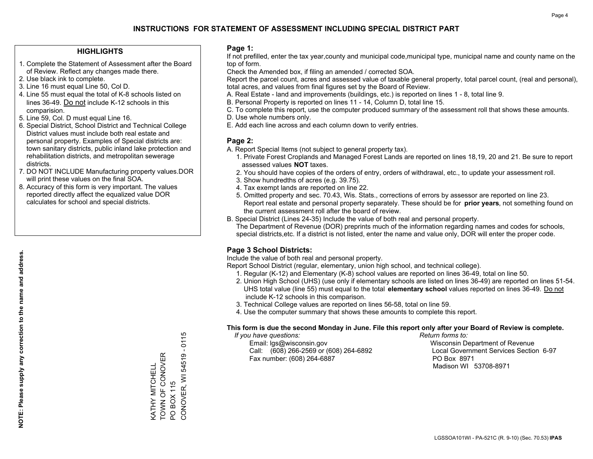## **HIGHLIGHTS**

- 1. Complete the Statement of Assessment after the Board of Review. Reflect any changes made there.
- 2. Use black ink to complete.
- 3. Line 16 must equal Line 50, Col D.
- 4. Line 55 must equal the total of K-8 schools listed on lines 36-49. Do not include K-12 schools in this comparision.
- 5. Line 59, Col. D must equal Line 16.
- 6. Special District, School District and Technical College District values must include both real estate and personal property. Examples of Special districts are: town sanitary districts, public inland lake protection and rehabilitation districts, and metropolitan sewerage districts.
- 7. DO NOT INCLUDE Manufacturing property values.DOR will print these values on the final SOA.
- 8. Accuracy of this form is very important. The values reported directly affect the equalized value DOR calculates for school and special districts.

### **Page 1:**

 If not prefilled, enter the tax year,county and municipal code,municipal type, municipal name and county name on the top of form.

Check the Amended box, if filing an amended / corrected SOA.

 Report the parcel count, acres and assessed value of taxable general property, total parcel count, (real and personal), total acres, and values from final figures set by the Board of Review.

- A. Real Estate land and improvements (buildings, etc.) is reported on lines 1 8, total line 9.
- B. Personal Property is reported on lines 11 14, Column D, total line 15.
- C. To complete this report, use the computer produced summary of the assessment roll that shows these amounts.
- D. Use whole numbers only.
- E. Add each line across and each column down to verify entries.

## **Page 2:**

- A. Report Special Items (not subject to general property tax).
- 1. Private Forest Croplands and Managed Forest Lands are reported on lines 18,19, 20 and 21. Be sure to report assessed values **NOT** taxes.
- 2. You should have copies of the orders of entry, orders of withdrawal, etc., to update your assessment roll.
	- 3. Show hundredths of acres (e.g. 39.75).
- 4. Tax exempt lands are reported on line 22.
- 5. Omitted property and sec. 70.43, Wis. Stats., corrections of errors by assessor are reported on line 23. Report real estate and personal property separately. These should be for **prior years**, not something found on the current assessment roll after the board of review.
- B. Special District (Lines 24-35) Include the value of both real and personal property.

 The Department of Revenue (DOR) preprints much of the information regarding names and codes for schools, special districts,etc. If a district is not listed, enter the name and value only, DOR will enter the proper code.

# **Page 3 School Districts:**

Include the value of both real and personal property.

Report School District (regular, elementary, union high school, and technical college).

- 1. Regular (K-12) and Elementary (K-8) school values are reported on lines 36-49, total on line 50.
- 2. Union High School (UHS) (use only if elementary schools are listed on lines 36-49) are reported on lines 51-54. UHS total value (line 55) must equal to the total **elementary school** values reported on lines 36-49. Do notinclude K-12 schools in this comparison.
- 3. Technical College values are reported on lines 56-58, total on line 59.
- 4. Use the computer summary that shows these amounts to complete this report.

#### **This form is due the second Monday in June. File this report only after your Board of Review is complete.**

 *If you have questions: Return forms to:*

 Email: lgs@wisconsin.gov Wisconsin Department of RevenueCall:  $(608)$  266-2569 or  $(608)$  264-6892 Fax number: (608) 264-6887 PO Box 8971

Local Government Services Section 6-97 Madison WI 53708-8971

0115 CONOVER, WI 54519 - 0115 Ŧ TOWN OF CONOVER KATHY MITCHELL<br>TOWN OF CONOVER CONOVER, WI 54519 KATHY MITCHELL PO BOX 115 PO BOX 115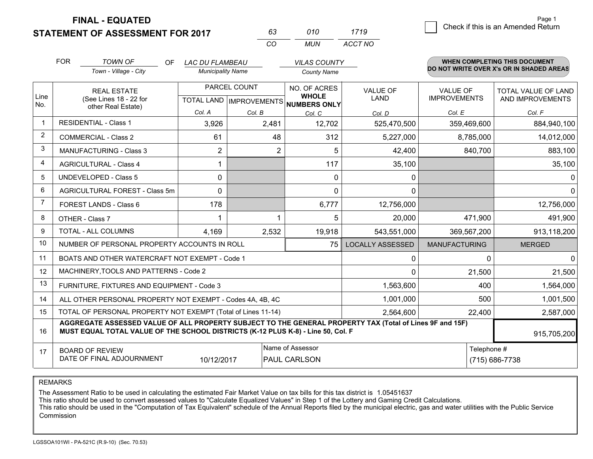**STATEMENT OF ASSESSMENT FOR 2017 FINAL - EQUATED**

|             | <b>FOR</b>                                                                                                                                                                                   | <b>TOWN OF</b><br>OF.                                        | <b>LAC DU FLAMBEAU</b>   |                                | <b>VILAS COUNTY</b>            |                         |                      | <b>WHEN COMPLETING THIS DOCUMENT</b><br>DO NOT WRITE OVER X's OR IN SHADED AREAS |
|-------------|----------------------------------------------------------------------------------------------------------------------------------------------------------------------------------------------|--------------------------------------------------------------|--------------------------|--------------------------------|--------------------------------|-------------------------|----------------------|----------------------------------------------------------------------------------|
|             |                                                                                                                                                                                              | Town - Village - City                                        | <b>Municipality Name</b> |                                | <b>County Name</b>             |                         |                      |                                                                                  |
|             |                                                                                                                                                                                              | <b>REAL ESTATE</b>                                           |                          | PARCEL COUNT                   | NO. OF ACRES<br><b>WHOLE</b>   | <b>VALUE OF</b>         | <b>VALUE OF</b>      | <b>TOTAL VALUE OF LAND</b>                                                       |
| Line<br>No. |                                                                                                                                                                                              | (See Lines 18 - 22 for<br>other Real Estate)                 |                          | <b>TOTAL LAND IMPROVEMENTS</b> | NUMBERS ONLY                   | <b>LAND</b>             | <b>IMPROVEMENTS</b>  | AND IMPROVEMENTS                                                                 |
|             |                                                                                                                                                                                              |                                                              | Col. A                   | Col. B                         | Col. C                         | Col. D                  | Col. E               | Col. F                                                                           |
|             |                                                                                                                                                                                              | <b>RESIDENTIAL - Class 1</b>                                 | 3,926                    | 2,481                          | 12,702                         | 525,470,500             | 359,469,600          | 884,940,100                                                                      |
| 2           |                                                                                                                                                                                              | <b>COMMERCIAL - Class 2</b>                                  | 61                       | 48                             | 312                            | 5,227,000               | 8,785,000            | 14,012,000                                                                       |
| 3           |                                                                                                                                                                                              | MANUFACTURING - Class 3                                      | $\overline{c}$           | $\overline{2}$                 | 5                              | 42,400                  | 840,700              | 883,100                                                                          |
| 4           |                                                                                                                                                                                              | <b>AGRICULTURAL - Class 4</b>                                |                          |                                | 117                            | 35,100                  |                      | 35,100                                                                           |
| 5           |                                                                                                                                                                                              | UNDEVELOPED - Class 5                                        | 0                        |                                | $\mathbf 0$                    | $\mathbf 0$             |                      | $\mathbf{0}$                                                                     |
| 6           |                                                                                                                                                                                              | AGRICULTURAL FOREST - Class 5m                               | $\mathbf{0}$             |                                | $\Omega$                       | $\Omega$                |                      | $\Omega$                                                                         |
| 7           |                                                                                                                                                                                              | FOREST LANDS - Class 6                                       | 178                      |                                | 6,777                          | 12,756,000              |                      | 12,756,000                                                                       |
| 8           |                                                                                                                                                                                              | OTHER - Class 7                                              |                          | 1                              | 5                              | 20,000                  | 471,900              | 491,900                                                                          |
| 9           |                                                                                                                                                                                              | TOTAL - ALL COLUMNS                                          | 4,169                    | 2,532                          | 19,918                         | 543,551,000             | 369,567,200          | 913,118,200                                                                      |
| 10          |                                                                                                                                                                                              | NUMBER OF PERSONAL PROPERTY ACCOUNTS IN ROLL                 |                          |                                | 75                             | <b>LOCALLY ASSESSED</b> | <b>MANUFACTURING</b> | <b>MERGED</b>                                                                    |
| 11          |                                                                                                                                                                                              | BOATS AND OTHER WATERCRAFT NOT EXEMPT - Code 1               |                          |                                |                                | 0                       | $\Omega$             | $\Omega$                                                                         |
| 12          |                                                                                                                                                                                              | MACHINERY, TOOLS AND PATTERNS - Code 2                       |                          |                                |                                | $\Omega$                | 21,500               | 21,500                                                                           |
| 13          |                                                                                                                                                                                              | FURNITURE, FIXTURES AND EQUIPMENT - Code 3                   |                          |                                |                                | 1,563,600               | 400                  | 1,564,000                                                                        |
| 14          |                                                                                                                                                                                              | ALL OTHER PERSONAL PROPERTY NOT EXEMPT - Codes 4A, 4B, 4C    |                          |                                |                                | 1,001,000               | 500                  | 1,001,500                                                                        |
| 15          |                                                                                                                                                                                              | TOTAL OF PERSONAL PROPERTY NOT EXEMPT (Total of Lines 11-14) |                          |                                |                                | 2,564,600               | 22,400               | 2,587,000                                                                        |
| 16          | AGGREGATE ASSESSED VALUE OF ALL PROPERTY SUBJECT TO THE GENERAL PROPERTY TAX (Total of Lines 9F and 15F)<br>MUST EQUAL TOTAL VALUE OF THE SCHOOL DISTRICTS (K-12 PLUS K-8) - Line 50, Col. F |                                                              |                          |                                |                                |                         |                      | 915,705,200                                                                      |
| 17          |                                                                                                                                                                                              | <b>BOARD OF REVIEW</b>                                       |                          |                                | Name of Assessor               |                         | Telephone #          |                                                                                  |
|             |                                                                                                                                                                                              | DATE OF FINAL ADJOURNMENT                                    | 10/12/2017               |                                | PAUL CARLSON<br>(715) 686-7738 |                         |                      |                                                                                  |

*CO*

*MUN*

*ACCT NO1719*

*<sup>63</sup> <sup>010</sup>*

REMARKS

The Assessment Ratio to be used in calculating the estimated Fair Market Value on tax bills for this tax district is 1.05451637<br>This ratio should be used to convert assessed values to "Calculate Equalized Values" in Step 1 Commission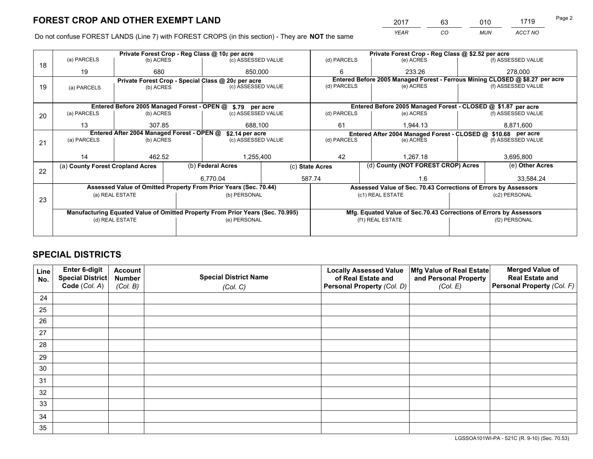*YEAR CO MUN ACCT NO* <sup>2017</sup> <sup>63</sup> <sup>010</sup> <sup>1719</sup>

Do not confuse FOREST LANDS (Line 7) with FOREST CROPS (in this section) - They are **NOT** the same

|    | Private Forest Crop - Reg Class @ 10¢ per acre                                 |                                                               |  |                                                                  |  |                                                       | Private Forest Crop - Reg Class @ \$2.52 per acre             |                                                                    |               |                                                                              |
|----|--------------------------------------------------------------------------------|---------------------------------------------------------------|--|------------------------------------------------------------------|--|-------------------------------------------------------|---------------------------------------------------------------|--------------------------------------------------------------------|---------------|------------------------------------------------------------------------------|
| 18 | (a) PARCELS                                                                    | (b) ACRES                                                     |  | (c) ASSESSED VALUE                                               |  | (d) PARCELS                                           |                                                               | (e) ACRES                                                          |               | (f) ASSESSED VALUE                                                           |
|    | 19                                                                             | 680                                                           |  | 850,000                                                          |  | 6                                                     |                                                               | 233.26                                                             |               | 278,000                                                                      |
|    |                                                                                |                                                               |  | Private Forest Crop - Special Class @ 20¢ per acre               |  |                                                       |                                                               |                                                                    |               | Entered Before 2005 Managed Forest - Ferrous Mining CLOSED @ \$8.27 per acre |
| 19 | (a) PARCELS                                                                    | (b) ACRES                                                     |  | (c) ASSESSED VALUE                                               |  | (d) PARCELS                                           |                                                               | (e) ACRES                                                          |               | (f) ASSESSED VALUE                                                           |
|    |                                                                                |                                                               |  |                                                                  |  |                                                       |                                                               |                                                                    |               |                                                                              |
|    |                                                                                |                                                               |  | Entered Before 2005 Managed Forest - OPEN @ \$.79 per acre       |  |                                                       |                                                               | Entered Before 2005 Managed Forest - CLOSED @ \$1.87 per acre      |               |                                                                              |
| 20 | (a) PARCELS                                                                    | (b) ACRES                                                     |  | (c) ASSESSED VALUE                                               |  | (d) PARCELS                                           |                                                               | (e) ACRES                                                          |               | (f) ASSESSED VALUE                                                           |
|    | 13                                                                             | 307.85                                                        |  | 688,100                                                          |  | 61                                                    |                                                               | 1,944.13                                                           | 8,871,600     |                                                                              |
|    |                                                                                | Entered After 2004 Managed Forest - OPEN @<br>\$2.14 per acre |  |                                                                  |  |                                                       | Entered After 2004 Managed Forest - CLOSED @ \$10.68 per acre |                                                                    |               |                                                                              |
| 21 | (a) PARCELS                                                                    | (b) ACRES                                                     |  | (c) ASSESSED VALUE                                               |  | (d) PARCELS<br>(e) ACRES                              |                                                               | (f) ASSESSED VALUE                                                 |               |                                                                              |
|    |                                                                                |                                                               |  |                                                                  |  |                                                       |                                                               |                                                                    |               |                                                                              |
|    | 14                                                                             | 462.52                                                        |  | 1,255,400                                                        |  | 42                                                    |                                                               | 1.267.18                                                           |               | 3,695,800                                                                    |
|    | (a) County Forest Cropland Acres                                               |                                                               |  | (b) Federal Acres                                                |  | (d) County (NOT FOREST CROP) Acres<br>(c) State Acres |                                                               | (e) Other Acres                                                    |               |                                                                              |
| 22 |                                                                                |                                                               |  |                                                                  |  |                                                       |                                                               |                                                                    |               |                                                                              |
|    |                                                                                |                                                               |  | 6.770.04                                                         |  | 587.74                                                |                                                               | 1.6                                                                |               | 33,584.24                                                                    |
|    |                                                                                |                                                               |  | Assessed Value of Omitted Property From Prior Years (Sec. 70.44) |  |                                                       |                                                               | Assessed Value of Sec. 70.43 Corrections of Errors by Assessors    |               |                                                                              |
| 23 |                                                                                | (a) REAL ESTATE                                               |  | (b) PERSONAL                                                     |  | (c1) REAL ESTATE                                      |                                                               |                                                                    | (c2) PERSONAL |                                                                              |
|    |                                                                                |                                                               |  |                                                                  |  |                                                       |                                                               |                                                                    |               |                                                                              |
|    | Manufacturing Equated Value of Omitted Property From Prior Years (Sec. 70.995) |                                                               |  |                                                                  |  |                                                       |                                                               | Mfg. Equated Value of Sec.70.43 Corrections of Errors by Assessors |               |                                                                              |
|    | (d) REAL ESTATE                                                                |                                                               |  | (e) PERSONAL                                                     |  | (f1) REAL ESTATE                                      |                                                               | (f2) PERSONAL                                                      |               |                                                                              |
|    |                                                                                |                                                               |  |                                                                  |  |                                                       |                                                               |                                                                    |               |                                                                              |
|    |                                                                                |                                                               |  |                                                                  |  |                                                       |                                                               |                                                                    |               |                                                                              |

# **SPECIAL DISTRICTS**

| Line<br>No. | Enter 6-digit<br><b>Special District</b> | <b>Account</b><br><b>Number</b> | <b>Special District Name</b> | <b>Locally Assessed Value</b><br>of Real Estate and | Mfg Value of Real Estate<br>and Personal Property | <b>Merged Value of</b><br><b>Real Estate and</b> |
|-------------|------------------------------------------|---------------------------------|------------------------------|-----------------------------------------------------|---------------------------------------------------|--------------------------------------------------|
|             | Code (Col. A)                            | (Col. B)                        | (Col. C)                     | Personal Property (Col. D)                          | (Col. E)                                          | Personal Property (Col. F)                       |
| 24          |                                          |                                 |                              |                                                     |                                                   |                                                  |
| 25          |                                          |                                 |                              |                                                     |                                                   |                                                  |
| 26          |                                          |                                 |                              |                                                     |                                                   |                                                  |
| 27          |                                          |                                 |                              |                                                     |                                                   |                                                  |
| 28          |                                          |                                 |                              |                                                     |                                                   |                                                  |
| 29          |                                          |                                 |                              |                                                     |                                                   |                                                  |
| 30          |                                          |                                 |                              |                                                     |                                                   |                                                  |
| 31          |                                          |                                 |                              |                                                     |                                                   |                                                  |
| 32          |                                          |                                 |                              |                                                     |                                                   |                                                  |
| 33          |                                          |                                 |                              |                                                     |                                                   |                                                  |
| 34          |                                          |                                 |                              |                                                     |                                                   |                                                  |
| 35          |                                          |                                 |                              |                                                     |                                                   |                                                  |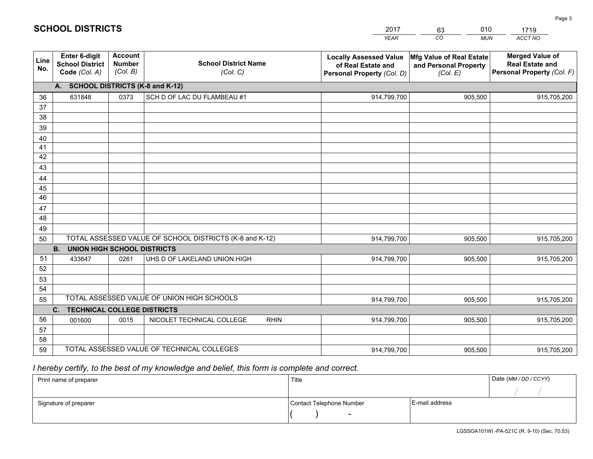|             |                                                          |                                             |                                                         | <b>YEAR</b>                                                                       | CO<br><b>MUN</b>                                              | ACCT NO                                                                        |
|-------------|----------------------------------------------------------|---------------------------------------------|---------------------------------------------------------|-----------------------------------------------------------------------------------|---------------------------------------------------------------|--------------------------------------------------------------------------------|
| Line<br>No. | Enter 6-digit<br><b>School District</b><br>Code (Col. A) | <b>Account</b><br><b>Number</b><br>(Col. B) | <b>School District Name</b><br>(Col. C)                 | <b>Locally Assessed Value</b><br>of Real Estate and<br>Personal Property (Col. D) | Mfg Value of Real Estate<br>and Personal Property<br>(Col. E) | <b>Merged Value of</b><br><b>Real Estate and</b><br>Personal Property (Col. F) |
|             | <b>SCHOOL DISTRICTS (K-8 and K-12)</b><br>А.             |                                             |                                                         |                                                                                   |                                                               |                                                                                |
| 36          | 631848                                                   | 0373                                        | SCH D OF LAC DU FLAMBEAU #1                             | 914,799,700                                                                       | 905,500                                                       | 915,705,200                                                                    |
| 37          |                                                          |                                             |                                                         |                                                                                   |                                                               |                                                                                |
| 38          |                                                          |                                             |                                                         |                                                                                   |                                                               |                                                                                |
| 39          |                                                          |                                             |                                                         |                                                                                   |                                                               |                                                                                |
| 40          |                                                          |                                             |                                                         |                                                                                   |                                                               |                                                                                |
| 41<br>42    |                                                          |                                             |                                                         |                                                                                   |                                                               |                                                                                |
| 43          |                                                          |                                             |                                                         |                                                                                   |                                                               |                                                                                |
| 44          |                                                          |                                             |                                                         |                                                                                   |                                                               |                                                                                |
| 45          |                                                          |                                             |                                                         |                                                                                   |                                                               |                                                                                |
| 46          |                                                          |                                             |                                                         |                                                                                   |                                                               |                                                                                |
| 47          |                                                          |                                             |                                                         |                                                                                   |                                                               |                                                                                |
| 48          |                                                          |                                             |                                                         |                                                                                   |                                                               |                                                                                |
| 49          |                                                          |                                             |                                                         |                                                                                   |                                                               |                                                                                |
| 50          |                                                          |                                             | TOTAL ASSESSED VALUE OF SCHOOL DISTRICTS (K-8 and K-12) | 914,799,700                                                                       | 905,500                                                       | 915,705,200                                                                    |
|             | <b>B.</b><br><b>UNION HIGH SCHOOL DISTRICTS</b>          |                                             |                                                         |                                                                                   |                                                               |                                                                                |
| 51          | 433647                                                   | 0261                                        | UHS D OF LAKELAND UNION HIGH                            | 914,799,700                                                                       | 905,500                                                       | 915,705,200                                                                    |
| 52          |                                                          |                                             |                                                         |                                                                                   |                                                               |                                                                                |
| 53<br>54    |                                                          |                                             |                                                         |                                                                                   |                                                               |                                                                                |
| 55          |                                                          |                                             | TOTAL ASSESSED VALUE OF UNION HIGH SCHOOLS              | 914,799,700                                                                       | 905,500                                                       | 915,705,200                                                                    |
|             | <b>TECHNICAL COLLEGE DISTRICTS</b><br>C.                 |                                             |                                                         |                                                                                   |                                                               |                                                                                |
| 56          | 001600                                                   | 0015                                        | NICOLET TECHNICAL COLLEGE<br><b>RHIN</b>                | 914,799,700                                                                       | 905,500                                                       | 915,705,200                                                                    |
| 57          |                                                          |                                             |                                                         |                                                                                   |                                                               |                                                                                |
| 58          |                                                          |                                             |                                                         |                                                                                   |                                                               |                                                                                |
| 59          |                                                          |                                             | TOTAL ASSESSED VALUE OF TECHNICAL COLLEGES              | 914,799,700                                                                       | 905,500                                                       | 915,705,200                                                                    |

2017

63

010

# *I hereby certify, to the best of my knowledge and belief, this form is complete and correct.*

**SCHOOL DISTRICTS**

| Print name of preparer | Title                    | Date (MM / DD / CCYY) |
|------------------------|--------------------------|-----------------------|
|                        |                          |                       |
| Signature of preparer  | Contact Telephone Number | E-mail address        |
|                        | $\overline{\phantom{0}}$ |                       |

1719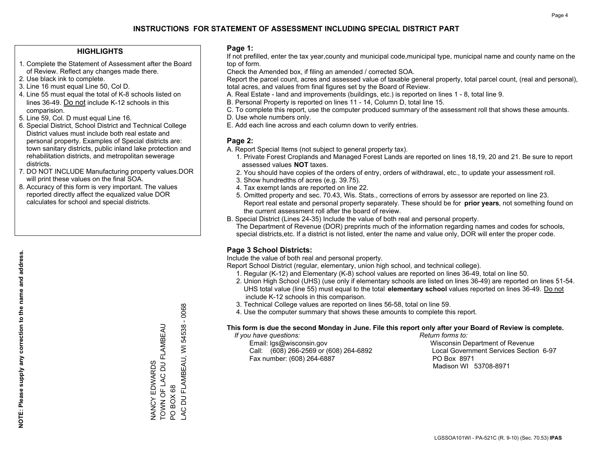## **HIGHLIGHTS**

- 1. Complete the Statement of Assessment after the Board of Review. Reflect any changes made there.
- 2. Use black ink to complete.
- 3. Line 16 must equal Line 50, Col D.
- 4. Line 55 must equal the total of K-8 schools listed on lines 36-49. Do not include K-12 schools in this comparision.
- 5. Line 59, Col. D must equal Line 16.
- 6. Special District, School District and Technical College District values must include both real estate and personal property. Examples of Special districts are: town sanitary districts, public inland lake protection and rehabilitation districts, and metropolitan sewerage districts.
- 7. DO NOT INCLUDE Manufacturing property values.DOR will print these values on the final SOA.
- 8. Accuracy of this form is very important. The values reported directly affect the equalized value DOR calculates for school and special districts.

### **Page 1:**

 If not prefilled, enter the tax year,county and municipal code,municipal type, municipal name and county name on the top of form.

Check the Amended box, if filing an amended / corrected SOA.

 Report the parcel count, acres and assessed value of taxable general property, total parcel count, (real and personal), total acres, and values from final figures set by the Board of Review.

- A. Real Estate land and improvements (buildings, etc.) is reported on lines 1 8, total line 9.
- B. Personal Property is reported on lines 11 14, Column D, total line 15.
- C. To complete this report, use the computer produced summary of the assessment roll that shows these amounts.
- D. Use whole numbers only.
- E. Add each line across and each column down to verify entries.

### **Page 2:**

- A. Report Special Items (not subject to general property tax).
- 1. Private Forest Croplands and Managed Forest Lands are reported on lines 18,19, 20 and 21. Be sure to report assessed values **NOT** taxes.
- 2. You should have copies of the orders of entry, orders of withdrawal, etc., to update your assessment roll.
	- 3. Show hundredths of acres (e.g. 39.75).
- 4. Tax exempt lands are reported on line 22.
- 5. Omitted property and sec. 70.43, Wis. Stats., corrections of errors by assessor are reported on line 23. Report real estate and personal property separately. These should be for **prior years**, not something found on the current assessment roll after the board of review.
- B. Special District (Lines 24-35) Include the value of both real and personal property.
- The Department of Revenue (DOR) preprints much of the information regarding names and codes for schools, special districts,etc. If a district is not listed, enter the name and value only, DOR will enter the proper code.

# **Page 3 School Districts:**

Include the value of both real and personal property.

Report School District (regular, elementary, union high school, and technical college).

- 1. Regular (K-12) and Elementary (K-8) school values are reported on lines 36-49, total on line 50.
- 2. Union High School (UHS) (use only if elementary schools are listed on lines 36-49) are reported on lines 51-54. UHS total value (line 55) must equal to the total **elementary school** values reported on lines 36-49. Do notinclude K-12 schools in this comparison.
- 3. Technical College values are reported on lines 56-58, total on line 59.
- 4. Use the computer summary that shows these amounts to complete this report.

#### **This form is due the second Monday in June. File this report only after your Board of Review is complete.**

 *If you have questions: Return forms to:*

 Email: lgs@wisconsin.gov Wisconsin Department of RevenueCall:  $(608)$  266-2569 or  $(608)$  264-6892 Fax number: (608) 264-6887 PO Box 8971

Local Government Services Section 6-97 Madison WI 53708-8971

AC DU FLAMBEAU, WI 54538 - 0068 LAC DU FLAMBEAU, WI 54538 - 0068 TOWN OF LAC DU FLAMBEAU NANCY EDWARDS<br>TOWN OF LAC DU FLAMBEAU NANCY EDWARDS PO BOX 68 PO BOX 68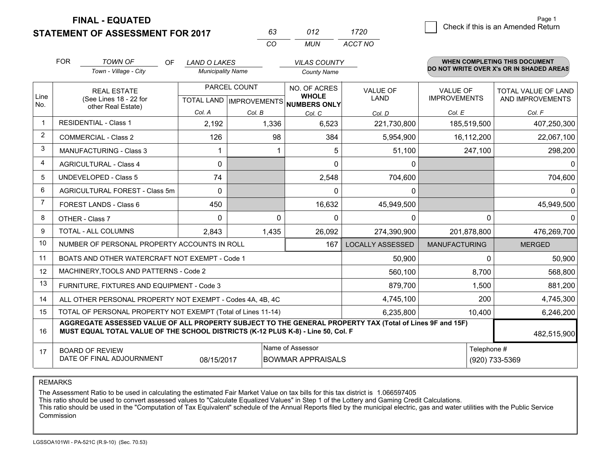**FINAL - EQUATED**

# **STATEMENT OF ASSESSMENT FOR 2017**

| 63 | N12 | 1720    |
|----|-----|---------|
| cо | MUN | ACCT NO |

|                | <b>FOR</b>                                                                                                                                                                                   | <b>TOWN OF</b><br>OF                                         | <b>LAND O LAKES</b>      |              | <b>VILAS COUNTY</b>                                  |                         |                      | <b>WHEN COMPLETING THIS DOCUMENT</b>     |
|----------------|----------------------------------------------------------------------------------------------------------------------------------------------------------------------------------------------|--------------------------------------------------------------|--------------------------|--------------|------------------------------------------------------|-------------------------|----------------------|------------------------------------------|
|                |                                                                                                                                                                                              | Town - Village - City                                        | <b>Municipality Name</b> |              | <b>County Name</b>                                   |                         |                      | DO NOT WRITE OVER X's OR IN SHADED AREAS |
|                |                                                                                                                                                                                              | <b>REAL ESTATE</b>                                           |                          | PARCEL COUNT | NO. OF ACRES                                         | <b>VALUE OF</b>         | <b>VALUE OF</b>      | TOTAL VALUE OF LAND                      |
| Line<br>No.    |                                                                                                                                                                                              | (See Lines 18 - 22 for<br>other Real Estate)                 |                          |              | <b>WHOLE</b><br>TOTAL LAND IMPROVEMENTS NUMBERS ONLY | <b>LAND</b>             | <b>IMPROVEMENTS</b>  | AND IMPROVEMENTS                         |
|                |                                                                                                                                                                                              |                                                              | Col. A                   | Col. B       | Col. C                                               | Col. D                  | Col. E               | Col. F                                   |
| 1              |                                                                                                                                                                                              | <b>RESIDENTIAL - Class 1</b>                                 | 2,192                    | 1,336        | 6,523                                                | 221,730,800             | 185,519,500          | 407,250,300                              |
| $\overline{2}$ |                                                                                                                                                                                              | <b>COMMERCIAL - Class 2</b>                                  | 126                      | 98           | 384                                                  | 5,954,900               | 16,112,200           | 22,067,100                               |
| 3              |                                                                                                                                                                                              | <b>MANUFACTURING - Class 3</b>                               | 1                        |              | 5                                                    | 51,100                  | 247,100              | 298,200                                  |
| $\overline{4}$ |                                                                                                                                                                                              | <b>AGRICULTURAL - Class 4</b>                                | 0                        |              | $\Omega$                                             | 0                       |                      | $\Omega$                                 |
| 5              |                                                                                                                                                                                              | UNDEVELOPED - Class 5                                        | 74                       |              | 2,548                                                | 704,600                 |                      | 704,600                                  |
| 6              |                                                                                                                                                                                              | <b>AGRICULTURAL FOREST - Class 5m</b>                        | $\Omega$                 |              | $\Omega$                                             | 0                       |                      | 0                                        |
| $\overline{7}$ |                                                                                                                                                                                              | FOREST LANDS - Class 6                                       | 450                      |              | 16,632                                               | 45,949,500              |                      | 45,949,500                               |
| 8              |                                                                                                                                                                                              | OTHER - Class 7                                              | $\Omega$                 | $\Omega$     | $\Omega$                                             | 0                       | $\Omega$             | 0                                        |
| 9              |                                                                                                                                                                                              | TOTAL - ALL COLUMNS                                          | 2,843                    | 1,435        | 26,092                                               | 274,390,900             | 201,878,800          | 476,269,700                              |
| 10             |                                                                                                                                                                                              | NUMBER OF PERSONAL PROPERTY ACCOUNTS IN ROLL                 |                          |              | 167                                                  | <b>LOCALLY ASSESSED</b> | <b>MANUFACTURING</b> | <b>MERGED</b>                            |
| 11             |                                                                                                                                                                                              | BOATS AND OTHER WATERCRAFT NOT EXEMPT - Code 1               |                          |              |                                                      | 50,900                  | $\Omega$             | 50,900                                   |
| 12             |                                                                                                                                                                                              | MACHINERY, TOOLS AND PATTERNS - Code 2                       |                          |              |                                                      | 560,100                 | 8,700                | 568,800                                  |
| 13             |                                                                                                                                                                                              | FURNITURE, FIXTURES AND EQUIPMENT - Code 3                   |                          |              |                                                      | 879,700                 | 1,500                | 881,200                                  |
| 14             |                                                                                                                                                                                              | ALL OTHER PERSONAL PROPERTY NOT EXEMPT - Codes 4A, 4B, 4C    |                          |              |                                                      | 4,745,100               | 200                  | 4,745,300                                |
| 15             |                                                                                                                                                                                              | TOTAL OF PERSONAL PROPERTY NOT EXEMPT (Total of Lines 11-14) |                          |              | 6,235,800                                            | 10,400                  | 6,246,200            |                                          |
| 16             | AGGREGATE ASSESSED VALUE OF ALL PROPERTY SUBJECT TO THE GENERAL PROPERTY TAX (Total of Lines 9F and 15F)<br>MUST EQUAL TOTAL VALUE OF THE SCHOOL DISTRICTS (K-12 PLUS K-8) - Line 50, Col. F |                                                              |                          |              |                                                      |                         |                      | 482,515,900                              |
| 17             |                                                                                                                                                                                              | <b>BOARD OF REVIEW</b>                                       |                          |              | Name of Assessor                                     |                         | Telephone #          |                                          |
|                |                                                                                                                                                                                              | DATE OF FINAL ADJOURNMENT                                    | 08/15/2017               |              | <b>BOWMAR APPRAISALS</b>                             |                         |                      | (920) 733-5369                           |

REMARKS

The Assessment Ratio to be used in calculating the estimated Fair Market Value on tax bills for this tax district is 1.066597405

This ratio should be used to convert assessed values to "Calculate Equalized Values" in Step 1 of the Lottery and Gaming Credit Calculations.<br>This ratio should be used in the "Computation of Tax Equivalent" schedule of the Commission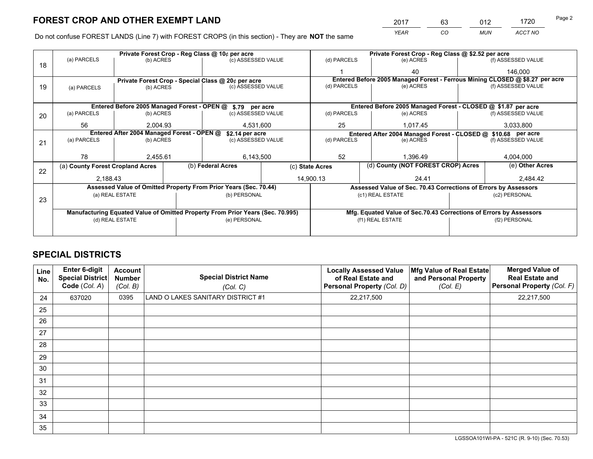*YEAR CO MUN ACCT NO* <sup>2017</sup> <sup>63</sup> <sup>012</sup> <sup>1720</sup> Page 2

Do not confuse FOREST LANDS (Line 7) with FOREST CROPS (in this section) - They are **NOT** the same

|    | Private Forest Crop - Reg Class @ 10¢ per acre                                 |                 |  |                                                                  |  |                                                                    | Private Forest Crop - Reg Class @ \$2.52 per acre                            |  |                    |  |
|----|--------------------------------------------------------------------------------|-----------------|--|------------------------------------------------------------------|--|--------------------------------------------------------------------|------------------------------------------------------------------------------|--|--------------------|--|
| 18 | (a) PARCELS                                                                    | (b) ACRES       |  | (c) ASSESSED VALUE                                               |  | (d) PARCELS                                                        | (e) ACRES                                                                    |  | (f) ASSESSED VALUE |  |
|    |                                                                                |                 |  |                                                                  |  |                                                                    | 40                                                                           |  | 146.000            |  |
|    |                                                                                |                 |  | Private Forest Crop - Special Class @ 20¢ per acre               |  |                                                                    | Entered Before 2005 Managed Forest - Ferrous Mining CLOSED @ \$8.27 per acre |  |                    |  |
| 19 | (a) PARCELS                                                                    | (b) ACRES       |  | (c) ASSESSED VALUE                                               |  | (d) PARCELS                                                        | (e) ACRES                                                                    |  | (f) ASSESSED VALUE |  |
|    |                                                                                |                 |  |                                                                  |  |                                                                    |                                                                              |  |                    |  |
|    |                                                                                |                 |  | Entered Before 2005 Managed Forest - OPEN @ \$.79 per acre       |  |                                                                    | Entered Before 2005 Managed Forest - CLOSED @ \$1.87 per acre                |  |                    |  |
| 20 | (a) PARCELS                                                                    | (b) ACRES       |  | (c) ASSESSED VALUE                                               |  | (d) PARCELS                                                        | (e) ACRES                                                                    |  | (f) ASSESSED VALUE |  |
|    | 56                                                                             | 2.004.93        |  | 4,531,600                                                        |  | 25                                                                 | 1,017.45                                                                     |  | 3,033,800          |  |
|    | Entered After 2004 Managed Forest - OPEN @<br>\$2.14 per acre                  |                 |  | Entered After 2004 Managed Forest - CLOSED @ \$10.68 per acre    |  |                                                                    |                                                                              |  |                    |  |
| 21 | (a) PARCELS                                                                    | (b) ACRES       |  | (c) ASSESSED VALUE                                               |  | (d) PARCELS                                                        | (e) ACRES                                                                    |  |                    |  |
|    |                                                                                |                 |  |                                                                  |  |                                                                    |                                                                              |  |                    |  |
|    | 78                                                                             | 2,455.61        |  | 6,143,500                                                        |  | 52                                                                 | 1,396.49                                                                     |  | 4,004,000          |  |
| 22 | (a) County Forest Cropland Acres                                               |                 |  | (b) Federal Acres                                                |  | (c) State Acres                                                    | (d) County (NOT FOREST CROP) Acres                                           |  | (e) Other Acres    |  |
|    | 2,188.43                                                                       |                 |  | 14,900.13                                                        |  |                                                                    | 24.41                                                                        |  | 2,484.42           |  |
|    |                                                                                |                 |  | Assessed Value of Omitted Property From Prior Years (Sec. 70.44) |  |                                                                    | Assessed Value of Sec. 70.43 Corrections of Errors by Assessors              |  |                    |  |
|    |                                                                                | (a) REAL ESTATE |  | (b) PERSONAL                                                     |  | (c1) REAL ESTATE                                                   |                                                                              |  | (c2) PERSONAL      |  |
|    | 23                                                                             |                 |  |                                                                  |  |                                                                    |                                                                              |  |                    |  |
|    | Manufacturing Equated Value of Omitted Property From Prior Years (Sec. 70.995) |                 |  |                                                                  |  | Mfg. Equated Value of Sec.70.43 Corrections of Errors by Assessors |                                                                              |  |                    |  |
|    | (d) REAL ESTATE                                                                |                 |  | (e) PERSONAL                                                     |  | (f1) REAL ESTATE                                                   |                                                                              |  | (f2) PERSONAL      |  |
|    |                                                                                |                 |  |                                                                  |  |                                                                    |                                                                              |  |                    |  |

# **SPECIAL DISTRICTS**

| Line<br>No. | Enter 6-digit<br><b>Special District</b><br>Code (Col. A) | <b>Account</b><br><b>Number</b><br>(Col. B) | <b>Special District Name</b><br>(Col. C) | <b>Locally Assessed Value</b><br>of Real Estate and<br>Personal Property (Col. D) | Mfg Value of Real Estate<br>and Personal Property<br>(Col. E) | <b>Merged Value of</b><br><b>Real Estate and</b><br>Personal Property (Col. F) |
|-------------|-----------------------------------------------------------|---------------------------------------------|------------------------------------------|-----------------------------------------------------------------------------------|---------------------------------------------------------------|--------------------------------------------------------------------------------|
| 24          | 637020                                                    | 0395                                        | LAND O LAKES SANITARY DISTRICT #1        | 22,217,500                                                                        |                                                               | 22,217,500                                                                     |
| 25          |                                                           |                                             |                                          |                                                                                   |                                                               |                                                                                |
| 26          |                                                           |                                             |                                          |                                                                                   |                                                               |                                                                                |
| 27          |                                                           |                                             |                                          |                                                                                   |                                                               |                                                                                |
| 28          |                                                           |                                             |                                          |                                                                                   |                                                               |                                                                                |
| 29          |                                                           |                                             |                                          |                                                                                   |                                                               |                                                                                |
| 30          |                                                           |                                             |                                          |                                                                                   |                                                               |                                                                                |
| 31          |                                                           |                                             |                                          |                                                                                   |                                                               |                                                                                |
| 32          |                                                           |                                             |                                          |                                                                                   |                                                               |                                                                                |
| 33          |                                                           |                                             |                                          |                                                                                   |                                                               |                                                                                |
| 34          |                                                           |                                             |                                          |                                                                                   |                                                               |                                                                                |
| 35          |                                                           |                                             |                                          |                                                                                   |                                                               |                                                                                |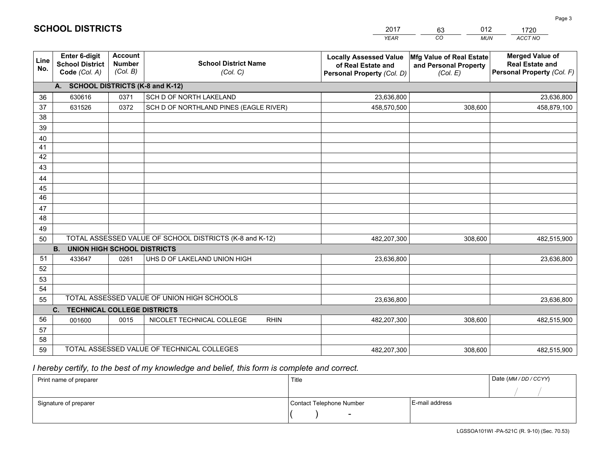|             |                                                                 |                                             |                                                         | <b>YEAR</b>                                                                       | CO<br><b>MUN</b>                                              | <b>ACCT NO</b>                                                                 |
|-------------|-----------------------------------------------------------------|---------------------------------------------|---------------------------------------------------------|-----------------------------------------------------------------------------------|---------------------------------------------------------------|--------------------------------------------------------------------------------|
| Line<br>No. | <b>Enter 6-digit</b><br><b>School District</b><br>Code (Col. A) | <b>Account</b><br><b>Number</b><br>(Col. B) | <b>School District Name</b><br>(Col. C)                 | <b>Locally Assessed Value</b><br>of Real Estate and<br>Personal Property (Col. D) | Mfg Value of Real Estate<br>and Personal Property<br>(Col. E) | <b>Merged Value of</b><br><b>Real Estate and</b><br>Personal Property (Col. F) |
|             | A. SCHOOL DISTRICTS (K-8 and K-12)                              |                                             |                                                         |                                                                                   |                                                               |                                                                                |
| 36          | 630616                                                          | 0371                                        | SCH D OF NORTH LAKELAND                                 | 23,636,800                                                                        |                                                               | 23,636,800                                                                     |
| 37          | 631526                                                          | 0372                                        | SCH D OF NORTHLAND PINES (EAGLE RIVER)                  | 458,570,500                                                                       | 308,600                                                       | 458,879,100                                                                    |
| 38          |                                                                 |                                             |                                                         |                                                                                   |                                                               |                                                                                |
| 39          |                                                                 |                                             |                                                         |                                                                                   |                                                               |                                                                                |
| 40          |                                                                 |                                             |                                                         |                                                                                   |                                                               |                                                                                |
| 41          |                                                                 |                                             |                                                         |                                                                                   |                                                               |                                                                                |
| 42          |                                                                 |                                             |                                                         |                                                                                   |                                                               |                                                                                |
| 43          |                                                                 |                                             |                                                         |                                                                                   |                                                               |                                                                                |
| 44          |                                                                 |                                             |                                                         |                                                                                   |                                                               |                                                                                |
| 45<br>46    |                                                                 |                                             |                                                         |                                                                                   |                                                               |                                                                                |
| 47          |                                                                 |                                             |                                                         |                                                                                   |                                                               |                                                                                |
| 48          |                                                                 |                                             |                                                         |                                                                                   |                                                               |                                                                                |
| 49          |                                                                 |                                             |                                                         |                                                                                   |                                                               |                                                                                |
| 50          |                                                                 |                                             | TOTAL ASSESSED VALUE OF SCHOOL DISTRICTS (K-8 and K-12) | 482,207,300                                                                       | 308,600                                                       | 482,515,900                                                                    |
|             | <b>B.</b><br><b>UNION HIGH SCHOOL DISTRICTS</b>                 |                                             |                                                         |                                                                                   |                                                               |                                                                                |
| 51          | 433647                                                          | 0261                                        | UHS D OF LAKELAND UNION HIGH                            | 23,636,800                                                                        |                                                               | 23,636,800                                                                     |
| 52          |                                                                 |                                             |                                                         |                                                                                   |                                                               |                                                                                |
| 53          |                                                                 |                                             |                                                         |                                                                                   |                                                               |                                                                                |
| 54          |                                                                 |                                             |                                                         |                                                                                   |                                                               |                                                                                |
| 55          |                                                                 |                                             | TOTAL ASSESSED VALUE OF UNION HIGH SCHOOLS              | 23,636,800                                                                        |                                                               | 23,636,800                                                                     |
|             | C.<br><b>TECHNICAL COLLEGE DISTRICTS</b>                        |                                             |                                                         |                                                                                   |                                                               |                                                                                |
| 56          | 001600                                                          | 0015                                        | NICOLET TECHNICAL COLLEGE<br><b>RHIN</b>                | 482,207,300                                                                       | 308,600                                                       | 482,515,900                                                                    |
| 57          |                                                                 |                                             |                                                         |                                                                                   |                                                               |                                                                                |
| 58          |                                                                 |                                             |                                                         |                                                                                   |                                                               |                                                                                |
| 59          |                                                                 |                                             | TOTAL ASSESSED VALUE OF TECHNICAL COLLEGES              | 482,207,300                                                                       | 308,600                                                       | 482,515,900                                                                    |

2017

63

012

 *I hereby certify, to the best of my knowledge and belief, this form is complete and correct.*

**SCHOOL DISTRICTS**

| Print name of preparer | Title                    |                | Date (MM / DD / CCYY) |
|------------------------|--------------------------|----------------|-----------------------|
|                        |                          |                |                       |
| Signature of preparer  | Contact Telephone Number | E-mail address |                       |
|                        | $\sim$                   |                |                       |

1720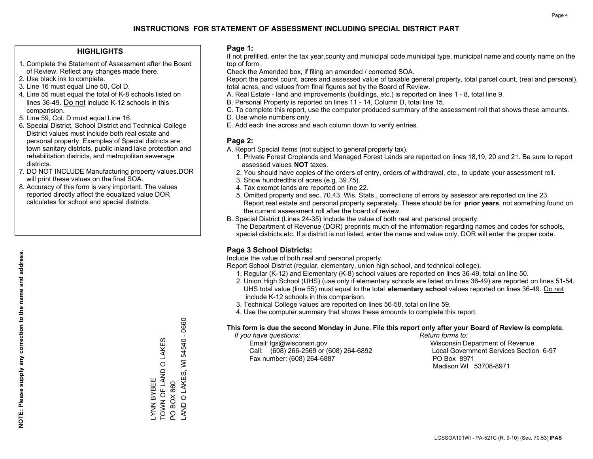## **HIGHLIGHTS**

- 1. Complete the Statement of Assessment after the Board of Review. Reflect any changes made there.
- 2. Use black ink to complete.
- 3. Line 16 must equal Line 50, Col D.
- 4. Line 55 must equal the total of K-8 schools listed on lines 36-49. Do not include K-12 schools in this comparision.
- 5. Line 59, Col. D must equal Line 16.
- 6. Special District, School District and Technical College District values must include both real estate and personal property. Examples of Special districts are: town sanitary districts, public inland lake protection and rehabilitation districts, and metropolitan sewerage districts.
- 7. DO NOT INCLUDE Manufacturing property values.DOR will print these values on the final SOA.
- 8. Accuracy of this form is very important. The values reported directly affect the equalized value DOR calculates for school and special districts.

### **Page 1:**

 If not prefilled, enter the tax year,county and municipal code,municipal type, municipal name and county name on the top of form.

Check the Amended box, if filing an amended / corrected SOA.

 Report the parcel count, acres and assessed value of taxable general property, total parcel count, (real and personal), total acres, and values from final figures set by the Board of Review.

- A. Real Estate land and improvements (buildings, etc.) is reported on lines 1 8, total line 9.
- B. Personal Property is reported on lines 11 14, Column D, total line 15.
- C. To complete this report, use the computer produced summary of the assessment roll that shows these amounts.
- D. Use whole numbers only.
- E. Add each line across and each column down to verify entries.

## **Page 2:**

- A. Report Special Items (not subject to general property tax).
- 1. Private Forest Croplands and Managed Forest Lands are reported on lines 18,19, 20 and 21. Be sure to report assessed values **NOT** taxes.
- 2. You should have copies of the orders of entry, orders of withdrawal, etc., to update your assessment roll.
	- 3. Show hundredths of acres (e.g. 39.75).
- 4. Tax exempt lands are reported on line 22.
- 5. Omitted property and sec. 70.43, Wis. Stats., corrections of errors by assessor are reported on line 23. Report real estate and personal property separately. These should be for **prior years**, not something found on the current assessment roll after the board of review.
- B. Special District (Lines 24-35) Include the value of both real and personal property.

 The Department of Revenue (DOR) preprints much of the information regarding names and codes for schools, special districts,etc. If a district is not listed, enter the name and value only, DOR will enter the proper code.

# **Page 3 School Districts:**

Include the value of both real and personal property.

Report School District (regular, elementary, union high school, and technical college).

- 1. Regular (K-12) and Elementary (K-8) school values are reported on lines 36-49, total on line 50.
- 2. Union High School (UHS) (use only if elementary schools are listed on lines 36-49) are reported on lines 51-54. UHS total value (line 55) must equal to the total **elementary school** values reported on lines 36-49. Do notinclude K-12 schools in this comparison.
- 3. Technical College values are reported on lines 56-58, total on line 59.
- 4. Use the computer summary that shows these amounts to complete this report.

#### **This form is due the second Monday in June. File this report only after your Board of Review is complete.**

 *If you have questions: Return forms to:*

 Email: lgs@wisconsin.gov Wisconsin Department of RevenueCall:  $(608)$  266-2569 or  $(608)$  264-6892 Fax number: (608) 264-6887 PO Box 8971

Local Government Services Section 6-97 Madison WI 53708-8971

0660 LAND O LAKES, WI 54540 - 0660  $\mathbf{I}$ TOWN OF LAND O LAKES 54540 O LAKES AND O LAKES, WI **TOWN OF LAND YNN BYBEE** LYNN BYBEE PO BOX 660 PO BOX 660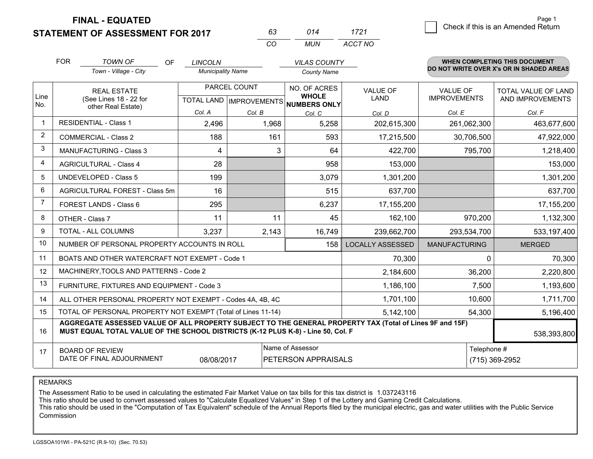**FINAL - EQUATED**

## **STATEMENT OF ASSESSMENT FOR 2017**

| 63 | 014 | 1721    |
|----|-----|---------|
| (  | MUN | ACCT NO |

|                | <b>FOR</b><br><b>TOWN OF</b><br><b>OF</b><br>Town - Village - City                                                                                                                           |                                                | <b>LINCOLN</b><br><b>Municipality Name</b>       |        | <b>VILAS COUNTY</b><br><b>County Name</b>    |                                | <b>WHEN COMPLETING THIS DOCUMENT</b><br>DO NOT WRITE OVER X's OR IN SHADED AREAS |                                                |  |
|----------------|----------------------------------------------------------------------------------------------------------------------------------------------------------------------------------------------|------------------------------------------------|--------------------------------------------------|--------|----------------------------------------------|--------------------------------|----------------------------------------------------------------------------------|------------------------------------------------|--|
| Line<br>No.    | <b>REAL ESTATE</b><br>(See Lines 18 - 22 for                                                                                                                                                 |                                                | PARCEL COUNT<br><b>TOTAL LAND   IMPROVEMENTS</b> |        | NO. OF ACRES<br><b>WHOLE</b><br>NUMBERS ONLY | <b>VALUE OF</b><br><b>LAND</b> | <b>VALUE OF</b><br><b>IMPROVEMENTS</b>                                           | <b>TOTAL VALUE OF LAND</b><br>AND IMPROVEMENTS |  |
|                |                                                                                                                                                                                              | other Real Estate)                             | Col. A                                           | Col. B | Col. C                                       | Col. D                         | Col. E                                                                           | Col. F                                         |  |
| $\mathbf 1$    |                                                                                                                                                                                              | <b>RESIDENTIAL - Class 1</b>                   | 2,496                                            | 1,968  | 5,258                                        | 202,615,300                    | 261,062,300                                                                      | 463,677,600                                    |  |
| $\overline{2}$ |                                                                                                                                                                                              | <b>COMMERCIAL - Class 2</b>                    | 188                                              | 161    | 593                                          | 17,215,500                     | 30,706,500                                                                       | 47,922,000                                     |  |
| 3              |                                                                                                                                                                                              | <b>MANUFACTURING - Class 3</b>                 | 4                                                | 3      | 64                                           | 422,700                        | 795,700                                                                          | 1,218,400                                      |  |
| $\overline{4}$ |                                                                                                                                                                                              | <b>AGRICULTURAL - Class 4</b>                  | 28                                               |        | 958                                          | 153,000                        |                                                                                  | 153,000                                        |  |
| 5              |                                                                                                                                                                                              | <b>UNDEVELOPED - Class 5</b>                   | 199                                              |        | 3,079                                        | 1,301,200                      |                                                                                  | 1,301,200                                      |  |
| 6              | AGRICULTURAL FOREST - Class 5m                                                                                                                                                               |                                                | 16                                               |        | 515                                          | 637,700                        |                                                                                  | 637,700                                        |  |
| $\overline{7}$ | FOREST LANDS - Class 6                                                                                                                                                                       |                                                | 295                                              |        | 6,237                                        | 17,155,200                     |                                                                                  | 17,155,200                                     |  |
| 8              |                                                                                                                                                                                              | OTHER - Class 7                                | 11                                               | 11     | 45                                           | 162,100                        | 970,200                                                                          | 1,132,300                                      |  |
| 9              |                                                                                                                                                                                              | TOTAL - ALL COLUMNS                            | 3,237                                            | 2,143  | 16,749                                       | 239,662,700                    | 293,534,700                                                                      | 533,197,400                                    |  |
| 10             |                                                                                                                                                                                              | NUMBER OF PERSONAL PROPERTY ACCOUNTS IN ROLL   |                                                  |        | 158                                          | <b>LOCALLY ASSESSED</b>        | <b>MANUFACTURING</b>                                                             | <b>MERGED</b>                                  |  |
| 11             |                                                                                                                                                                                              | BOATS AND OTHER WATERCRAFT NOT EXEMPT - Code 1 |                                                  |        |                                              | 70,300                         | $\Omega$                                                                         | 70,300                                         |  |
| 12             |                                                                                                                                                                                              | MACHINERY, TOOLS AND PATTERNS - Code 2         |                                                  |        |                                              | 2,184,600                      | 36,200                                                                           | 2,220,800                                      |  |
| 13             |                                                                                                                                                                                              | FURNITURE, FIXTURES AND EQUIPMENT - Code 3     |                                                  |        |                                              | 1,186,100                      | 7,500                                                                            | 1,193,600                                      |  |
| 14             | 1,701,100<br>ALL OTHER PERSONAL PROPERTY NOT EXEMPT - Codes 4A, 4B, 4C                                                                                                                       |                                                |                                                  |        |                                              |                                | 10,600                                                                           | 1,711,700                                      |  |
| 15             | TOTAL OF PERSONAL PROPERTY NOT EXEMPT (Total of Lines 11-14)<br>5,142,100<br>54,300                                                                                                          |                                                |                                                  |        |                                              |                                | 5,196,400                                                                        |                                                |  |
| 16             | AGGREGATE ASSESSED VALUE OF ALL PROPERTY SUBJECT TO THE GENERAL PROPERTY TAX (Total of Lines 9F and 15F)<br>MUST EQUAL TOTAL VALUE OF THE SCHOOL DISTRICTS (K-12 PLUS K-8) - Line 50, Col. F |                                                |                                                  |        |                                              |                                | 538,393,800                                                                      |                                                |  |
| 17             | Name of Assessor<br>Telephone #<br><b>BOARD OF REVIEW</b><br>DATE OF FINAL ADJOURNMENT<br>08/08/2017<br>PETERSON APPRAISALS<br>(715) 369-2952                                                |                                                |                                                  |        |                                              |                                |                                                                                  |                                                |  |

REMARKS

The Assessment Ratio to be used in calculating the estimated Fair Market Value on tax bills for this tax district is 1.037243116<br>This ratio should be used to convert assessed values to "Calculate Equalized Values" in Step Commission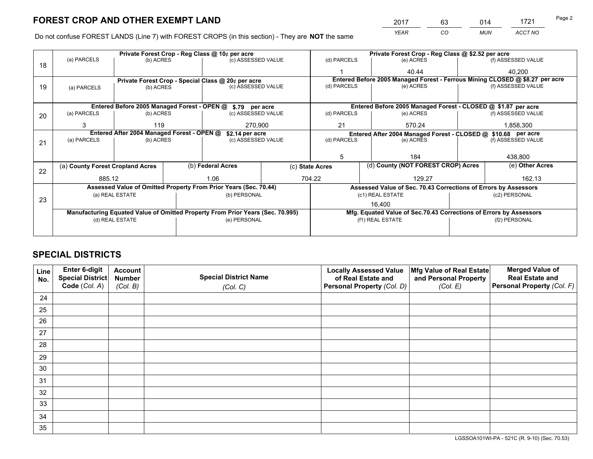*YEAR CO MUN ACCT NO* <sup>2017</sup> <sup>63</sup> <sup>014</sup> <sup>1721</sup>

Do not confuse FOREST LANDS (Line 7) with FOREST CROPS (in this section) - They are **NOT** the same

|    |                                                                                |                 |  | Private Forest Crop - Reg Class @ 10¢ per acre                   |  | Private Forest Crop - Reg Class @ \$2.52 per acre             |                                                                    |                                                                 |                 |                                                                              |
|----|--------------------------------------------------------------------------------|-----------------|--|------------------------------------------------------------------|--|---------------------------------------------------------------|--------------------------------------------------------------------|-----------------------------------------------------------------|-----------------|------------------------------------------------------------------------------|
| 18 | (a) PARCELS                                                                    | (b) ACRES       |  | (c) ASSESSED VALUE                                               |  | (d) PARCELS                                                   |                                                                    | (e) ACRES                                                       |                 | (f) ASSESSED VALUE                                                           |
|    |                                                                                |                 |  |                                                                  |  |                                                               |                                                                    | 40.44                                                           |                 | 40,200                                                                       |
|    |                                                                                |                 |  | Private Forest Crop - Special Class @ 20¢ per acre               |  |                                                               |                                                                    |                                                                 |                 | Entered Before 2005 Managed Forest - Ferrous Mining CLOSED @ \$8.27 per acre |
| 19 | (a) PARCELS                                                                    | (b) ACRES       |  | (c) ASSESSED VALUE                                               |  | (d) PARCELS                                                   |                                                                    | (e) ACRES                                                       |                 | (f) ASSESSED VALUE                                                           |
|    |                                                                                |                 |  |                                                                  |  |                                                               |                                                                    |                                                                 |                 |                                                                              |
|    |                                                                                |                 |  | Entered Before 2005 Managed Forest - OPEN @ \$.79 per acre       |  |                                                               |                                                                    | Entered Before 2005 Managed Forest - CLOSED @ \$1.87 per acre   |                 |                                                                              |
| 20 | (a) PARCELS                                                                    | (b) ACRES       |  | (c) ASSESSED VALUE                                               |  | (d) PARCELS                                                   |                                                                    | (e) ACRES                                                       |                 | (f) ASSESSED VALUE                                                           |
|    | 3                                                                              | 119             |  | 270,900                                                          |  | 21                                                            |                                                                    | 570.24                                                          | 1,858,300       |                                                                              |
|    | Entered After 2004 Managed Forest - OPEN @                                     |                 |  | \$2.14 per acre                                                  |  | Entered After 2004 Managed Forest - CLOSED @ \$10.68 per acre |                                                                    |                                                                 |                 |                                                                              |
| 21 | (a) PARCELS                                                                    | (b) ACRES       |  | (c) ASSESSED VALUE                                               |  | (d) PARCELS                                                   |                                                                    | (e) ACRES                                                       |                 | (f) ASSESSED VALUE                                                           |
|    |                                                                                |                 |  |                                                                  |  |                                                               |                                                                    |                                                                 |                 |                                                                              |
|    |                                                                                |                 |  |                                                                  |  | 5                                                             |                                                                    | 184                                                             |                 | 438,800                                                                      |
| 22 | (a) County Forest Cropland Acres                                               |                 |  | (b) Federal Acres                                                |  | (d) County (NOT FOREST CROP) Acres<br>(c) State Acres         |                                                                    |                                                                 | (e) Other Acres |                                                                              |
|    | 885.12                                                                         |                 |  | 704.22<br>1.06                                                   |  | 129.27                                                        |                                                                    | 162.13                                                          |                 |                                                                              |
|    |                                                                                |                 |  | Assessed Value of Omitted Property From Prior Years (Sec. 70.44) |  |                                                               |                                                                    | Assessed Value of Sec. 70.43 Corrections of Errors by Assessors |                 |                                                                              |
|    |                                                                                | (a) REAL ESTATE |  | (b) PERSONAL                                                     |  |                                                               |                                                                    | (c1) REAL ESTATE                                                |                 | (c2) PERSONAL                                                                |
|    | 23                                                                             |                 |  |                                                                  |  |                                                               | 16,400                                                             |                                                                 |                 |                                                                              |
|    | Manufacturing Equated Value of Omitted Property From Prior Years (Sec. 70.995) |                 |  |                                                                  |  |                                                               | Mfg. Equated Value of Sec.70.43 Corrections of Errors by Assessors |                                                                 |                 |                                                                              |
|    |                                                                                | (d) REAL ESTATE |  | (e) PERSONAL                                                     |  |                                                               |                                                                    | (f1) REAL ESTATE                                                | (f2) PERSONAL   |                                                                              |
|    |                                                                                |                 |  |                                                                  |  |                                                               |                                                                    |                                                                 |                 |                                                                              |

# **SPECIAL DISTRICTS**

| Line<br>No. | Enter 6-digit<br><b>Special District</b> | <b>Account</b><br><b>Number</b> | <b>Special District Name</b> | <b>Locally Assessed Value</b><br>of Real Estate and | Mfg Value of Real Estate<br>and Personal Property | <b>Merged Value of</b><br><b>Real Estate and</b> |
|-------------|------------------------------------------|---------------------------------|------------------------------|-----------------------------------------------------|---------------------------------------------------|--------------------------------------------------|
|             | Code (Col. A)                            | (Col. B)                        | (Col. C)                     | Personal Property (Col. D)                          | (Col. E)                                          | Personal Property (Col. F)                       |
| 24          |                                          |                                 |                              |                                                     |                                                   |                                                  |
| 25          |                                          |                                 |                              |                                                     |                                                   |                                                  |
| 26          |                                          |                                 |                              |                                                     |                                                   |                                                  |
| 27          |                                          |                                 |                              |                                                     |                                                   |                                                  |
| 28          |                                          |                                 |                              |                                                     |                                                   |                                                  |
| 29          |                                          |                                 |                              |                                                     |                                                   |                                                  |
| 30          |                                          |                                 |                              |                                                     |                                                   |                                                  |
| 31          |                                          |                                 |                              |                                                     |                                                   |                                                  |
| 32          |                                          |                                 |                              |                                                     |                                                   |                                                  |
| 33          |                                          |                                 |                              |                                                     |                                                   |                                                  |
| 34          |                                          |                                 |                              |                                                     |                                                   |                                                  |
| 35          |                                          |                                 |                              |                                                     |                                                   |                                                  |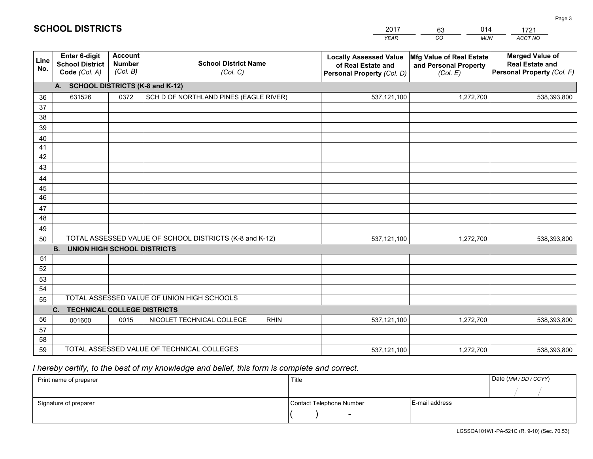| 2017 | 63 | )14        | 721     |
|------|----|------------|---------|
| YFAR | 20 | <b>MUN</b> | ACCT NO |

 $\overline{\phantom{a}}$ 

| Line<br>No.     | Enter 6-digit<br><b>School District</b><br>Code (Col. A) | <b>Account</b><br><b>Number</b><br>(Col. B) | <b>School District Name</b><br>(Col. C)                 | <b>Locally Assessed Value</b><br>of Real Estate and<br>Personal Property (Col. D) | Mfg Value of Real Estate<br>and Personal Property<br>(Col. E) | <b>Merged Value of</b><br><b>Real Estate and</b><br>Personal Property (Col. F) |  |  |  |  |
|-----------------|----------------------------------------------------------|---------------------------------------------|---------------------------------------------------------|-----------------------------------------------------------------------------------|---------------------------------------------------------------|--------------------------------------------------------------------------------|--|--|--|--|
|                 | A. SCHOOL DISTRICTS (K-8 and K-12)                       |                                             |                                                         |                                                                                   |                                                               |                                                                                |  |  |  |  |
| 36              | 631526                                                   | 0372                                        | SCH D OF NORTHLAND PINES (EAGLE RIVER)                  | 537,121,100                                                                       | 1,272,700                                                     | 538,393,800                                                                    |  |  |  |  |
| 37              |                                                          |                                             |                                                         |                                                                                   |                                                               |                                                                                |  |  |  |  |
| 38              |                                                          |                                             |                                                         |                                                                                   |                                                               |                                                                                |  |  |  |  |
| 39              |                                                          |                                             |                                                         |                                                                                   |                                                               |                                                                                |  |  |  |  |
| 40              |                                                          |                                             |                                                         |                                                                                   |                                                               |                                                                                |  |  |  |  |
| 41              |                                                          |                                             |                                                         |                                                                                   |                                                               |                                                                                |  |  |  |  |
| 42              |                                                          |                                             |                                                         |                                                                                   |                                                               |                                                                                |  |  |  |  |
| 43              |                                                          |                                             |                                                         |                                                                                   |                                                               |                                                                                |  |  |  |  |
| 44              |                                                          |                                             |                                                         |                                                                                   |                                                               |                                                                                |  |  |  |  |
| 45              |                                                          |                                             |                                                         |                                                                                   |                                                               |                                                                                |  |  |  |  |
| $\overline{46}$ |                                                          |                                             |                                                         |                                                                                   |                                                               |                                                                                |  |  |  |  |
| 47              |                                                          |                                             |                                                         |                                                                                   |                                                               |                                                                                |  |  |  |  |
| 48              |                                                          |                                             |                                                         |                                                                                   |                                                               |                                                                                |  |  |  |  |
| 49              |                                                          |                                             | TOTAL ASSESSED VALUE OF SCHOOL DISTRICTS (K-8 and K-12) |                                                                                   |                                                               |                                                                                |  |  |  |  |
| 50              | <b>B.</b><br><b>UNION HIGH SCHOOL DISTRICTS</b>          |                                             |                                                         | 537,121,100                                                                       | 1,272,700                                                     | 538,393,800                                                                    |  |  |  |  |
| 51              |                                                          |                                             |                                                         |                                                                                   |                                                               |                                                                                |  |  |  |  |
| 52              |                                                          |                                             |                                                         |                                                                                   |                                                               |                                                                                |  |  |  |  |
| 53              |                                                          |                                             |                                                         |                                                                                   |                                                               |                                                                                |  |  |  |  |
| 54              |                                                          |                                             |                                                         |                                                                                   |                                                               |                                                                                |  |  |  |  |
| 55              |                                                          |                                             | TOTAL ASSESSED VALUE OF UNION HIGH SCHOOLS              |                                                                                   |                                                               |                                                                                |  |  |  |  |
|                 | $C_{1}$<br><b>TECHNICAL COLLEGE DISTRICTS</b>            |                                             |                                                         |                                                                                   |                                                               |                                                                                |  |  |  |  |
| 56              | 001600                                                   | 0015                                        | NICOLET TECHNICAL COLLEGE<br><b>RHIN</b>                | 537,121,100                                                                       | 1,272,700                                                     | 538,393,800                                                                    |  |  |  |  |
| 57              |                                                          |                                             |                                                         |                                                                                   |                                                               |                                                                                |  |  |  |  |
| 58              |                                                          |                                             |                                                         |                                                                                   |                                                               |                                                                                |  |  |  |  |
| 59              |                                                          |                                             | TOTAL ASSESSED VALUE OF TECHNICAL COLLEGES              | 537,121,100                                                                       | 1,272,700                                                     | 538,393,800                                                                    |  |  |  |  |

 *I hereby certify, to the best of my knowledge and belief, this form is complete and correct.*

| Print name of preparer | Title                    |                | Date (MM/DD/CCYY) |
|------------------------|--------------------------|----------------|-------------------|
|                        |                          |                |                   |
| Signature of preparer  | Contact Telephone Number | E-mail address |                   |
|                        | $\overline{\phantom{0}}$ |                |                   |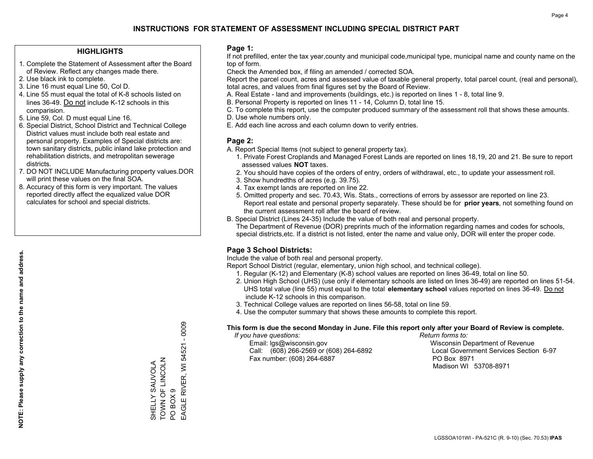## **HIGHLIGHTS**

- 1. Complete the Statement of Assessment after the Board of Review. Reflect any changes made there.
- 2. Use black ink to complete.
- 3. Line 16 must equal Line 50, Col D.
- 4. Line 55 must equal the total of K-8 schools listed on lines 36-49. Do not include K-12 schools in this comparision.
- 5. Line 59, Col. D must equal Line 16.
- 6. Special District, School District and Technical College District values must include both real estate and personal property. Examples of Special districts are: town sanitary districts, public inland lake protection and rehabilitation districts, and metropolitan sewerage districts.
- 7. DO NOT INCLUDE Manufacturing property values.DOR will print these values on the final SOA.

SHELLY SAUVOLA TOWN OF LINCOLN

TOWN OF LINCOLN

PO BOX 9

PO BOX 9

EAGLE RIVER, WI 54521 - 0009

EAGLE RIVER, WI 54521 - 0009

 8. Accuracy of this form is very important. The values reported directly affect the equalized value DOR calculates for school and special districts.

### **Page 1:**

 If not prefilled, enter the tax year,county and municipal code,municipal type, municipal name and county name on the top of form.

Check the Amended box, if filing an amended / corrected SOA.

 Report the parcel count, acres and assessed value of taxable general property, total parcel count, (real and personal), total acres, and values from final figures set by the Board of Review.

- A. Real Estate land and improvements (buildings, etc.) is reported on lines 1 8, total line 9.
- B. Personal Property is reported on lines 11 14, Column D, total line 15.
- C. To complete this report, use the computer produced summary of the assessment roll that shows these amounts.
- D. Use whole numbers only.
- E. Add each line across and each column down to verify entries.

### **Page 2:**

- A. Report Special Items (not subject to general property tax).
- 1. Private Forest Croplands and Managed Forest Lands are reported on lines 18,19, 20 and 21. Be sure to report assessed values **NOT** taxes.
- 2. You should have copies of the orders of entry, orders of withdrawal, etc., to update your assessment roll.
	- 3. Show hundredths of acres (e.g. 39.75).
- 4. Tax exempt lands are reported on line 22.
- 5. Omitted property and sec. 70.43, Wis. Stats., corrections of errors by assessor are reported on line 23. Report real estate and personal property separately. These should be for **prior years**, not something found on the current assessment roll after the board of review.
- B. Special District (Lines 24-35) Include the value of both real and personal property.
- The Department of Revenue (DOR) preprints much of the information regarding names and codes for schools, special districts,etc. If a district is not listed, enter the name and value only, DOR will enter the proper code.

# **Page 3 School Districts:**

Include the value of both real and personal property.

Report School District (regular, elementary, union high school, and technical college).

- 1. Regular (K-12) and Elementary (K-8) school values are reported on lines 36-49, total on line 50.
- 2. Union High School (UHS) (use only if elementary schools are listed on lines 36-49) are reported on lines 51-54. UHS total value (line 55) must equal to the total **elementary school** values reported on lines 36-49. Do notinclude K-12 schools in this comparison.
- 3. Technical College values are reported on lines 56-58, total on line 59.
- 4. Use the computer summary that shows these amounts to complete this report.

#### **This form is due the second Monday in June. File this report only after your Board of Review is complete.**

 *If you have questions: Return forms to:*

 Email: lgs@wisconsin.gov Wisconsin Department of RevenueCall:  $(608)$  266-2569 or  $(608)$  264-6892 Fax number: (608) 264-6887 PO Box 8971

Local Government Services Section 6-97 Madison WI 53708-8971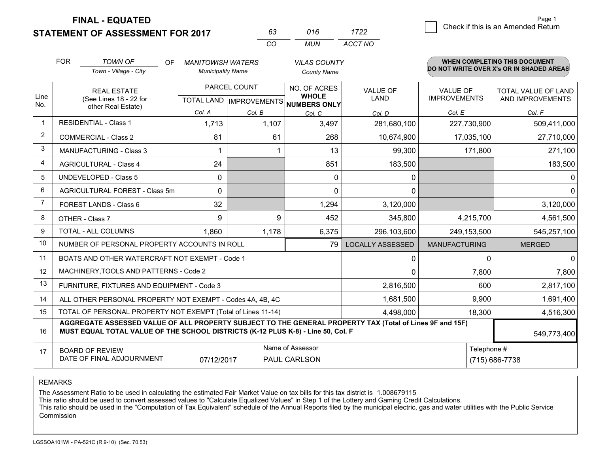**STATEMENT OF ASSESSMENT FOR 2017 FINAL - EQUATED**

|  | Page 1                             |
|--|------------------------------------|
|  | Check if this is an Amended Return |
|  |                                    |

|                | <b>FOR</b>                                                                                                                                                                                   | <b>TOWN OF</b><br>OF<br>Town - Village - City             | <b>MANITOWISH WATERS</b><br><b>Municipality Name</b> |                                                      | <b>VILAS COUNTY</b><br><b>County Name</b> |                                |                                        | <b>WHEN COMPLETING THIS DOCUMENT</b><br>DO NOT WRITE OVER X's OR IN SHADED AREAS |
|----------------|----------------------------------------------------------------------------------------------------------------------------------------------------------------------------------------------|-----------------------------------------------------------|------------------------------------------------------|------------------------------------------------------|-------------------------------------------|--------------------------------|----------------------------------------|----------------------------------------------------------------------------------|
| Line<br>No.    | <b>REAL ESTATE</b><br>(See Lines 18 - 22 for<br>other Real Estate)                                                                                                                           |                                                           |                                                      | PARCEL COUNT<br>TOTAL LAND IMPROVEMENTS NUMBERS ONLY |                                           | <b>VALUE OF</b><br><b>LAND</b> | <b>VALUE OF</b><br><b>IMPROVEMENTS</b> | TOTAL VALUE OF LAND<br>AND IMPROVEMENTS                                          |
|                |                                                                                                                                                                                              |                                                           | Col. A                                               | Col. B                                               | Col. C                                    | Col. D                         | Col. E                                 | Col. F                                                                           |
| $\mathbf{1}$   | <b>RESIDENTIAL - Class 1</b>                                                                                                                                                                 |                                                           | 1,713                                                | 1,107                                                | 3,497                                     | 281,680,100                    | 227,730,900                            | 509,411,000                                                                      |
| $\overline{2}$ |                                                                                                                                                                                              | <b>COMMERCIAL - Class 2</b>                               | 81                                                   | 61                                                   | 268                                       | 10,674,900                     | 17,035,100                             | 27,710,000                                                                       |
| 3              |                                                                                                                                                                                              | <b>MANUFACTURING - Class 3</b>                            |                                                      |                                                      | 13                                        | 99,300                         | 171,800                                | 271,100                                                                          |
| $\overline{4}$ |                                                                                                                                                                                              | <b>AGRICULTURAL - Class 4</b>                             | 24                                                   |                                                      | 851                                       | 183,500                        |                                        | 183,500                                                                          |
| 5              |                                                                                                                                                                                              | <b>UNDEVELOPED - Class 5</b>                              | 0                                                    |                                                      | 0                                         | 0                              |                                        | $\mathbf{0}$                                                                     |
| 6              | AGRICULTURAL FOREST - Class 5m                                                                                                                                                               |                                                           | $\Omega$                                             |                                                      | 0                                         | 0                              |                                        | $\Omega$                                                                         |
| $\overline{7}$ | FOREST LANDS - Class 6                                                                                                                                                                       |                                                           | 32                                                   |                                                      | 1,294                                     | 3,120,000                      |                                        | 3,120,000                                                                        |
| 8              |                                                                                                                                                                                              | OTHER - Class 7                                           | 9                                                    | 9                                                    | 452                                       | 345,800                        | 4,215,700                              | 4,561,500                                                                        |
| 9              |                                                                                                                                                                                              | <b>TOTAL - ALL COLUMNS</b>                                |                                                      | 1.860<br>1,178                                       |                                           | 296,103,600                    | 249,153,500                            | 545,257,100                                                                      |
| 10             |                                                                                                                                                                                              | NUMBER OF PERSONAL PROPERTY ACCOUNTS IN ROLL              |                                                      |                                                      | 79                                        | <b>LOCALLY ASSESSED</b>        | <b>MANUFACTURING</b>                   | <b>MERGED</b>                                                                    |
| 11             |                                                                                                                                                                                              | BOATS AND OTHER WATERCRAFT NOT EXEMPT - Code 1            |                                                      |                                                      |                                           | 0                              | $\Omega$                               | $\Omega$                                                                         |
| 12             |                                                                                                                                                                                              | MACHINERY, TOOLS AND PATTERNS - Code 2                    |                                                      |                                                      |                                           | $\Omega$                       | 7,800                                  | 7,800                                                                            |
| 13             |                                                                                                                                                                                              | FURNITURE, FIXTURES AND EQUIPMENT - Code 3                |                                                      |                                                      |                                           | 2,816,500                      | 600                                    | 2,817,100                                                                        |
| 14             |                                                                                                                                                                                              | ALL OTHER PERSONAL PROPERTY NOT EXEMPT - Codes 4A, 4B, 4C |                                                      |                                                      |                                           | 1,681,500                      | 9,900                                  | 1,691,400                                                                        |
| 15             | TOTAL OF PERSONAL PROPERTY NOT EXEMPT (Total of Lines 11-14)                                                                                                                                 |                                                           |                                                      |                                                      |                                           | 4,498,000                      | 18,300                                 | 4,516,300                                                                        |
| 16             | AGGREGATE ASSESSED VALUE OF ALL PROPERTY SUBJECT TO THE GENERAL PROPERTY TAX (Total of Lines 9F and 15F)<br>MUST EQUAL TOTAL VALUE OF THE SCHOOL DISTRICTS (K-12 PLUS K-8) - Line 50, Col. F |                                                           |                                                      |                                                      |                                           |                                | 549,773,400                            |                                                                                  |
| 17             | Name of Assessor<br><b>BOARD OF REVIEW</b><br>DATE OF FINAL ADJOURNMENT<br>07/12/2017<br><b>PAUL CARLSON</b>                                                                                 |                                                           |                                                      |                                                      |                                           |                                | Telephone #                            | (715) 686-7738                                                                   |

*CO*

*MUN*

*ACCT NO1722*

*<sup>63</sup> <sup>016</sup>*

REMARKS

The Assessment Ratio to be used in calculating the estimated Fair Market Value on tax bills for this tax district is 1.008679115<br>This ratio should be used to convert assessed values to "Calculate Equalized Values" in Step Commission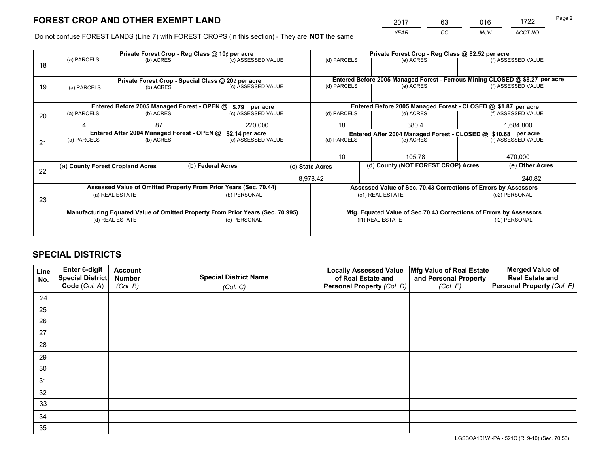*YEAR CO MUN ACCT NO* <sup>2017</sup> <sup>63</sup> <sup>016</sup> <sup>1722</sup> Page 2

Do not confuse FOREST LANDS (Line 7) with FOREST CROPS (in this section) - They are **NOT** the same

|    |                                                                                |                                            |  | Private Forest Crop - Reg Class @ 10¢ per acre                   | Private Forest Crop - Reg Class @ \$2.52 per acre |                                                                                           |                                                                              |                    |                    |  |
|----|--------------------------------------------------------------------------------|--------------------------------------------|--|------------------------------------------------------------------|---------------------------------------------------|-------------------------------------------------------------------------------------------|------------------------------------------------------------------------------|--------------------|--------------------|--|
| 18 | (a) PARCELS<br>(b) ACRES                                                       |                                            |  | (c) ASSESSED VALUE                                               |                                                   | (d) PARCELS                                                                               | (e) ACRES                                                                    |                    | (f) ASSESSED VALUE |  |
|    |                                                                                |                                            |  |                                                                  |                                                   |                                                                                           |                                                                              |                    |                    |  |
|    |                                                                                |                                            |  | Private Forest Crop - Special Class @ 20¢ per acre               |                                                   |                                                                                           | Entered Before 2005 Managed Forest - Ferrous Mining CLOSED @ \$8.27 per acre |                    |                    |  |
| 19 | (a) PARCELS                                                                    | (b) ACRES                                  |  | (c) ASSESSED VALUE                                               |                                                   | (d) PARCELS                                                                               | (e) ACRES                                                                    |                    | (f) ASSESSED VALUE |  |
|    |                                                                                |                                            |  |                                                                  |                                                   |                                                                                           |                                                                              |                    |                    |  |
|    |                                                                                |                                            |  | Entered Before 2005 Managed Forest - OPEN @ \$.79 per acre       |                                                   |                                                                                           | Entered Before 2005 Managed Forest - CLOSED @ \$1.87 per acre                |                    |                    |  |
| 20 | (a) PARCELS                                                                    | (b) ACRES                                  |  | (c) ASSESSED VALUE                                               |                                                   | (d) PARCELS                                                                               | (e) ACRES                                                                    |                    | (f) ASSESSED VALUE |  |
|    | Δ                                                                              | 87                                         |  |                                                                  |                                                   | 18                                                                                        | 380.4                                                                        |                    | 1,684,800          |  |
|    |                                                                                | Entered After 2004 Managed Forest - OPEN @ |  | 220,000                                                          |                                                   |                                                                                           |                                                                              |                    |                    |  |
|    | (a) PARCELS                                                                    | (b) ACRES                                  |  | \$2.14 per acre<br>(c) ASSESSED VALUE                            |                                                   | Entered After 2004 Managed Forest - CLOSED @ \$10.68 per acre<br>(d) PARCELS<br>(e) ACRES |                                                                              | (f) ASSESSED VALUE |                    |  |
| 21 |                                                                                |                                            |  |                                                                  |                                                   |                                                                                           |                                                                              |                    |                    |  |
|    |                                                                                |                                            |  |                                                                  |                                                   |                                                                                           |                                                                              |                    |                    |  |
|    |                                                                                |                                            |  |                                                                  |                                                   | 10                                                                                        | 105.78                                                                       |                    | 470,000            |  |
| 22 | (a) County Forest Cropland Acres                                               |                                            |  | (b) Federal Acres                                                |                                                   | (c) State Acres                                                                           | (d) County (NOT FOREST CROP) Acres                                           |                    | (e) Other Acres    |  |
|    |                                                                                |                                            |  |                                                                  |                                                   | 8,978.42                                                                                  |                                                                              |                    | 240.82             |  |
|    |                                                                                |                                            |  | Assessed Value of Omitted Property From Prior Years (Sec. 70.44) |                                                   |                                                                                           | Assessed Value of Sec. 70.43 Corrections of Errors by Assessors              |                    |                    |  |
|    |                                                                                | (a) REAL ESTATE                            |  | (b) PERSONAL                                                     |                                                   |                                                                                           | (c1) REAL ESTATE                                                             | (c2) PERSONAL      |                    |  |
| 23 |                                                                                |                                            |  |                                                                  |                                                   |                                                                                           |                                                                              |                    |                    |  |
|    | Manufacturing Equated Value of Omitted Property From Prior Years (Sec. 70.995) |                                            |  |                                                                  |                                                   |                                                                                           | Mfg. Equated Value of Sec.70.43 Corrections of Errors by Assessors           |                    |                    |  |
|    |                                                                                | (d) REAL ESTATE                            |  | (e) PERSONAL                                                     |                                                   | (f1) REAL ESTATE                                                                          |                                                                              | (f2) PERSONAL      |                    |  |
|    |                                                                                |                                            |  |                                                                  |                                                   |                                                                                           |                                                                              |                    |                    |  |
|    |                                                                                |                                            |  |                                                                  |                                                   |                                                                                           |                                                                              |                    |                    |  |

# **SPECIAL DISTRICTS**

| Line<br>No. | Enter 6-digit<br><b>Special District</b> | <b>Account</b><br><b>Number</b> | <b>Special District Name</b> | <b>Locally Assessed Value</b><br>of Real Estate and | Mfg Value of Real Estate<br>and Personal Property | <b>Merged Value of</b><br><b>Real Estate and</b> |
|-------------|------------------------------------------|---------------------------------|------------------------------|-----------------------------------------------------|---------------------------------------------------|--------------------------------------------------|
|             | Code (Col. A)                            | (Col. B)                        | (Col. C)                     | Personal Property (Col. D)                          | (Col. E)                                          | Personal Property (Col. F)                       |
| 24          |                                          |                                 |                              |                                                     |                                                   |                                                  |
| 25          |                                          |                                 |                              |                                                     |                                                   |                                                  |
| 26          |                                          |                                 |                              |                                                     |                                                   |                                                  |
| 27          |                                          |                                 |                              |                                                     |                                                   |                                                  |
| 28          |                                          |                                 |                              |                                                     |                                                   |                                                  |
| 29          |                                          |                                 |                              |                                                     |                                                   |                                                  |
| 30          |                                          |                                 |                              |                                                     |                                                   |                                                  |
| 31          |                                          |                                 |                              |                                                     |                                                   |                                                  |
| 32          |                                          |                                 |                              |                                                     |                                                   |                                                  |
| 33          |                                          |                                 |                              |                                                     |                                                   |                                                  |
| 34          |                                          |                                 |                              |                                                     |                                                   |                                                  |
| 35          |                                          |                                 |                              |                                                     |                                                   |                                                  |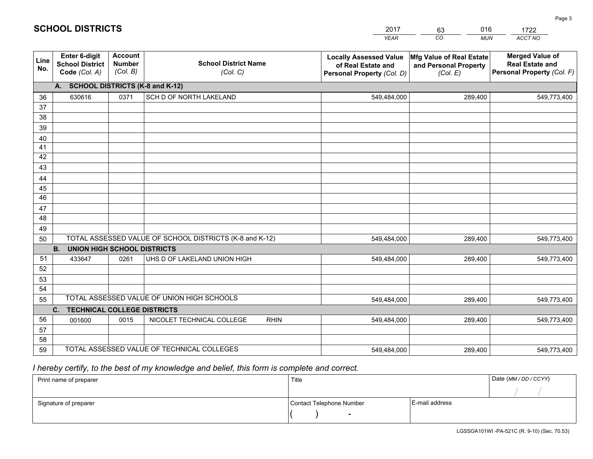|             |                                                          |                                             |                                                         | <b>YEAR</b>                                                                       | CO<br><b>MUN</b>                                              | ACCT NO                                                                        |
|-------------|----------------------------------------------------------|---------------------------------------------|---------------------------------------------------------|-----------------------------------------------------------------------------------|---------------------------------------------------------------|--------------------------------------------------------------------------------|
| Line<br>No. | Enter 6-digit<br><b>School District</b><br>Code (Col. A) | <b>Account</b><br><b>Number</b><br>(Col. B) | <b>School District Name</b><br>(Col. C)                 | <b>Locally Assessed Value</b><br>of Real Estate and<br>Personal Property (Col. D) | Mfg Value of Real Estate<br>and Personal Property<br>(Col. E) | <b>Merged Value of</b><br><b>Real Estate and</b><br>Personal Property (Col. F) |
|             | A. SCHOOL DISTRICTS (K-8 and K-12)                       |                                             |                                                         |                                                                                   |                                                               |                                                                                |
| 36          | 630616                                                   | 0371                                        | SCH D OF NORTH LAKELAND                                 | 549,484,000                                                                       | 289,400                                                       | 549,773,400                                                                    |
| 37          |                                                          |                                             |                                                         |                                                                                   |                                                               |                                                                                |
| 38          |                                                          |                                             |                                                         |                                                                                   |                                                               |                                                                                |
| 39          |                                                          |                                             |                                                         |                                                                                   |                                                               |                                                                                |
| 40          |                                                          |                                             |                                                         |                                                                                   |                                                               |                                                                                |
| 41<br>42    |                                                          |                                             |                                                         |                                                                                   |                                                               |                                                                                |
| 43          |                                                          |                                             |                                                         |                                                                                   |                                                               |                                                                                |
| 44          |                                                          |                                             |                                                         |                                                                                   |                                                               |                                                                                |
| 45          |                                                          |                                             |                                                         |                                                                                   |                                                               |                                                                                |
| 46          |                                                          |                                             |                                                         |                                                                                   |                                                               |                                                                                |
| 47          |                                                          |                                             |                                                         |                                                                                   |                                                               |                                                                                |
| 48          |                                                          |                                             |                                                         |                                                                                   |                                                               |                                                                                |
| 49          |                                                          |                                             |                                                         |                                                                                   |                                                               |                                                                                |
| 50          |                                                          |                                             | TOTAL ASSESSED VALUE OF SCHOOL DISTRICTS (K-8 and K-12) | 549,484,000                                                                       | 289,400                                                       | 549,773,400                                                                    |
|             | <b>B.</b><br><b>UNION HIGH SCHOOL DISTRICTS</b>          |                                             |                                                         |                                                                                   |                                                               |                                                                                |
| 51          | 433647                                                   | 0261                                        | UHS D OF LAKELAND UNION HIGH                            | 549,484,000                                                                       | 289,400                                                       | 549,773,400                                                                    |
| 52          |                                                          |                                             |                                                         |                                                                                   |                                                               |                                                                                |
| 53<br>54    |                                                          |                                             |                                                         |                                                                                   |                                                               |                                                                                |
| 55          |                                                          |                                             | TOTAL ASSESSED VALUE OF UNION HIGH SCHOOLS              | 549,484,000                                                                       | 289,400                                                       | 549,773,400                                                                    |
|             | C.<br><b>TECHNICAL COLLEGE DISTRICTS</b>                 |                                             |                                                         |                                                                                   |                                                               |                                                                                |
| 56          | 001600                                                   | 0015                                        | NICOLET TECHNICAL COLLEGE<br><b>RHIN</b>                | 549,484,000                                                                       | 289,400                                                       | 549,773,400                                                                    |
| 57          |                                                          |                                             |                                                         |                                                                                   |                                                               |                                                                                |
| 58          |                                                          |                                             |                                                         |                                                                                   |                                                               |                                                                                |
| 59          |                                                          |                                             | TOTAL ASSESSED VALUE OF TECHNICAL COLLEGES              | 549,484,000                                                                       | 289,400                                                       | 549,773,400                                                                    |

2017

63

016

# *I hereby certify, to the best of my knowledge and belief, this form is complete and correct.*

**SCHOOL DISTRICTS**

| Print name of preparer | Title                    |                | Date (MM / DD / CCYY) |
|------------------------|--------------------------|----------------|-----------------------|
|                        |                          |                |                       |
| Signature of preparer  | Contact Telephone Number | E-mail address |                       |
|                        | $\overline{\phantom{0}}$ |                |                       |

1722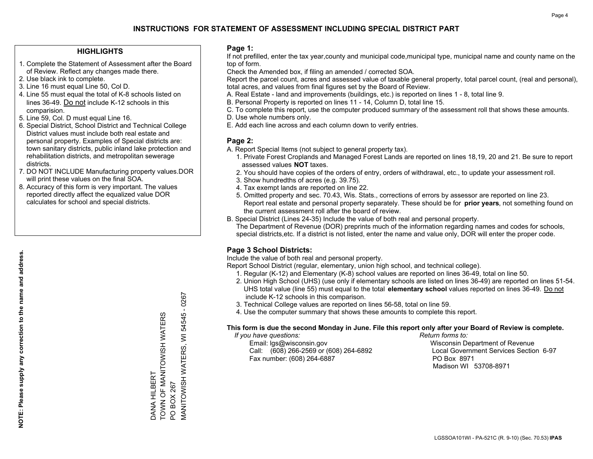## **HIGHLIGHTS**

- 1. Complete the Statement of Assessment after the Board of Review. Reflect any changes made there.
- 2. Use black ink to complete.
- 3. Line 16 must equal Line 50, Col D.
- 4. Line 55 must equal the total of K-8 schools listed on lines 36-49. Do not include K-12 schools in this comparision.
- 5. Line 59, Col. D must equal Line 16.
- 6. Special District, School District and Technical College District values must include both real estate and personal property. Examples of Special districts are: town sanitary districts, public inland lake protection and rehabilitation districts, and metropolitan sewerage districts.
- 7. DO NOT INCLUDE Manufacturing property values.DOR will print these values on the final SOA.

DANA HILBERT

DANA HILBERT

TOWN OF MANITOWISH WATERS

TOWN OF MANITOWISH WATERS

PO BOX 267

PO BOX 267

MANITOWISH WATERS, WI 54545 - 0267

**MANITOWISH WATERS,** 

 $-0267$ 

54545

 $\overline{\ge}$ 

 8. Accuracy of this form is very important. The values reported directly affect the equalized value DOR calculates for school and special districts.

### **Page 1:**

 If not prefilled, enter the tax year,county and municipal code,municipal type, municipal name and county name on the top of form.

Check the Amended box, if filing an amended / corrected SOA.

 Report the parcel count, acres and assessed value of taxable general property, total parcel count, (real and personal), total acres, and values from final figures set by the Board of Review.

- A. Real Estate land and improvements (buildings, etc.) is reported on lines 1 8, total line 9.
- B. Personal Property is reported on lines 11 14, Column D, total line 15.
- C. To complete this report, use the computer produced summary of the assessment roll that shows these amounts.
- D. Use whole numbers only.
- E. Add each line across and each column down to verify entries.

## **Page 2:**

- A. Report Special Items (not subject to general property tax).
- 1. Private Forest Croplands and Managed Forest Lands are reported on lines 18,19, 20 and 21. Be sure to report assessed values **NOT** taxes.
- 2. You should have copies of the orders of entry, orders of withdrawal, etc., to update your assessment roll.
	- 3. Show hundredths of acres (e.g. 39.75).
- 4. Tax exempt lands are reported on line 22.
- 5. Omitted property and sec. 70.43, Wis. Stats., corrections of errors by assessor are reported on line 23. Report real estate and personal property separately. These should be for **prior years**, not something found on the current assessment roll after the board of review.
- B. Special District (Lines 24-35) Include the value of both real and personal property.
- The Department of Revenue (DOR) preprints much of the information regarding names and codes for schools, special districts,etc. If a district is not listed, enter the name and value only, DOR will enter the proper code.

# **Page 3 School Districts:**

Include the value of both real and personal property.

Report School District (regular, elementary, union high school, and technical college).

- 1. Regular (K-12) and Elementary (K-8) school values are reported on lines 36-49, total on line 50.
- 2. Union High School (UHS) (use only if elementary schools are listed on lines 36-49) are reported on lines 51-54. UHS total value (line 55) must equal to the total **elementary school** values reported on lines 36-49. Do notinclude K-12 schools in this comparison.
- 3. Technical College values are reported on lines 56-58, total on line 59.
- 4. Use the computer summary that shows these amounts to complete this report.

#### **This form is due the second Monday in June. File this report only after your Board of Review is complete.**

 *If you have questions: Return forms to:*

 Email: lgs@wisconsin.gov Wisconsin Department of RevenueCall:  $(608)$  266-2569 or  $(608)$  264-6892 Fax number: (608) 264-6887 PO Box 8971

Local Government Services Section 6-97 Madison WI 53708-8971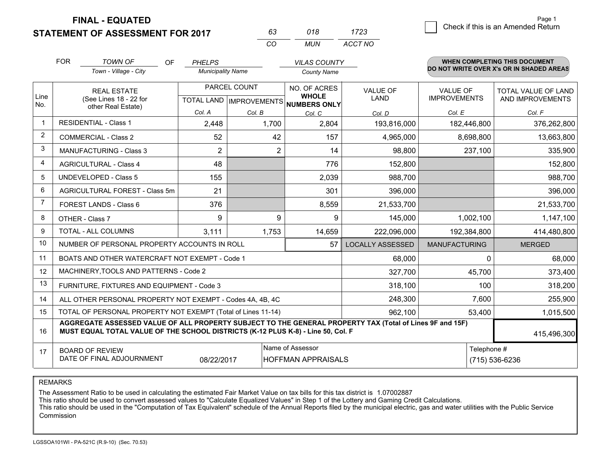**FINAL - EQUATED**

## **STATEMENT OF ASSESSMENT FOR 2017**

| 63 | 018 | 1723    |
|----|-----|---------|
| cо | MUN | ACCT NO |

|                | <b>FOR</b>                                                                                                                                          | <b>TOWN OF</b><br><b>OF</b><br>Town - Village - City                                                                                                                                         | <b>PHELPS</b><br><b>Municipality Name</b> |                 | <b>VILAS COUNTY</b><br><b>County Name</b> |                         |                       | <b>WHEN COMPLETING THIS DOCUMENT</b><br>DO NOT WRITE OVER X's OR IN SHADED AREAS |
|----------------|-----------------------------------------------------------------------------------------------------------------------------------------------------|----------------------------------------------------------------------------------------------------------------------------------------------------------------------------------------------|-------------------------------------------|-----------------|-------------------------------------------|-------------------------|-----------------------|----------------------------------------------------------------------------------|
| Line           |                                                                                                                                                     | <b>REAL ESTATE</b>                                                                                                                                                                           |                                           | PARCEL COUNT    | NO. OF ACRES<br><b>WHOLE</b>              | <b>VALUE OF</b>         | <b>VALUE OF</b>       | <b>TOTAL VALUE OF LAND</b>                                                       |
| No.            | (See Lines 18 - 22 for<br>other Real Estate)                                                                                                        |                                                                                                                                                                                              | Col. A                                    |                 | TOTAL LAND IMPROVEMENTS NUMBERS ONLY      | <b>LAND</b>             | <b>IMPROVEMENTS</b>   | AND IMPROVEMENTS                                                                 |
|                |                                                                                                                                                     | <b>RESIDENTIAL - Class 1</b>                                                                                                                                                                 | 2,448                                     | Col. B<br>1,700 | Col. C<br>2,804                           | Col. D<br>193,816,000   | Col. E<br>182,446,800 | Col. F<br>376,262,800                                                            |
| $\overline{2}$ |                                                                                                                                                     | <b>COMMERCIAL - Class 2</b>                                                                                                                                                                  | 52                                        | 42              | 157                                       | 4,965,000               | 8,698,800             | 13,663,800                                                                       |
| 3              |                                                                                                                                                     | <b>MANUFACTURING - Class 3</b>                                                                                                                                                               | $\overline{2}$                            | $\overline{2}$  | 14                                        | 98,800                  | 237,100               | 335,900                                                                          |
| 4              |                                                                                                                                                     | <b>AGRICULTURAL - Class 4</b>                                                                                                                                                                | 48                                        |                 | 776                                       | 152,800                 |                       | 152,800                                                                          |
| 5              | <b>UNDEVELOPED - Class 5</b>                                                                                                                        |                                                                                                                                                                                              | 155                                       |                 | 2,039                                     | 988,700                 |                       | 988,700                                                                          |
| 6              | AGRICULTURAL FOREST - Class 5m                                                                                                                      |                                                                                                                                                                                              | 21                                        |                 | 301                                       | 396,000                 |                       | 396,000                                                                          |
| $\overline{7}$ | FOREST LANDS - Class 6                                                                                                                              |                                                                                                                                                                                              | 376                                       |                 | 8,559                                     | 21,533,700              |                       | 21,533,700                                                                       |
| 8              |                                                                                                                                                     | OTHER - Class 7                                                                                                                                                                              | 9                                         | 9               | 9                                         | 145,000                 | 1,002,100             | 1,147,100                                                                        |
| 9              |                                                                                                                                                     | <b>TOTAL - ALL COLUMNS</b>                                                                                                                                                                   | 3,111                                     | 1,753           | 14,659                                    | 222,096,000             | 192,384,800           | 414,480,800                                                                      |
| 10             |                                                                                                                                                     | NUMBER OF PERSONAL PROPERTY ACCOUNTS IN ROLL                                                                                                                                                 |                                           |                 | 57                                        | <b>LOCALLY ASSESSED</b> | <b>MANUFACTURING</b>  | <b>MERGED</b>                                                                    |
| 11             |                                                                                                                                                     | BOATS AND OTHER WATERCRAFT NOT EXEMPT - Code 1                                                                                                                                               |                                           |                 |                                           | 68,000                  | $\Omega$              | 68,000                                                                           |
| 12             |                                                                                                                                                     | MACHINERY, TOOLS AND PATTERNS - Code 2                                                                                                                                                       |                                           |                 |                                           | 327,700                 | 45,700                | 373,400                                                                          |
| 13             |                                                                                                                                                     | FURNITURE, FIXTURES AND EQUIPMENT - Code 3                                                                                                                                                   |                                           |                 |                                           | 318,100                 | 100                   | 318,200                                                                          |
| 14             |                                                                                                                                                     | ALL OTHER PERSONAL PROPERTY NOT EXEMPT - Codes 4A, 4B, 4C                                                                                                                                    |                                           |                 |                                           | 248,300                 | 7,600                 | 255,900                                                                          |
| 15             |                                                                                                                                                     | TOTAL OF PERSONAL PROPERTY NOT EXEMPT (Total of Lines 11-14)                                                                                                                                 |                                           | 962,100         | 53,400                                    | 1,015,500               |                       |                                                                                  |
| 16             |                                                                                                                                                     | AGGREGATE ASSESSED VALUE OF ALL PROPERTY SUBJECT TO THE GENERAL PROPERTY TAX (Total of Lines 9F and 15F)<br>MUST EQUAL TOTAL VALUE OF THE SCHOOL DISTRICTS (K-12 PLUS K-8) - Line 50, Col. F |                                           |                 |                                           |                         |                       | 415,496,300                                                                      |
| 17             | Name of Assessor<br>Telephone #<br><b>BOARD OF REVIEW</b><br>DATE OF FINAL ADJOURNMENT<br><b>HOFFMAN APPRAISALS</b><br>(715) 536-6236<br>08/22/2017 |                                                                                                                                                                                              |                                           |                 |                                           |                         |                       |                                                                                  |

REMARKS

The Assessment Ratio to be used in calculating the estimated Fair Market Value on tax bills for this tax district is 1.07002887<br>This ratio should be used to convert assessed values to "Calculate Equalized Values" in Step 1 Commission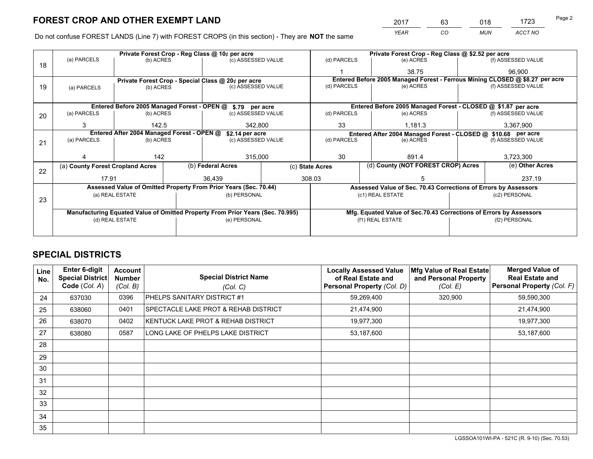*YEAR CO MUN ACCT NO* <sup>2017</sup> <sup>63</sup> <sup>018</sup> <sup>1723</sup>

Do not confuse FOREST LANDS (Line 7) with FOREST CROPS (in this section) - They are **NOT** the same

|    |                                                                                |                 |  | Private Forest Crop - Reg Class @ 10¢ per acre                   | Private Forest Crop - Reg Class @ \$2.52 per acre |                          |                                    |                                                                    |                    |                                                                              |  |
|----|--------------------------------------------------------------------------------|-----------------|--|------------------------------------------------------------------|---------------------------------------------------|--------------------------|------------------------------------|--------------------------------------------------------------------|--------------------|------------------------------------------------------------------------------|--|
| 18 | (a) PARCELS                                                                    | (b) ACRES       |  | (c) ASSESSED VALUE                                               |                                                   | (d) PARCELS              |                                    | (e) ACRES                                                          |                    | (f) ASSESSED VALUE                                                           |  |
|    |                                                                                |                 |  |                                                                  |                                                   |                          |                                    | 38.75                                                              |                    | 96,900                                                                       |  |
|    |                                                                                |                 |  | Private Forest Crop - Special Class @ 20¢ per acre               |                                                   |                          |                                    |                                                                    |                    | Entered Before 2005 Managed Forest - Ferrous Mining CLOSED @ \$8.27 per acre |  |
| 19 | (a) PARCELS                                                                    | (b) ACRES       |  | (c) ASSESSED VALUE                                               |                                                   | (d) PARCELS              |                                    | (e) ACRES                                                          |                    | (f) ASSESSED VALUE                                                           |  |
|    |                                                                                |                 |  |                                                                  |                                                   |                          |                                    |                                                                    |                    |                                                                              |  |
|    |                                                                                |                 |  | Entered Before 2005 Managed Forest - OPEN @ \$.79 per acre       |                                                   |                          |                                    | Entered Before 2005 Managed Forest - CLOSED @ \$1.87 per acre      |                    |                                                                              |  |
| 20 | (a) PARCELS                                                                    | (b) ACRES       |  | (c) ASSESSED VALUE                                               |                                                   | (d) PARCELS              |                                    | (e) ACRES                                                          |                    | (f) ASSESSED VALUE                                                           |  |
|    | 3                                                                              | 142.5           |  | 342,800                                                          |                                                   | 33                       |                                    | 1,181.3                                                            |                    | 3,367,900                                                                    |  |
|    | Entered After 2004 Managed Forest - OPEN @<br>\$2.14 per acre                  |                 |  |                                                                  |                                                   |                          |                                    | Entered After 2004 Managed Forest - CLOSED @ \$10.68 per acre      |                    |                                                                              |  |
| 21 | (a) PARCELS                                                                    | (b) ACRES       |  | (c) ASSESSED VALUE                                               |                                                   | (d) PARCELS<br>(e) ACRES |                                    |                                                                    | (f) ASSESSED VALUE |                                                                              |  |
|    |                                                                                |                 |  |                                                                  |                                                   |                          |                                    |                                                                    |                    |                                                                              |  |
|    |                                                                                | 142             |  | 315,000                                                          |                                                   | 30                       |                                    | 891.4                                                              |                    | 3,723,300                                                                    |  |
|    | (a) County Forest Cropland Acres                                               |                 |  | (b) Federal Acres                                                |                                                   | (c) State Acres          | (d) County (NOT FOREST CROP) Acres |                                                                    | (e) Other Acres    |                                                                              |  |
| 22 | 17.91                                                                          |                 |  | 36.439                                                           |                                                   | 308.03                   |                                    |                                                                    |                    | 237.19                                                                       |  |
|    |                                                                                |                 |  | Assessed Value of Omitted Property From Prior Years (Sec. 70.44) |                                                   |                          |                                    | Assessed Value of Sec. 70.43 Corrections of Errors by Assessors    |                    |                                                                              |  |
|    |                                                                                | (a) REAL ESTATE |  | (b) PERSONAL                                                     |                                                   |                          | (c1) REAL ESTATE                   |                                                                    |                    | (c2) PERSONAL                                                                |  |
| 23 |                                                                                |                 |  |                                                                  |                                                   |                          |                                    |                                                                    |                    |                                                                              |  |
|    | Manufacturing Equated Value of Omitted Property From Prior Years (Sec. 70.995) |                 |  |                                                                  |                                                   |                          |                                    | Mfg. Equated Value of Sec.70.43 Corrections of Errors by Assessors |                    |                                                                              |  |
|    | (d) REAL ESTATE                                                                |                 |  | (e) PERSONAL                                                     |                                                   | (f1) REAL ESTATE         |                                    | (f2) PERSONAL                                                      |                    |                                                                              |  |
|    |                                                                                |                 |  |                                                                  |                                                   |                          |                                    |                                                                    |                    |                                                                              |  |

# **SPECIAL DISTRICTS**

| Line<br>No. | <b>Enter 6-digit</b><br>Special District<br>Code (Col. A) | <b>Account</b><br><b>Number</b><br>(Col. B) | <b>Special District Name</b><br>(Col. C) | <b>Locally Assessed Value</b><br>of Real Estate and<br>Personal Property (Col. D) | Mfg Value of Real Estate<br>and Personal Property<br>(Col. E) | <b>Merged Value of</b><br><b>Real Estate and</b><br>Personal Property (Col. F) |
|-------------|-----------------------------------------------------------|---------------------------------------------|------------------------------------------|-----------------------------------------------------------------------------------|---------------------------------------------------------------|--------------------------------------------------------------------------------|
| 24          | 637030                                                    | 0396                                        | PHELPS SANITARY DISTRICT #1              | 59,269,400                                                                        | 320,900                                                       | 59,590,300                                                                     |
| 25          | 638060                                                    | 0401                                        | SPECTACLE LAKE PROT & REHAB DISTRICT     | 21,474,900                                                                        |                                                               | 21,474,900                                                                     |
| 26          | 638070                                                    | 0402                                        | KENTUCK LAKE PROT & REHAB DISTRICT       | 19,977,300                                                                        |                                                               | 19,977,300                                                                     |
| 27          | 638080                                                    | 0587                                        | LONG LAKE OF PHELPS LAKE DISTRICT        | 53,187,600                                                                        |                                                               | 53,187,600                                                                     |
| 28          |                                                           |                                             |                                          |                                                                                   |                                                               |                                                                                |
| 29          |                                                           |                                             |                                          |                                                                                   |                                                               |                                                                                |
| 30          |                                                           |                                             |                                          |                                                                                   |                                                               |                                                                                |
| 31          |                                                           |                                             |                                          |                                                                                   |                                                               |                                                                                |
| 32          |                                                           |                                             |                                          |                                                                                   |                                                               |                                                                                |
| 33          |                                                           |                                             |                                          |                                                                                   |                                                               |                                                                                |
| 34          |                                                           |                                             |                                          |                                                                                   |                                                               |                                                                                |
| 35          |                                                           |                                             |                                          |                                                                                   |                                                               |                                                                                |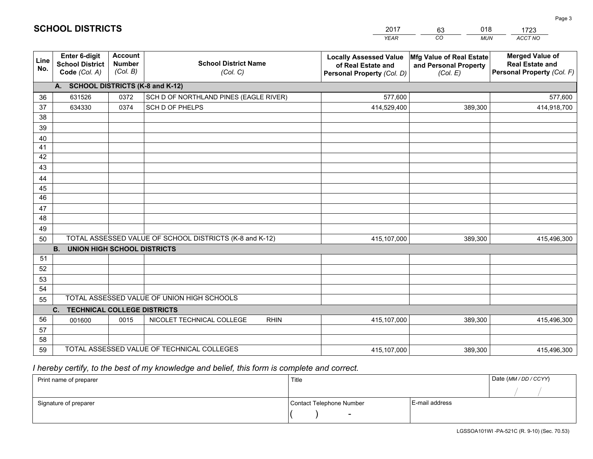|             |                                                                 |                                             |                                                         | <b>YEAR</b>                                                                       | CO<br><b>MUN</b>                                              | ACCT NO                                                                        |
|-------------|-----------------------------------------------------------------|---------------------------------------------|---------------------------------------------------------|-----------------------------------------------------------------------------------|---------------------------------------------------------------|--------------------------------------------------------------------------------|
| Line<br>No. | <b>Enter 6-digit</b><br><b>School District</b><br>Code (Col. A) | <b>Account</b><br><b>Number</b><br>(Col. B) | <b>School District Name</b><br>(Col. C)                 | <b>Locally Assessed Value</b><br>of Real Estate and<br>Personal Property (Col. D) | Mfg Value of Real Estate<br>and Personal Property<br>(Col. E) | <b>Merged Value of</b><br><b>Real Estate and</b><br>Personal Property (Col. F) |
|             | A. SCHOOL DISTRICTS (K-8 and K-12)                              |                                             |                                                         |                                                                                   |                                                               |                                                                                |
| 36          | 631526                                                          | 0372                                        | SCH D OF NORTHLAND PINES (EAGLE RIVER)                  | 577,600                                                                           |                                                               | 577,600                                                                        |
| 37          | 634330                                                          | 0374                                        | SCH D OF PHELPS                                         | 414,529,400                                                                       | 389,300                                                       | 414,918,700                                                                    |
| 38          |                                                                 |                                             |                                                         |                                                                                   |                                                               |                                                                                |
| 39          |                                                                 |                                             |                                                         |                                                                                   |                                                               |                                                                                |
| 40          |                                                                 |                                             |                                                         |                                                                                   |                                                               |                                                                                |
| 41          |                                                                 |                                             |                                                         |                                                                                   |                                                               |                                                                                |
| 42          |                                                                 |                                             |                                                         |                                                                                   |                                                               |                                                                                |
| 43          |                                                                 |                                             |                                                         |                                                                                   |                                                               |                                                                                |
| 44          |                                                                 |                                             |                                                         |                                                                                   |                                                               |                                                                                |
| 45<br>46    |                                                                 |                                             |                                                         |                                                                                   |                                                               |                                                                                |
| 47          |                                                                 |                                             |                                                         |                                                                                   |                                                               |                                                                                |
| 48          |                                                                 |                                             |                                                         |                                                                                   |                                                               |                                                                                |
| 49          |                                                                 |                                             |                                                         |                                                                                   |                                                               |                                                                                |
| 50          |                                                                 |                                             | TOTAL ASSESSED VALUE OF SCHOOL DISTRICTS (K-8 and K-12) | 415,107,000                                                                       | 389,300                                                       | 415,496,300                                                                    |
|             | <b>B.</b><br><b>UNION HIGH SCHOOL DISTRICTS</b>                 |                                             |                                                         |                                                                                   |                                                               |                                                                                |
| 51          |                                                                 |                                             |                                                         |                                                                                   |                                                               |                                                                                |
| 52          |                                                                 |                                             |                                                         |                                                                                   |                                                               |                                                                                |
| 53          |                                                                 |                                             |                                                         |                                                                                   |                                                               |                                                                                |
| 54          |                                                                 |                                             |                                                         |                                                                                   |                                                               |                                                                                |
| 55          |                                                                 |                                             | TOTAL ASSESSED VALUE OF UNION HIGH SCHOOLS              |                                                                                   |                                                               |                                                                                |
|             | C.<br><b>TECHNICAL COLLEGE DISTRICTS</b>                        |                                             |                                                         |                                                                                   |                                                               |                                                                                |
| 56          | 001600                                                          | 0015                                        | NICOLET TECHNICAL COLLEGE<br><b>RHIN</b>                | 415,107,000                                                                       | 389.300                                                       | 415,496,300                                                                    |
| 57          |                                                                 |                                             |                                                         |                                                                                   |                                                               |                                                                                |
| 58          |                                                                 |                                             |                                                         |                                                                                   |                                                               |                                                                                |
| 59          |                                                                 |                                             | TOTAL ASSESSED VALUE OF TECHNICAL COLLEGES              | 415,107,000                                                                       | 389,300                                                       | 415,496,300                                                                    |

2017

63

018

 *I hereby certify, to the best of my knowledge and belief, this form is complete and correct.*

**SCHOOL DISTRICTS**

| Print name of preparer | Title                    |                | Date (MM / DD / CCYY) |
|------------------------|--------------------------|----------------|-----------------------|
|                        |                          |                |                       |
| Signature of preparer  | Contact Telephone Number | E-mail address |                       |
|                        | $\sim$                   |                |                       |

1723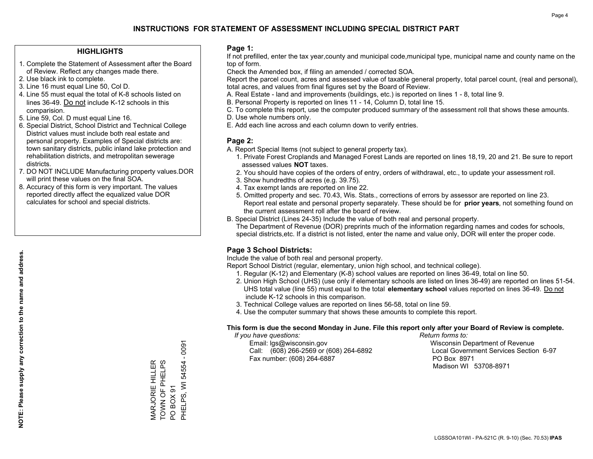## **HIGHLIGHTS**

- 1. Complete the Statement of Assessment after the Board of Review. Reflect any changes made there.
- 2. Use black ink to complete.
- 3. Line 16 must equal Line 50, Col D.
- 4. Line 55 must equal the total of K-8 schools listed on lines 36-49. Do not include K-12 schools in this comparision.
- 5. Line 59, Col. D must equal Line 16.
- 6. Special District, School District and Technical College District values must include both real estate and personal property. Examples of Special districts are: town sanitary districts, public inland lake protection and rehabilitation districts, and metropolitan sewerage districts.
- 7. DO NOT INCLUDE Manufacturing property values.DOR will print these values on the final SOA.

MARJORIE HILLER TOWN OF PHELPS

MARJORIE HILLER<br>TOWN OF PHELPS

PO BOX 91

POBOX91

PHELPS, WI 54554 - 0091

PHELPS, WI 54554

 $-0091$ 

 8. Accuracy of this form is very important. The values reported directly affect the equalized value DOR calculates for school and special districts.

### **Page 1:**

 If not prefilled, enter the tax year,county and municipal code,municipal type, municipal name and county name on the top of form.

Check the Amended box, if filing an amended / corrected SOA.

 Report the parcel count, acres and assessed value of taxable general property, total parcel count, (real and personal), total acres, and values from final figures set by the Board of Review.

- A. Real Estate land and improvements (buildings, etc.) is reported on lines 1 8, total line 9.
- B. Personal Property is reported on lines 11 14, Column D, total line 15.
- C. To complete this report, use the computer produced summary of the assessment roll that shows these amounts.
- D. Use whole numbers only.
- E. Add each line across and each column down to verify entries.

## **Page 2:**

- A. Report Special Items (not subject to general property tax).
- 1. Private Forest Croplands and Managed Forest Lands are reported on lines 18,19, 20 and 21. Be sure to report assessed values **NOT** taxes.
- 2. You should have copies of the orders of entry, orders of withdrawal, etc., to update your assessment roll.
	- 3. Show hundredths of acres (e.g. 39.75).
- 4. Tax exempt lands are reported on line 22.
- 5. Omitted property and sec. 70.43, Wis. Stats., corrections of errors by assessor are reported on line 23. Report real estate and personal property separately. These should be for **prior years**, not something found on the current assessment roll after the board of review.
- B. Special District (Lines 24-35) Include the value of both real and personal property.
- The Department of Revenue (DOR) preprints much of the information regarding names and codes for schools, special districts,etc. If a district is not listed, enter the name and value only, DOR will enter the proper code.

# **Page 3 School Districts:**

Include the value of both real and personal property.

Report School District (regular, elementary, union high school, and technical college).

- 1. Regular (K-12) and Elementary (K-8) school values are reported on lines 36-49, total on line 50.
- 2. Union High School (UHS) (use only if elementary schools are listed on lines 36-49) are reported on lines 51-54. UHS total value (line 55) must equal to the total **elementary school** values reported on lines 36-49. Do notinclude K-12 schools in this comparison.
- 3. Technical College values are reported on lines 56-58, total on line 59.
- 4. Use the computer summary that shows these amounts to complete this report.

#### **This form is due the second Monday in June. File this report only after your Board of Review is complete.**

 *If you have questions: Return forms to:*

 Email: lgs@wisconsin.gov Wisconsin Department of RevenueCall:  $(608)$  266-2569 or  $(608)$  264-6892 Fax number: (608) 264-6887 PO Box 8971

Local Government Services Section 6-97 Madison WI 53708-8971

**NOTE: Please supply any correction to the name and address.**

NOTE: Please supply any correction to the name and address.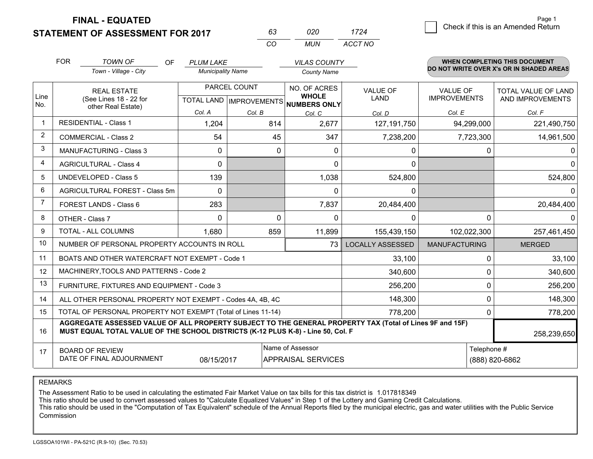**FINAL - EQUATED**

**STATEMENT OF ASSESSMENT FOR 2017** 

| $3-$ | 020 I | 1724    | .<br>Check if this is an Amended Return |
|------|-------|---------|-----------------------------------------|
| O    | MUN   | ACCT NO |                                         |

|                | <b>FOR</b>                     | <b>TOWN OF</b><br>OF<br>Town - Village - City                                                                                                                                                | <b>PLUM LAKE</b><br><b>Municipality Name</b> |                                           | <b>VILAS COUNTY</b><br><b>County Name</b>     |                         |                                        | <b>WHEN COMPLETING THIS DOCUMENT</b><br>DO NOT WRITE OVER X's OR IN SHADED AREAS |
|----------------|--------------------------------|----------------------------------------------------------------------------------------------------------------------------------------------------------------------------------------------|----------------------------------------------|-------------------------------------------|-----------------------------------------------|-------------------------|----------------------------------------|----------------------------------------------------------------------------------|
| Line           |                                | <b>REAL ESTATE</b><br>(See Lines 18 - 22 for                                                                                                                                                 |                                              | PARCEL COUNT<br>TOTAL LAND   IMPROVEMENTS | NO. OF ACRES<br><b>WHOLE</b>                  | <b>VALUE OF</b><br>LAND | <b>VALUE OF</b><br><b>IMPROVEMENTS</b> | <b>TOTAL VALUE OF LAND</b><br>AND IMPROVEMENTS                                   |
| No.            |                                | other Real Estate)                                                                                                                                                                           | Col. A                                       | Col. B                                    | NUMBERS ONLY<br>Col. C                        | Col. D                  | Col. E                                 | Col. F                                                                           |
| $\mathbf 1$    |                                | <b>RESIDENTIAL - Class 1</b>                                                                                                                                                                 | 1,204                                        | 814                                       | 2,677                                         | 127,191,750             | 94,299,000                             | 221,490,750                                                                      |
| $\overline{2}$ |                                | <b>COMMERCIAL - Class 2</b>                                                                                                                                                                  | 54                                           | 45                                        | 347                                           | 7,238,200               | 7,723,300                              | 14,961,500                                                                       |
| 3              |                                | <b>MANUFACTURING - Class 3</b>                                                                                                                                                               | $\Omega$                                     | 0                                         | $\Omega$                                      | 0                       | <sup>0</sup>                           | 0                                                                                |
| 4              |                                | <b>AGRICULTURAL - Class 4</b>                                                                                                                                                                | $\Omega$                                     |                                           | $\Omega$                                      | $\mathbf 0$             |                                        | $\Omega$                                                                         |
| 5              |                                | <b>UNDEVELOPED - Class 5</b>                                                                                                                                                                 | 139                                          |                                           | 1,038                                         | 524,800                 |                                        | 524,800                                                                          |
| 6              | AGRICULTURAL FOREST - Class 5m |                                                                                                                                                                                              | $\Omega$                                     |                                           | $\Omega$                                      | $\Omega$                |                                        | <sup>0</sup>                                                                     |
| 7              | FOREST LANDS - Class 6         |                                                                                                                                                                                              | 283                                          |                                           | 7,837                                         | 20,484,400              |                                        | 20,484,400                                                                       |
| 8              |                                | OTHER - Class 7                                                                                                                                                                              | $\Omega$                                     | $\Omega$                                  | $\Omega$                                      | $\Omega$                | $\Omega$                               |                                                                                  |
| 9              |                                | TOTAL - ALL COLUMNS                                                                                                                                                                          | 1,680                                        | 859                                       | 11,899                                        | 155,439,150             | 102,022,300                            | 257,461,450                                                                      |
| 10             |                                | NUMBER OF PERSONAL PROPERTY ACCOUNTS IN ROLL                                                                                                                                                 |                                              |                                           | 73                                            | LOCALLY ASSESSED        | <b>MANUFACTURING</b>                   | <b>MERGED</b>                                                                    |
| 11             |                                | BOATS AND OTHER WATERCRAFT NOT EXEMPT - Code 1                                                                                                                                               |                                              |                                           |                                               | 33,100                  | 0                                      | 33,100                                                                           |
| 12             |                                | MACHINERY, TOOLS AND PATTERNS - Code 2                                                                                                                                                       |                                              |                                           |                                               | 340,600                 | 0                                      | 340,600                                                                          |
| 13             |                                | FURNITURE, FIXTURES AND EQUIPMENT - Code 3                                                                                                                                                   |                                              |                                           |                                               | 256,200                 | 0                                      | 256,200                                                                          |
| 14             |                                | ALL OTHER PERSONAL PROPERTY NOT EXEMPT - Codes 4A, 4B, 4C                                                                                                                                    |                                              |                                           |                                               | 148,300                 | $\Omega$                               | 148,300                                                                          |
| 15             |                                | TOTAL OF PERSONAL PROPERTY NOT EXEMPT (Total of Lines 11-14)                                                                                                                                 |                                              |                                           |                                               | 778,200                 | 0                                      | 778,200                                                                          |
| 16             |                                | AGGREGATE ASSESSED VALUE OF ALL PROPERTY SUBJECT TO THE GENERAL PROPERTY TAX (Total of Lines 9F and 15F)<br>MUST EQUAL TOTAL VALUE OF THE SCHOOL DISTRICTS (K-12 PLUS K-8) - Line 50, Col. F |                                              |                                           |                                               |                         |                                        | 258,239,650                                                                      |
| 17             |                                | <b>BOARD OF REVIEW</b><br>DATE OF FINAL ADJOURNMENT                                                                                                                                          | 08/15/2017                                   |                                           | Name of Assessor<br><b>APPRAISAL SERVICES</b> |                         | Telephone #<br>(888) 820-6862          |                                                                                  |

*CO*

*<sup>63</sup> <sup>020</sup>*

REMARKS

The Assessment Ratio to be used in calculating the estimated Fair Market Value on tax bills for this tax district is 1.017818349<br>This ratio should be used to convert assessed values to "Calculate Equalized Values" in Step Commission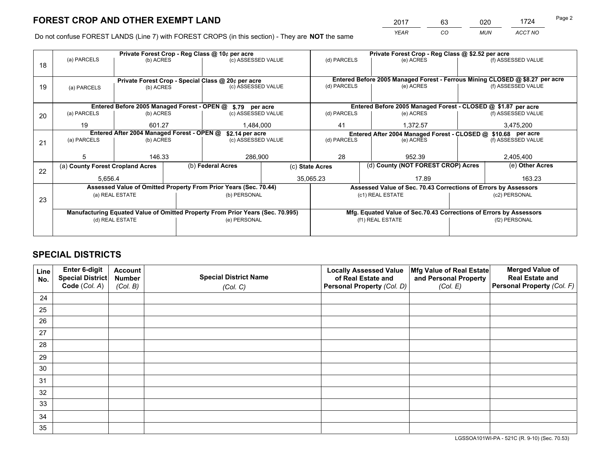*YEAR CO MUN ACCT NO* <sup>2017</sup> <sup>63</sup> <sup>020</sup> <sup>1724</sup>

Do not confuse FOREST LANDS (Line 7) with FOREST CROPS (in this section) - They are **NOT** the same

|                                                                                |                                 |                                                                |                                               |                                                                     | Private Forest Crop - Reg Class @ \$2.52 per acre                                                                                                                                                                                                                                                         |                                                               |           |                                                                      |                                                                                                                                                                                                                                                                                                                              |
|--------------------------------------------------------------------------------|---------------------------------|----------------------------------------------------------------|-----------------------------------------------|---------------------------------------------------------------------|-----------------------------------------------------------------------------------------------------------------------------------------------------------------------------------------------------------------------------------------------------------------------------------------------------------|---------------------------------------------------------------|-----------|----------------------------------------------------------------------|------------------------------------------------------------------------------------------------------------------------------------------------------------------------------------------------------------------------------------------------------------------------------------------------------------------------------|
|                                                                                |                                 |                                                                |                                               |                                                                     | (d) PARCELS                                                                                                                                                                                                                                                                                               |                                                               |           |                                                                      | (f) ASSESSED VALUE                                                                                                                                                                                                                                                                                                           |
|                                                                                |                                 |                                                                |                                               |                                                                     |                                                                                                                                                                                                                                                                                                           |                                                               |           |                                                                      |                                                                                                                                                                                                                                                                                                                              |
|                                                                                |                                 |                                                                |                                               |                                                                     |                                                                                                                                                                                                                                                                                                           |                                                               |           |                                                                      |                                                                                                                                                                                                                                                                                                                              |
| (a) PARCELS                                                                    | (c) ASSESSED VALUE<br>(b) ACRES |                                                                |                                               | (d) PARCELS                                                         |                                                                                                                                                                                                                                                                                                           |                                                               |           | (f) ASSESSED VALUE                                                   |                                                                                                                                                                                                                                                                                                                              |
|                                                                                |                                 |                                                                |                                               |                                                                     |                                                                                                                                                                                                                                                                                                           |                                                               |           |                                                                      |                                                                                                                                                                                                                                                                                                                              |
|                                                                                |                                 |                                                                |                                               |                                                                     |                                                                                                                                                                                                                                                                                                           |                                                               |           |                                                                      |                                                                                                                                                                                                                                                                                                                              |
| (a) PARCELS                                                                    |                                 |                                                                |                                               |                                                                     | (d) PARCELS                                                                                                                                                                                                                                                                                               |                                                               |           |                                                                      | (f) ASSESSED VALUE                                                                                                                                                                                                                                                                                                           |
| 19                                                                             | 601.27<br>1,484,000             |                                                                |                                               | 41<br>1.372.57                                                      |                                                                                                                                                                                                                                                                                                           |                                                               | 3,475,200 |                                                                      |                                                                                                                                                                                                                                                                                                                              |
| Entered After 2004 Managed Forest - OPEN @                                     |                                 |                                                                |                                               |                                                                     |                                                                                                                                                                                                                                                                                                           | Entered After 2004 Managed Forest - CLOSED @ \$10.68 per acre |           |                                                                      |                                                                                                                                                                                                                                                                                                                              |
| (a) PARCELS                                                                    |                                 |                                                                |                                               | (d) PARCELS                                                         |                                                                                                                                                                                                                                                                                                           |                                                               |           |                                                                      | (f) ASSESSED VALUE                                                                                                                                                                                                                                                                                                           |
|                                                                                |                                 |                                                                |                                               |                                                                     |                                                                                                                                                                                                                                                                                                           |                                                               |           |                                                                      |                                                                                                                                                                                                                                                                                                                              |
| 5                                                                              |                                 |                                                                | 286,900                                       |                                                                     | 28                                                                                                                                                                                                                                                                                                        | 952.39                                                        |           | 2,405,400                                                            |                                                                                                                                                                                                                                                                                                                              |
|                                                                                |                                 |                                                                |                                               |                                                                     |                                                                                                                                                                                                                                                                                                           |                                                               |           |                                                                      | (e) Other Acres                                                                                                                                                                                                                                                                                                              |
|                                                                                |                                 |                                                                |                                               |                                                                     | 17.89                                                                                                                                                                                                                                                                                                     |                                                               |           |                                                                      | 163.23                                                                                                                                                                                                                                                                                                                       |
|                                                                                |                                 |                                                                |                                               |                                                                     |                                                                                                                                                                                                                                                                                                           |                                                               |           |                                                                      |                                                                                                                                                                                                                                                                                                                              |
|                                                                                |                                 |                                                                |                                               |                                                                     |                                                                                                                                                                                                                                                                                                           |                                                               |           |                                                                      | (c2) PERSONAL                                                                                                                                                                                                                                                                                                                |
|                                                                                |                                 |                                                                |                                               |                                                                     |                                                                                                                                                                                                                                                                                                           |                                                               |           |                                                                      |                                                                                                                                                                                                                                                                                                                              |
| Manufacturing Equated Value of Omitted Property From Prior Years (Sec. 70.995) |                                 |                                                                |                                               |                                                                     |                                                                                                                                                                                                                                                                                                           |                                                               |           |                                                                      |                                                                                                                                                                                                                                                                                                                              |
| (d) REAL ESTATE                                                                |                                 |                                                                |                                               |                                                                     | (f1) REAL ESTATE                                                                                                                                                                                                                                                                                          |                                                               |           | (f2) PERSONAL                                                        |                                                                                                                                                                                                                                                                                                                              |
|                                                                                |                                 |                                                                |                                               |                                                                     |                                                                                                                                                                                                                                                                                                           |                                                               |           |                                                                      |                                                                                                                                                                                                                                                                                                                              |
|                                                                                | (a) PARCELS                     | (a) County Forest Cropland Acres<br>5,656.4<br>(a) REAL ESTATE | (b) ACRES<br>(b) ACRES<br>(b) ACRES<br>146.33 | Private Forest Crop - Reg Class @ 10¢ per acre<br>(b) Federal Acres | (c) ASSESSED VALUE<br>Private Forest Crop - Special Class @ 20¢ per acre<br>Entered Before 2005 Managed Forest - OPEN @ \$.79 per acre<br>(c) ASSESSED VALUE<br>\$2.14 per acre<br>(c) ASSESSED VALUE<br>Assessed Value of Omitted Property From Prior Years (Sec. 70.44)<br>(b) PERSONAL<br>(e) PERSONAL | (c) State Acres<br>35,065.23                                  |           | (e) ACRES<br>(e) ACRES<br>(e) ACRES<br>(e) ACRES<br>(c1) REAL ESTATE | Entered Before 2005 Managed Forest - Ferrous Mining CLOSED @ \$8.27 per acre<br>Entered Before 2005 Managed Forest - CLOSED @ \$1.87 per acre<br>(d) County (NOT FOREST CROP) Acres<br>Assessed Value of Sec. 70.43 Corrections of Errors by Assessors<br>Mfg. Equated Value of Sec.70.43 Corrections of Errors by Assessors |

# **SPECIAL DISTRICTS**

| Line<br>No. | Enter 6-digit<br><b>Special District</b> | <b>Account</b><br><b>Number</b> | <b>Special District Name</b> | <b>Locally Assessed Value</b><br>of Real Estate and | Mfg Value of Real Estate<br>and Personal Property | <b>Merged Value of</b><br><b>Real Estate and</b> |
|-------------|------------------------------------------|---------------------------------|------------------------------|-----------------------------------------------------|---------------------------------------------------|--------------------------------------------------|
|             | Code (Col. A)                            | (Col. B)                        | (Col. C)                     | Personal Property (Col. D)                          | (Col. E)                                          | Personal Property (Col. F)                       |
| 24          |                                          |                                 |                              |                                                     |                                                   |                                                  |
| 25          |                                          |                                 |                              |                                                     |                                                   |                                                  |
| 26          |                                          |                                 |                              |                                                     |                                                   |                                                  |
| 27          |                                          |                                 |                              |                                                     |                                                   |                                                  |
| 28          |                                          |                                 |                              |                                                     |                                                   |                                                  |
| 29          |                                          |                                 |                              |                                                     |                                                   |                                                  |
| 30          |                                          |                                 |                              |                                                     |                                                   |                                                  |
| 31          |                                          |                                 |                              |                                                     |                                                   |                                                  |
| 32          |                                          |                                 |                              |                                                     |                                                   |                                                  |
| 33          |                                          |                                 |                              |                                                     |                                                   |                                                  |
| 34          |                                          |                                 |                              |                                                     |                                                   |                                                  |
| 35          |                                          |                                 |                              |                                                     |                                                   |                                                  |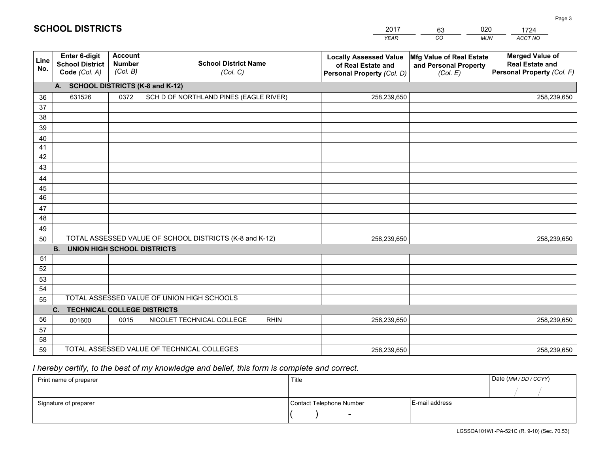|             | <b>SCHOOL DISTRICTS</b>                                         |                                      |                                         | 2017<br><b>YEAR</b>                                                               | 020<br>63<br>CO<br><b>MUN</b>                                 | 1724<br>ACCT NO                                                                       |
|-------------|-----------------------------------------------------------------|--------------------------------------|-----------------------------------------|-----------------------------------------------------------------------------------|---------------------------------------------------------------|---------------------------------------------------------------------------------------|
| Line<br>No. | <b>Enter 6-digit</b><br><b>School District</b><br>Code (Col. A) | Account<br><b>Number</b><br>(Col. B) | <b>School District Name</b><br>(Col. C) | <b>Locally Assessed Value</b><br>of Real Estate and<br>Personal Property (Col. D) | Mfg Value of Real Estate<br>and Personal Property<br>(Col. E) | <b>Merged Value of</b><br><b>Real Estate and</b><br><b>Personal Property (Col. F)</b> |
|             | A. SCHOOL DISTRICTS (K-8 and K-12)                              |                                      |                                         |                                                                                   |                                                               |                                                                                       |
| 36          | 631526                                                          | 0372                                 | SCH D OF NORTHLAND PINES (EAGLE RIVER)  | 258,239,650                                                                       |                                                               | 258,239,650                                                                           |
| 37          |                                                                 |                                      |                                         |                                                                                   |                                                               |                                                                                       |
| 38          |                                                                 |                                      |                                         |                                                                                   |                                                               |                                                                                       |
| 39          |                                                                 |                                      |                                         |                                                                                   |                                                               |                                                                                       |
| 40          |                                                                 |                                      |                                         |                                                                                   |                                                               |                                                                                       |

| 39 |                                                                                       |      |                                            |             |  |             |  |  |
|----|---------------------------------------------------------------------------------------|------|--------------------------------------------|-------------|--|-------------|--|--|
| 40 |                                                                                       |      |                                            |             |  |             |  |  |
| 41 |                                                                                       |      |                                            |             |  |             |  |  |
| 42 |                                                                                       |      |                                            |             |  |             |  |  |
| 43 |                                                                                       |      |                                            |             |  |             |  |  |
| 44 |                                                                                       |      |                                            |             |  |             |  |  |
| 45 |                                                                                       |      |                                            |             |  |             |  |  |
| 46 |                                                                                       |      |                                            |             |  |             |  |  |
| 47 |                                                                                       |      |                                            |             |  |             |  |  |
| 48 |                                                                                       |      |                                            |             |  |             |  |  |
| 49 |                                                                                       |      |                                            |             |  |             |  |  |
| 50 | TOTAL ASSESSED VALUE OF SCHOOL DISTRICTS (K-8 and K-12)<br>258,239,650<br>258,239,650 |      |                                            |             |  |             |  |  |
|    | <b>UNION HIGH SCHOOL DISTRICTS</b><br><b>B.</b>                                       |      |                                            |             |  |             |  |  |
| 51 |                                                                                       |      |                                            |             |  |             |  |  |
| 52 |                                                                                       |      |                                            |             |  |             |  |  |
| 53 |                                                                                       |      |                                            |             |  |             |  |  |
| 54 |                                                                                       |      |                                            |             |  |             |  |  |
| 55 |                                                                                       |      | TOTAL ASSESSED VALUE OF UNION HIGH SCHOOLS |             |  |             |  |  |
|    | TECHNICAL COLLEGE DISTRICTS<br>$C_{1}$                                                |      |                                            |             |  |             |  |  |
| 56 | 001600                                                                                | 0015 | NICOLET TECHNICAL COLLEGE<br><b>RHIN</b>   | 258,239,650 |  | 258,239,650 |  |  |
| 57 |                                                                                       |      |                                            |             |  |             |  |  |
| 58 |                                                                                       |      |                                            |             |  |             |  |  |
| 59 |                                                                                       |      | TOTAL ASSESSED VALUE OF TECHNICAL COLLEGES | 258,239,650 |  | 258,239,650 |  |  |

# *I hereby certify, to the best of my knowledge and belief, this form is complete and correct.*

| Print name of preparer | Title                    |                  | Date (MM / DD / CCYY) |
|------------------------|--------------------------|------------------|-----------------------|
|                        |                          |                  |                       |
| Signature of preparer  | Contact Telephone Number | l E-mail address |                       |
|                        | $\sim$                   |                  |                       |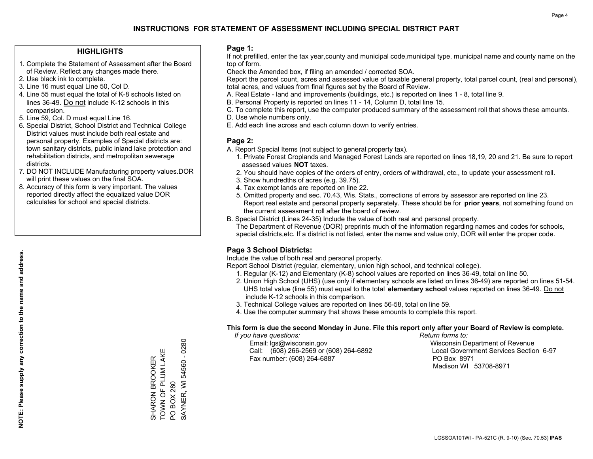## **HIGHLIGHTS**

- 1. Complete the Statement of Assessment after the Board of Review. Reflect any changes made there.
- 2. Use black ink to complete.
- 3. Line 16 must equal Line 50, Col D.
- 4. Line 55 must equal the total of K-8 schools listed on lines 36-49. Do not include K-12 schools in this comparision.
- 5. Line 59, Col. D must equal Line 16.
- 6. Special District, School District and Technical College District values must include both real estate and personal property. Examples of Special districts are: town sanitary districts, public inland lake protection and rehabilitation districts, and metropolitan sewerage districts.
- 7. DO NOT INCLUDE Manufacturing property values.DOR will print these values on the final SOA.

SHARON BROOKER TOWN OF PLUM LAKE

SHARON BROOKER<br>TOWN OF PLUM LAK

Щ

PO BOX 280

**PO BOX 280** 

SAYNER, WI 54560 - 0280

SAYNER, WI 54560 - 0280

 8. Accuracy of this form is very important. The values reported directly affect the equalized value DOR calculates for school and special districts.

### **Page 1:**

 If not prefilled, enter the tax year,county and municipal code,municipal type, municipal name and county name on the top of form.

Check the Amended box, if filing an amended / corrected SOA.

 Report the parcel count, acres and assessed value of taxable general property, total parcel count, (real and personal), total acres, and values from final figures set by the Board of Review.

- A. Real Estate land and improvements (buildings, etc.) is reported on lines 1 8, total line 9.
- B. Personal Property is reported on lines 11 14, Column D, total line 15.
- C. To complete this report, use the computer produced summary of the assessment roll that shows these amounts.
- D. Use whole numbers only.
- E. Add each line across and each column down to verify entries.

## **Page 2:**

- A. Report Special Items (not subject to general property tax).
- 1. Private Forest Croplands and Managed Forest Lands are reported on lines 18,19, 20 and 21. Be sure to report assessed values **NOT** taxes.
- 2. You should have copies of the orders of entry, orders of withdrawal, etc., to update your assessment roll.
	- 3. Show hundredths of acres (e.g. 39.75).
- 4. Tax exempt lands are reported on line 22.
- 5. Omitted property and sec. 70.43, Wis. Stats., corrections of errors by assessor are reported on line 23. Report real estate and personal property separately. These should be for **prior years**, not something found on the current assessment roll after the board of review.
- B. Special District (Lines 24-35) Include the value of both real and personal property.

 The Department of Revenue (DOR) preprints much of the information regarding names and codes for schools, special districts,etc. If a district is not listed, enter the name and value only, DOR will enter the proper code.

# **Page 3 School Districts:**

Include the value of both real and personal property.

Report School District (regular, elementary, union high school, and technical college).

- 1. Regular (K-12) and Elementary (K-8) school values are reported on lines 36-49, total on line 50.
- 2. Union High School (UHS) (use only if elementary schools are listed on lines 36-49) are reported on lines 51-54. UHS total value (line 55) must equal to the total **elementary school** values reported on lines 36-49. Do notinclude K-12 schools in this comparison.
- 3. Technical College values are reported on lines 56-58, total on line 59.
- 4. Use the computer summary that shows these amounts to complete this report.

#### **This form is due the second Monday in June. File this report only after your Board of Review is complete.**

 *If you have questions: Return forms to:*

 Email: lgs@wisconsin.gov Wisconsin Department of RevenueCall:  $(608)$  266-2569 or  $(608)$  264-6892 Fax number: (608) 264-6887 PO Box 8971

Local Government Services Section 6-97 Madison WI 53708-8971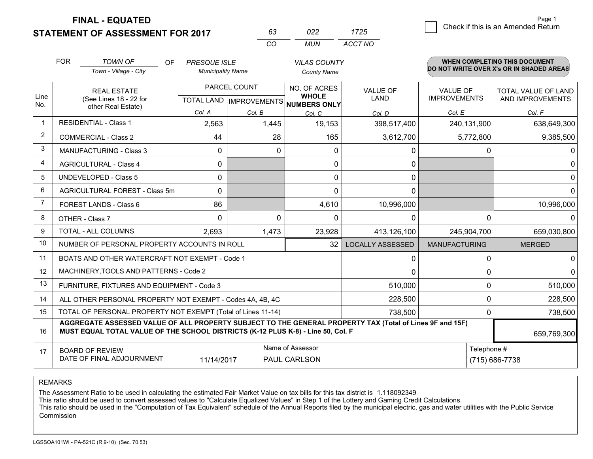**STATEMENT OF ASSESSMENT FOR 2017 FINAL - EQUATED**

|                | <b>FOR</b>                     | <b>TOWN OF</b><br><b>OF</b><br>Town - Village - City                                                                                                                                         | <b>PRESQUE ISLE</b><br><b>Municipality Name</b> |                                                   | <b>VILAS COUNTY</b><br><b>County Name</b>           |                         |                                 | <b>WHEN COMPLETING THIS DOCUMENT</b><br>DO NOT WRITE OVER X's OR IN SHADED AREAS |
|----------------|--------------------------------|----------------------------------------------------------------------------------------------------------------------------------------------------------------------------------------------|-------------------------------------------------|---------------------------------------------------|-----------------------------------------------------|-------------------------|---------------------------------|----------------------------------------------------------------------------------|
| Line<br>No.    |                                | <b>REAL ESTATE</b><br>(See Lines 18 - 22 for<br>other Real Estate)                                                                                                                           |                                                 | PARCEL COUNT<br><b>TOTAL LAND   IMPROVEMENTS </b> | NO. OF ACRES<br><b>WHOLE</b><br><b>NUMBERS ONLY</b> | <b>VALUE OF</b><br>LAND | VALUE OF<br><b>IMPROVEMENTS</b> | <b>TOTAL VALUE OF LAND</b><br>AND IMPROVEMENTS                                   |
|                |                                |                                                                                                                                                                                              | Col. A                                          | Col. B                                            | Col. C                                              | Col. D                  | Col. E                          | Col. F                                                                           |
| $\mathbf 1$    |                                | <b>RESIDENTIAL - Class 1</b>                                                                                                                                                                 | 2,563                                           | 1,445                                             | 19,153                                              | 398,517,400             | 240,131,900                     | 638,649,300                                                                      |
| $\overline{2}$ | <b>COMMERCIAL - Class 2</b>    |                                                                                                                                                                                              | 44                                              | 28                                                | 165                                                 | 3,612,700               | 5,772,800                       | 9,385,500                                                                        |
| 3              |                                | <b>MANUFACTURING - Class 3</b>                                                                                                                                                               | 0                                               | $\mathbf{0}$                                      | 0                                                   | 0                       | 0                               | 0                                                                                |
| 4              |                                | <b>AGRICULTURAL - Class 4</b>                                                                                                                                                                | 0                                               |                                                   | 0                                                   | 0                       |                                 | 0                                                                                |
| 5              | <b>UNDEVELOPED - Class 5</b>   |                                                                                                                                                                                              | 0                                               |                                                   | 0                                                   | 0                       |                                 | 0                                                                                |
| 6              | AGRICULTURAL FOREST - Class 5m |                                                                                                                                                                                              | 0                                               |                                                   | $\Omega$                                            | $\Omega$                |                                 | $\Omega$                                                                         |
| $\overline{7}$ | FOREST LANDS - Class 6         |                                                                                                                                                                                              | 86                                              |                                                   | 4,610                                               | 10,996,000              |                                 | 10,996,000                                                                       |
| 8              |                                | OTHER - Class 7                                                                                                                                                                              | $\mathbf{0}$                                    | $\Omega$                                          | $\Omega$                                            | 0                       | $\Omega$                        | ∩                                                                                |
| 9              |                                | TOTAL - ALL COLUMNS                                                                                                                                                                          | 2,693                                           | 1,473                                             | 23,928                                              | 413,126,100             | 245,904,700                     | 659,030,800                                                                      |
| 10             |                                | NUMBER OF PERSONAL PROPERTY ACCOUNTS IN ROLL                                                                                                                                                 |                                                 |                                                   | 32                                                  | <b>LOCALLY ASSESSED</b> | <b>MANUFACTURING</b>            | <b>MERGED</b>                                                                    |
| 11             |                                | BOATS AND OTHER WATERCRAFT NOT EXEMPT - Code 1                                                                                                                                               |                                                 |                                                   |                                                     | 0                       | 0                               | $\Omega$                                                                         |
| 12             |                                | MACHINERY, TOOLS AND PATTERNS - Code 2                                                                                                                                                       |                                                 |                                                   |                                                     | $\Omega$                | 0                               | $\Omega$                                                                         |
| 13             |                                | FURNITURE, FIXTURES AND EQUIPMENT - Code 3                                                                                                                                                   |                                                 |                                                   |                                                     | 510,000                 | 0                               | 510,000                                                                          |
| 14             |                                | ALL OTHER PERSONAL PROPERTY NOT EXEMPT - Codes 4A, 4B, 4C                                                                                                                                    |                                                 |                                                   |                                                     | 228,500                 | $\Omega$                        | 228,500                                                                          |
| 15             |                                | TOTAL OF PERSONAL PROPERTY NOT EXEMPT (Total of Lines 11-14)                                                                                                                                 |                                                 |                                                   |                                                     | 738,500                 | 0                               | 738,500                                                                          |
| 16             |                                | AGGREGATE ASSESSED VALUE OF ALL PROPERTY SUBJECT TO THE GENERAL PROPERTY TAX (Total of Lines 9F and 15F)<br>MUST EQUAL TOTAL VALUE OF THE SCHOOL DISTRICTS (K-12 PLUS K-8) - Line 50, Col. F |                                                 |                                                   |                                                     |                         |                                 | 659,769,300                                                                      |
| 17             |                                | <b>BOARD OF REVIEW</b><br>DATE OF FINAL ADJOURNMENT                                                                                                                                          | 11/14/2017                                      | Name of Assessor<br><b>PAUL CARLSON</b>           |                                                     | Telephone #             | (715) 686-7738                  |                                                                                  |

*CO*

*MUN*

*ACCT NO1725*

*<sup>63</sup> <sup>022</sup>*

REMARKS

The Assessment Ratio to be used in calculating the estimated Fair Market Value on tax bills for this tax district is 1.118092349<br>This ratio should be used to convert assessed values to "Calculate Equalized Values" in Step Commission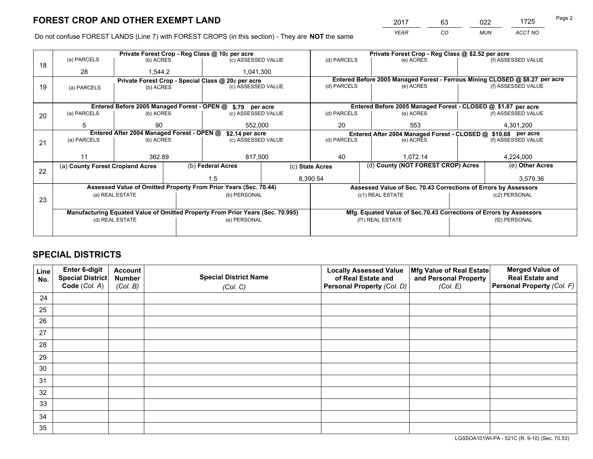*YEAR CO MUN ACCT NO* <sup>2017</sup> <sup>63</sup> <sup>022</sup> <sup>1725</sup>

Do not confuse FOREST LANDS (Line 7) with FOREST CROPS (in this section) - They are **NOT** the same

|    |                                                               |                                             |  | Private Forest Crop - Reg Class @ 10¢ per acre                                 |  |                          | Private Forest Crop - Reg Class @ \$2.52 per acre                            |               |                    |  |
|----|---------------------------------------------------------------|---------------------------------------------|--|--------------------------------------------------------------------------------|--|--------------------------|------------------------------------------------------------------------------|---------------|--------------------|--|
| 18 | (a) PARCELS                                                   | (b) ACRES                                   |  | (c) ASSESSED VALUE                                                             |  | (d) PARCELS              | (e) ACRES                                                                    |               | (f) ASSESSED VALUE |  |
|    | 28                                                            | 1,544.2                                     |  | 1,041,300                                                                      |  |                          |                                                                              |               |                    |  |
|    | Private Forest Crop - Special Class @ 20¢ per acre            |                                             |  |                                                                                |  |                          | Entered Before 2005 Managed Forest - Ferrous Mining CLOSED @ \$8.27 per acre |               |                    |  |
| 19 | (a) PARCELS                                                   | (b) ACRES                                   |  | (c) ASSESSED VALUE                                                             |  | (d) PARCELS              | (e) ACRES                                                                    |               | (f) ASSESSED VALUE |  |
|    |                                                               |                                             |  |                                                                                |  |                          |                                                                              |               |                    |  |
|    |                                                               | Entered Before 2005 Managed Forest - OPEN @ |  | \$.79 per acre                                                                 |  |                          | Entered Before 2005 Managed Forest - CLOSED @ \$1.87 per acre                |               |                    |  |
| 20 | (a) PARCELS                                                   | (b) ACRES                                   |  | (c) ASSESSED VALUE                                                             |  | (d) PARCELS              | (e) ACRES                                                                    |               | (f) ASSESSED VALUE |  |
|    | 5                                                             | 90                                          |  | 552,000                                                                        |  | 20                       | 553                                                                          |               | 4,301,200          |  |
|    | Entered After 2004 Managed Forest - OPEN @<br>\$2.14 per acre |                                             |  |                                                                                |  |                          | Entered After 2004 Managed Forest - CLOSED @ \$10.68 per acre                |               |                    |  |
| 21 | (a) PARCELS                                                   | (b) ACRES                                   |  | (c) ASSESSED VALUE                                                             |  | (d) PARCELS<br>(e) ACRES |                                                                              |               | (f) ASSESSED VALUE |  |
|    |                                                               |                                             |  |                                                                                |  |                          |                                                                              |               |                    |  |
|    | 11                                                            | 362.89                                      |  | 817,500                                                                        |  | 40<br>1,072.14           |                                                                              |               | 4,224,000          |  |
| 22 | (a) County Forest Cropland Acres                              |                                             |  | (b) Federal Acres<br>(c) State Acres                                           |  |                          | (d) County (NOT FOREST CROP) Acres                                           |               | (e) Other Acres    |  |
|    |                                                               |                                             |  | 1.5                                                                            |  | 8,390.54                 |                                                                              |               | 3,579.36           |  |
|    |                                                               |                                             |  | Assessed Value of Omitted Property From Prior Years (Sec. 70.44)               |  |                          | Assessed Value of Sec. 70.43 Corrections of Errors by Assessors              |               |                    |  |
|    |                                                               | (a) REAL ESTATE                             |  | (b) PERSONAL                                                                   |  |                          | (c1) REAL ESTATE                                                             |               | (c2) PERSONAL      |  |
| 23 |                                                               |                                             |  |                                                                                |  |                          |                                                                              |               |                    |  |
|    |                                                               |                                             |  | Manufacturing Equated Value of Omitted Property From Prior Years (Sec. 70.995) |  |                          | Mfg. Equated Value of Sec.70.43 Corrections of Errors by Assessors           |               |                    |  |
|    |                                                               | (d) REAL ESTATE                             |  | (e) PERSONAL                                                                   |  | (f1) REAL ESTATE         |                                                                              | (f2) PERSONAL |                    |  |
|    |                                                               |                                             |  |                                                                                |  |                          |                                                                              |               |                    |  |

# **SPECIAL DISTRICTS**

| Line<br>No. | Enter 6-digit<br><b>Special District</b> | <b>Account</b><br><b>Number</b> | <b>Special District Name</b> | <b>Locally Assessed Value</b><br>of Real Estate and | Mfg Value of Real Estate<br>and Personal Property | <b>Merged Value of</b><br><b>Real Estate and</b> |
|-------------|------------------------------------------|---------------------------------|------------------------------|-----------------------------------------------------|---------------------------------------------------|--------------------------------------------------|
|             | Code (Col. A)                            | (Col. B)                        | (Col. C)                     | Personal Property (Col. D)                          | (Col. E)                                          | Personal Property (Col. F)                       |
| 24          |                                          |                                 |                              |                                                     |                                                   |                                                  |
| 25          |                                          |                                 |                              |                                                     |                                                   |                                                  |
| 26          |                                          |                                 |                              |                                                     |                                                   |                                                  |
| 27          |                                          |                                 |                              |                                                     |                                                   |                                                  |
| 28          |                                          |                                 |                              |                                                     |                                                   |                                                  |
| 29          |                                          |                                 |                              |                                                     |                                                   |                                                  |
| 30          |                                          |                                 |                              |                                                     |                                                   |                                                  |
| 31          |                                          |                                 |                              |                                                     |                                                   |                                                  |
| 32          |                                          |                                 |                              |                                                     |                                                   |                                                  |
| 33          |                                          |                                 |                              |                                                     |                                                   |                                                  |
| 34          |                                          |                                 |                              |                                                     |                                                   |                                                  |
| 35          |                                          |                                 |                              |                                                     |                                                   |                                                  |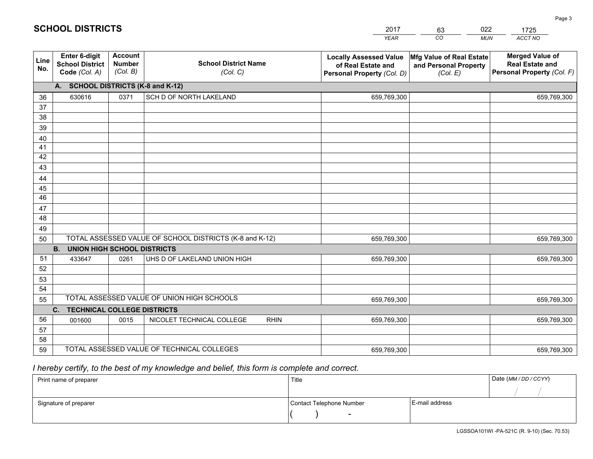|             |                                                          |                                             |                                                         | <b>YEAR</b>                                                                       | CO<br><b>MUN</b>                                              | ACCT NO                                                                        |
|-------------|----------------------------------------------------------|---------------------------------------------|---------------------------------------------------------|-----------------------------------------------------------------------------------|---------------------------------------------------------------|--------------------------------------------------------------------------------|
| Line<br>No. | Enter 6-digit<br><b>School District</b><br>Code (Col. A) | <b>Account</b><br><b>Number</b><br>(Col. B) | <b>School District Name</b><br>(Col. C)                 | <b>Locally Assessed Value</b><br>of Real Estate and<br>Personal Property (Col. D) | Mfg Value of Real Estate<br>and Personal Property<br>(Col. E) | <b>Merged Value of</b><br><b>Real Estate and</b><br>Personal Property (Col. F) |
|             | A. SCHOOL DISTRICTS (K-8 and K-12)                       |                                             |                                                         |                                                                                   |                                                               |                                                                                |
| 36          | 630616                                                   | 0371                                        | SCH D OF NORTH LAKELAND                                 | 659,769,300                                                                       |                                                               | 659,769,300                                                                    |
| 37          |                                                          |                                             |                                                         |                                                                                   |                                                               |                                                                                |
| 38          |                                                          |                                             |                                                         |                                                                                   |                                                               |                                                                                |
| 39          |                                                          |                                             |                                                         |                                                                                   |                                                               |                                                                                |
| 40          |                                                          |                                             |                                                         |                                                                                   |                                                               |                                                                                |
| 41<br>42    |                                                          |                                             |                                                         |                                                                                   |                                                               |                                                                                |
| 43          |                                                          |                                             |                                                         |                                                                                   |                                                               |                                                                                |
| 44          |                                                          |                                             |                                                         |                                                                                   |                                                               |                                                                                |
| 45          |                                                          |                                             |                                                         |                                                                                   |                                                               |                                                                                |
| 46          |                                                          |                                             |                                                         |                                                                                   |                                                               |                                                                                |
| 47          |                                                          |                                             |                                                         |                                                                                   |                                                               |                                                                                |
| 48          |                                                          |                                             |                                                         |                                                                                   |                                                               |                                                                                |
| 49          |                                                          |                                             |                                                         |                                                                                   |                                                               |                                                                                |
| 50          |                                                          |                                             | TOTAL ASSESSED VALUE OF SCHOOL DISTRICTS (K-8 and K-12) | 659,769,300                                                                       |                                                               | 659,769,300                                                                    |
|             | <b>B.</b><br><b>UNION HIGH SCHOOL DISTRICTS</b>          |                                             |                                                         |                                                                                   |                                                               |                                                                                |
| 51          | 433647                                                   | 0261                                        | UHS D OF LAKELAND UNION HIGH                            | 659,769,300                                                                       |                                                               | 659,769,300                                                                    |
| 52          |                                                          |                                             |                                                         |                                                                                   |                                                               |                                                                                |
| 53          |                                                          |                                             |                                                         |                                                                                   |                                                               |                                                                                |
| 54          |                                                          |                                             | TOTAL ASSESSED VALUE OF UNION HIGH SCHOOLS              |                                                                                   |                                                               |                                                                                |
| 55          |                                                          |                                             |                                                         | 659,769,300                                                                       |                                                               | 659,769,300                                                                    |
| 56          | C. TECHNICAL COLLEGE DISTRICTS                           | 0015                                        | NICOLET TECHNICAL COLLEGE<br><b>RHIN</b>                | 659,769,300                                                                       |                                                               |                                                                                |
| 57          | 001600                                                   |                                             |                                                         |                                                                                   |                                                               | 659,769,300                                                                    |
| 58          |                                                          |                                             |                                                         |                                                                                   |                                                               |                                                                                |
| 59          |                                                          |                                             | TOTAL ASSESSED VALUE OF TECHNICAL COLLEGES              | 659,769,300                                                                       |                                                               | 659,769,300                                                                    |

2017

63

022

 *I hereby certify, to the best of my knowledge and belief, this form is complete and correct.*

**SCHOOL DISTRICTS**

| Print name of preparer | Title                    | Date (MM / DD / CCYY) |  |
|------------------------|--------------------------|-----------------------|--|
|                        |                          |                       |  |
| Signature of preparer  | Contact Telephone Number | E-mail address        |  |
|                        | $\overline{\phantom{0}}$ |                       |  |

1725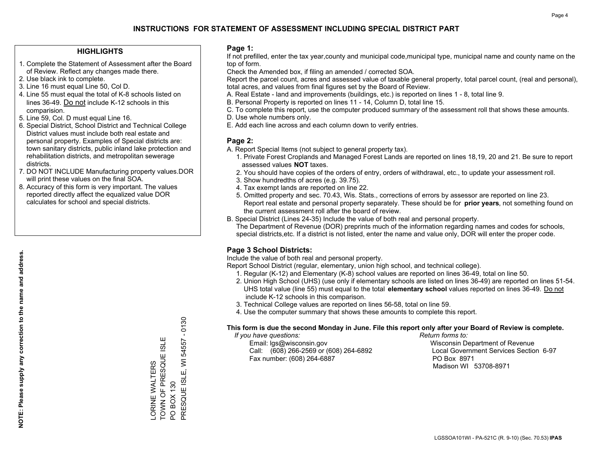### **HIGHLIGHTS**

- 1. Complete the Statement of Assessment after the Board of Review. Reflect any changes made there.
- 2. Use black ink to complete.
- 3. Line 16 must equal Line 50, Col D.
- 4. Line 55 must equal the total of K-8 schools listed on lines 36-49. Do not include K-12 schools in this comparision.
- 5. Line 59, Col. D must equal Line 16.
- 6. Special District, School District and Technical College District values must include both real estate and personal property. Examples of Special districts are: town sanitary districts, public inland lake protection and rehabilitation districts, and metropolitan sewerage districts.
- 7. DO NOT INCLUDE Manufacturing property values.DOR will print these values on the final SOA.

LORINE WALTERS

ORINE WALTERS

TOWN OF PRESQUE ISLE

TOWN OF PRESQUE ISL

Ш

PO BOX 130

PRESQUE ISLE, WI 54557 - 0130

PRESQUE ISLE, PO BOX 130

 $\overline{5}$ 

 $-0130$ 

54557

 8. Accuracy of this form is very important. The values reported directly affect the equalized value DOR calculates for school and special districts.

### **Page 1:**

 If not prefilled, enter the tax year,county and municipal code,municipal type, municipal name and county name on the top of form.

Check the Amended box, if filing an amended / corrected SOA.

 Report the parcel count, acres and assessed value of taxable general property, total parcel count, (real and personal), total acres, and values from final figures set by the Board of Review.

- A. Real Estate land and improvements (buildings, etc.) is reported on lines 1 8, total line 9.
- B. Personal Property is reported on lines 11 14, Column D, total line 15.
- C. To complete this report, use the computer produced summary of the assessment roll that shows these amounts.
- D. Use whole numbers only.
- E. Add each line across and each column down to verify entries.

### **Page 2:**

- A. Report Special Items (not subject to general property tax).
- 1. Private Forest Croplands and Managed Forest Lands are reported on lines 18,19, 20 and 21. Be sure to report assessed values **NOT** taxes.
- 2. You should have copies of the orders of entry, orders of withdrawal, etc., to update your assessment roll.
	- 3. Show hundredths of acres (e.g. 39.75).
- 4. Tax exempt lands are reported on line 22.
- 5. Omitted property and sec. 70.43, Wis. Stats., corrections of errors by assessor are reported on line 23. Report real estate and personal property separately. These should be for **prior years**, not something found on the current assessment roll after the board of review.
- B. Special District (Lines 24-35) Include the value of both real and personal property.
- The Department of Revenue (DOR) preprints much of the information regarding names and codes for schools, special districts,etc. If a district is not listed, enter the name and value only, DOR will enter the proper code.

# **Page 3 School Districts:**

Include the value of both real and personal property.

Report School District (regular, elementary, union high school, and technical college).

- 1. Regular (K-12) and Elementary (K-8) school values are reported on lines 36-49, total on line 50.
- 2. Union High School (UHS) (use only if elementary schools are listed on lines 36-49) are reported on lines 51-54. UHS total value (line 55) must equal to the total **elementary school** values reported on lines 36-49. Do notinclude K-12 schools in this comparison.
- 3. Technical College values are reported on lines 56-58, total on line 59.
- 4. Use the computer summary that shows these amounts to complete this report.

#### **This form is due the second Monday in June. File this report only after your Board of Review is complete.**

 *If you have questions: Return forms to:*

 Email: lgs@wisconsin.gov Wisconsin Department of RevenueCall:  $(608)$  266-2569 or  $(608)$  264-6892 Fax number: (608) 264-6887 PO Box 8971

Local Government Services Section 6-97 Madison WI 53708-8971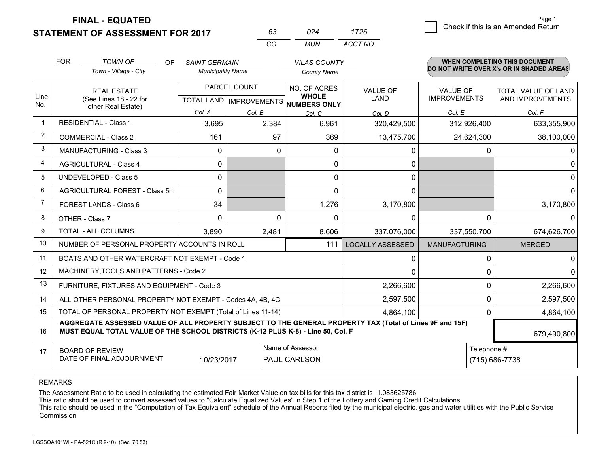**STATEMENT OF ASSESSMENT FOR 2017** 

**FINAL - EQUATED**

|                | <b>FOR</b>                                          | <b>TOWN OF</b><br>OF<br>Town - Village - City                                                                                                                                                | <b>SAINT GERMAIN</b><br><b>Municipality Name</b> |                                           | <b>VILAS COUNTY</b><br><b>County Name</b>                  |                         |                                        | <b>WHEN COMPLETING THIS DOCUMENT</b><br>DO NOT WRITE OVER X's OR IN SHADED AREAS |
|----------------|-----------------------------------------------------|----------------------------------------------------------------------------------------------------------------------------------------------------------------------------------------------|--------------------------------------------------|-------------------------------------------|------------------------------------------------------------|-------------------------|----------------------------------------|----------------------------------------------------------------------------------|
| Line<br>No.    |                                                     | <b>REAL ESTATE</b><br>(See Lines 18 - 22 for                                                                                                                                                 |                                                  | PARCEL COUNT<br>TOTAL LAND   IMPROVEMENTS | <b>NO. OF ACRES</b><br><b>WHOLE</b><br><b>NUMBERS ONLY</b> | <b>VALUE OF</b><br>LAND | <b>VALUE OF</b><br><b>IMPROVEMENTS</b> | <b>TOTAL VALUE OF LAND</b><br>AND IMPROVEMENTS                                   |
|                |                                                     | other Real Estate)                                                                                                                                                                           | Col. A                                           | Col. B                                    | Col. C                                                     | Col. D                  | Col. E                                 | Col. F                                                                           |
| -1             |                                                     | <b>RESIDENTIAL - Class 1</b>                                                                                                                                                                 | 3,695                                            | 2,384                                     | 6,961                                                      | 320,429,500             | 312,926,400                            | 633,355,900                                                                      |
| 2              | <b>COMMERCIAL - Class 2</b>                         |                                                                                                                                                                                              | 161                                              | 97                                        | 369                                                        | 13,475,700              | 24,624,300                             | 38,100,000                                                                       |
| 3              |                                                     | <b>MANUFACTURING - Class 3</b>                                                                                                                                                               | $\mathbf{0}$                                     | 0                                         | 0                                                          | 0                       | 0                                      | 0                                                                                |
| 4              |                                                     | <b>AGRICULTURAL - Class 4</b>                                                                                                                                                                | 0                                                |                                           | $\Omega$                                                   | $\mathbf{0}$            |                                        | $\Omega$                                                                         |
| 5              | <b>UNDEVELOPED - Class 5</b>                        |                                                                                                                                                                                              | $\mathbf{0}$                                     |                                           | 0                                                          | 0                       |                                        | $\mathbf{0}$                                                                     |
| 6              | AGRICULTURAL FOREST - Class 5m                      |                                                                                                                                                                                              | $\Omega$                                         |                                           | 0                                                          | $\Omega$                |                                        | $\Omega$                                                                         |
| $\overline{7}$ | <b>FOREST LANDS - Class 6</b>                       |                                                                                                                                                                                              | 34                                               |                                           | 1,276                                                      | 3,170,800               |                                        | 3,170,800                                                                        |
| 8              |                                                     | OTHER - Class 7                                                                                                                                                                              | 0                                                | $\Omega$                                  | $\Omega$                                                   | $\mathbf{0}$            | 0                                      | <sup>0</sup>                                                                     |
| 9              |                                                     | TOTAL - ALL COLUMNS                                                                                                                                                                          | 3,890                                            | 2,481                                     | 8,606                                                      | 337,076,000             | 337,550,700                            | 674,626,700                                                                      |
| 10             |                                                     | NUMBER OF PERSONAL PROPERTY ACCOUNTS IN ROLL                                                                                                                                                 |                                                  |                                           | 111                                                        | <b>LOCALLY ASSESSED</b> | <b>MANUFACTURING</b>                   | <b>MERGED</b>                                                                    |
| 11             |                                                     | BOATS AND OTHER WATERCRAFT NOT EXEMPT - Code 1                                                                                                                                               |                                                  |                                           |                                                            | $\mathbf{0}$            | 0                                      | $\mathbf{0}$                                                                     |
| 12             |                                                     | MACHINERY, TOOLS AND PATTERNS - Code 2                                                                                                                                                       |                                                  |                                           |                                                            | $\Omega$                | 0                                      | $\Omega$                                                                         |
| 13             |                                                     | FURNITURE, FIXTURES AND EQUIPMENT - Code 3                                                                                                                                                   |                                                  |                                           |                                                            | 2,266,600               | 0                                      | 2,266,600                                                                        |
| 14             |                                                     | ALL OTHER PERSONAL PROPERTY NOT EXEMPT - Codes 4A, 4B, 4C                                                                                                                                    |                                                  |                                           |                                                            | 2,597,500               | 0                                      | 2,597,500                                                                        |
| 15             |                                                     | TOTAL OF PERSONAL PROPERTY NOT EXEMPT (Total of Lines 11-14)                                                                                                                                 |                                                  |                                           |                                                            | 4,864,100               | $\Omega$                               | 4,864,100                                                                        |
| 16             |                                                     | AGGREGATE ASSESSED VALUE OF ALL PROPERTY SUBJECT TO THE GENERAL PROPERTY TAX (Total of Lines 9F and 15F)<br>MUST EQUAL TOTAL VALUE OF THE SCHOOL DISTRICTS (K-12 PLUS K-8) - Line 50, Col. F |                                                  |                                           |                                                            |                         |                                        | 679,490,800                                                                      |
| 17             | <b>BOARD OF REVIEW</b><br>DATE OF FINAL ADJOURNMENT | Telephone #<br>(715) 686-7738                                                                                                                                                                |                                                  |                                           |                                                            |                         |                                        |                                                                                  |

*CO*

*MUN*

*ACCT NO1726*

*<sup>63</sup> <sup>024</sup>*

REMARKS

The Assessment Ratio to be used in calculating the estimated Fair Market Value on tax bills for this tax district is 1.083625786<br>This ratio should be used to convert assessed values to "Calculate Equalized Values" in Step Commission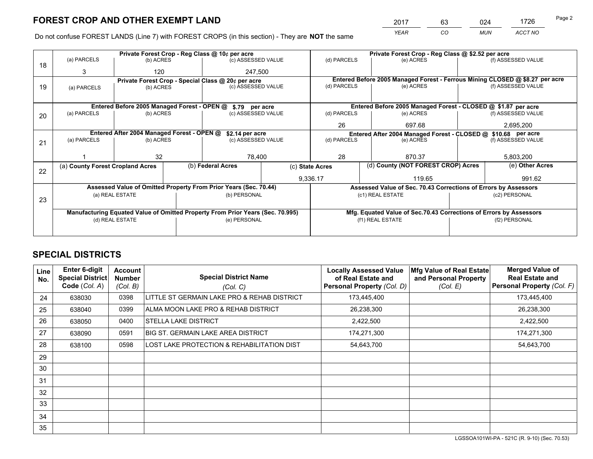*YEAR CO MUN ACCT NO* <sup>2017</sup> <sup>63</sup> <sup>024</sup> <sup>1726</sup>

Do not confuse FOREST LANDS (Line 7) with FOREST CROPS (in this section) - They are **NOT** the same

|    |                                                               |                                 |  | Private Forest Crop - Reg Class @ 10¢ per acre                                 |                 |                  |                                                               | Private Forest Crop - Reg Class @ \$2.52 per acre                  |                    |                                                                              |
|----|---------------------------------------------------------------|---------------------------------|--|--------------------------------------------------------------------------------|-----------------|------------------|---------------------------------------------------------------|--------------------------------------------------------------------|--------------------|------------------------------------------------------------------------------|
| 18 | (a) PARCELS                                                   | (b) ACRES                       |  | (c) ASSESSED VALUE                                                             |                 | (d) PARCELS      |                                                               | (e) ACRES                                                          |                    | (f) ASSESSED VALUE                                                           |
|    | 3                                                             | 120                             |  | 247,500                                                                        |                 |                  |                                                               |                                                                    |                    |                                                                              |
|    |                                                               |                                 |  | Private Forest Crop - Special Class @ 20¢ per acre                             |                 |                  |                                                               |                                                                    |                    | Entered Before 2005 Managed Forest - Ferrous Mining CLOSED @ \$8.27 per acre |
| 19 | (a) PARCELS                                                   | (c) ASSESSED VALUE<br>(b) ACRES |  |                                                                                | (d) PARCELS     |                  | (e) ACRES                                                     |                                                                    | (f) ASSESSED VALUE |                                                                              |
|    |                                                               |                                 |  |                                                                                |                 |                  |                                                               |                                                                    |                    |                                                                              |
|    |                                                               |                                 |  | Entered Before 2005 Managed Forest - OPEN @ \$.79 per acre                     |                 |                  |                                                               | Entered Before 2005 Managed Forest - CLOSED @ \$1.87 per acre      |                    |                                                                              |
| 20 | (a) PARCELS                                                   | (b) ACRES                       |  | (c) ASSESSED VALUE                                                             |                 | (d) PARCELS      |                                                               | (e) ACRES                                                          |                    | (f) ASSESSED VALUE                                                           |
|    |                                                               |                                 |  |                                                                                |                 | 26               |                                                               | 697.68                                                             |                    | 2,695,200                                                                    |
|    | Entered After 2004 Managed Forest - OPEN @<br>\$2.14 per acre |                                 |  |                                                                                |                 |                  | Entered After 2004 Managed Forest - CLOSED @ \$10.68 per acre |                                                                    |                    |                                                                              |
| 21 | (a) PARCELS                                                   | (b) ACRES                       |  | (c) ASSESSED VALUE                                                             |                 | (d) PARCELS      |                                                               | (e) ACRES                                                          |                    | (f) ASSESSED VALUE                                                           |
|    |                                                               |                                 |  |                                                                                |                 |                  |                                                               |                                                                    |                    |                                                                              |
|    |                                                               | 32                              |  | 78.400                                                                         |                 | 28               |                                                               | 870.37                                                             |                    | 5,803,200                                                                    |
|    | (a) County Forest Cropland Acres                              |                                 |  | (b) Federal Acres                                                              | (c) State Acres |                  |                                                               | (d) County (NOT FOREST CROP) Acres                                 |                    | (e) Other Acres                                                              |
| 22 |                                                               |                                 |  |                                                                                |                 | 9,336.17         |                                                               | 119.65                                                             |                    | 991.62                                                                       |
|    |                                                               |                                 |  | Assessed Value of Omitted Property From Prior Years (Sec. 70.44)               |                 |                  |                                                               | Assessed Value of Sec. 70.43 Corrections of Errors by Assessors    |                    |                                                                              |
|    |                                                               | (a) REAL ESTATE                 |  | (b) PERSONAL                                                                   |                 |                  | (c1) REAL ESTATE                                              |                                                                    |                    | (c2) PERSONAL                                                                |
| 23 |                                                               |                                 |  |                                                                                |                 |                  |                                                               |                                                                    |                    |                                                                              |
|    |                                                               |                                 |  | Manufacturing Equated Value of Omitted Property From Prior Years (Sec. 70.995) |                 |                  |                                                               | Mfg. Equated Value of Sec.70.43 Corrections of Errors by Assessors |                    |                                                                              |
|    |                                                               | (d) REAL ESTATE                 |  | (e) PERSONAL                                                                   |                 | (f1) REAL ESTATE |                                                               |                                                                    | (f2) PERSONAL      |                                                                              |
|    |                                                               |                                 |  |                                                                                |                 |                  |                                                               |                                                                    |                    |                                                                              |

# **SPECIAL DISTRICTS**

| <b>Line</b><br>No. | <b>Enter 6-digit</b><br><b>Special District</b><br>Code (Col. A) | <b>Account</b><br><b>Number</b><br>(Col. B) | <b>Special District Name</b><br>(Col. C)    | <b>Locally Assessed Value</b><br>of Real Estate and<br>Personal Property (Col. D) | Mfg Value of Real Estate<br>and Personal Property<br>(Col. E) | <b>Merged Value of</b><br><b>Real Estate and</b><br>Personal Property (Col. F) |
|--------------------|------------------------------------------------------------------|---------------------------------------------|---------------------------------------------|-----------------------------------------------------------------------------------|---------------------------------------------------------------|--------------------------------------------------------------------------------|
| 24                 | 638030                                                           | 0398                                        | LITTLE ST GERMAIN LAKE PRO & REHAB DISTRICT | 173,445,400                                                                       |                                                               | 173,445,400                                                                    |
| 25                 | 638040                                                           | 0399                                        | ALMA MOON LAKE PRO & REHAB DISTRICT         | 26,238,300                                                                        |                                                               | 26,238,300                                                                     |
| 26                 | 638050                                                           | 0400                                        | <b>STELLA LAKE DISTRICT</b>                 | 2,422,500                                                                         |                                                               | 2,422,500                                                                      |
| 27                 | 638090                                                           | 0591                                        | <b>BIG ST. GERMAIN LAKE AREA DISTRICT</b>   | 174,271,300                                                                       |                                                               | 174,271,300                                                                    |
| 28                 | 638100                                                           | 0598                                        | LOST LAKE PROTECTION & REHABILITATION DIST  | 54,643,700                                                                        |                                                               | 54,643,700                                                                     |
| 29                 |                                                                  |                                             |                                             |                                                                                   |                                                               |                                                                                |
| 30                 |                                                                  |                                             |                                             |                                                                                   |                                                               |                                                                                |
| 31                 |                                                                  |                                             |                                             |                                                                                   |                                                               |                                                                                |
| 32                 |                                                                  |                                             |                                             |                                                                                   |                                                               |                                                                                |
| 33                 |                                                                  |                                             |                                             |                                                                                   |                                                               |                                                                                |
| 34                 |                                                                  |                                             |                                             |                                                                                   |                                                               |                                                                                |
| 35                 |                                                                  |                                             |                                             |                                                                                   |                                                               |                                                                                |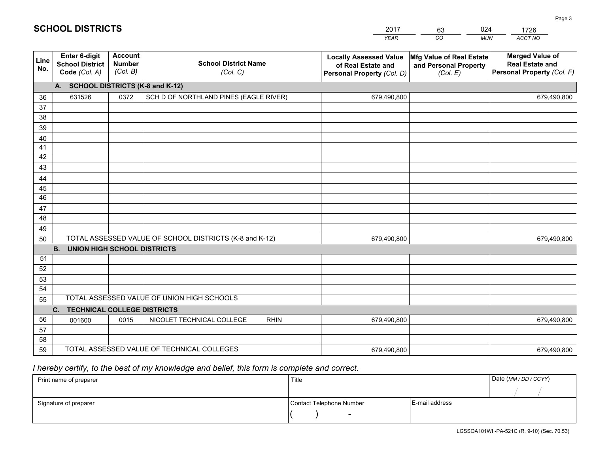|             | <b>SCHOOL DISTRICTS</b>                                         |                               |                                         | 2017<br><b>YEAR</b>                                                               | 024<br>63<br>CO<br><b>MUN</b>                                 | 1726<br>ACCT NO                                                                       |
|-------------|-----------------------------------------------------------------|-------------------------------|-----------------------------------------|-----------------------------------------------------------------------------------|---------------------------------------------------------------|---------------------------------------------------------------------------------------|
| Line<br>No. | <b>Enter 6-digit</b><br><b>School District</b><br>Code (Col. A) | Account<br>Number<br>(Col. B) | <b>School District Name</b><br>(Col, C) | <b>Locally Assessed Value</b><br>of Real Estate and<br>Personal Property (Col. D) | Mfg Value of Real Estate<br>and Personal Property<br>(Col. E) | <b>Merged Value of</b><br><b>Real Estate and</b><br><b>Personal Property (Col. F)</b> |
|             | A. SCHOOL DISTRICTS (K-8 and K-12)                              |                               |                                         |                                                                                   |                                                               |                                                                                       |
| 36          | 631526                                                          | 0372                          | SCH D OF NORTHLAND PINES (EAGLE RIVER)  | 679,490,800                                                                       |                                                               | 679,490,800                                                                           |
| 37          |                                                                 |                               |                                         |                                                                                   |                                                               |                                                                                       |
| 38          |                                                                 |                               |                                         |                                                                                   |                                                               |                                                                                       |
| $\sim$      |                                                                 |                               |                                         |                                                                                   |                                                               |                                                                                       |

| 36 | 631526                                          | 0372 | SCH D OF NORTHLAND PINES (EAGLE RIVER)                  | 679,490,800 | 679,490,800 |  |  |  |
|----|-------------------------------------------------|------|---------------------------------------------------------|-------------|-------------|--|--|--|
| 37 |                                                 |      |                                                         |             |             |  |  |  |
| 38 |                                                 |      |                                                         |             |             |  |  |  |
| 39 |                                                 |      |                                                         |             |             |  |  |  |
| 40 |                                                 |      |                                                         |             |             |  |  |  |
| 41 |                                                 |      |                                                         |             |             |  |  |  |
| 42 |                                                 |      |                                                         |             |             |  |  |  |
| 43 |                                                 |      |                                                         |             |             |  |  |  |
| 44 |                                                 |      |                                                         |             |             |  |  |  |
| 45 |                                                 |      |                                                         |             |             |  |  |  |
| 46 |                                                 |      |                                                         |             |             |  |  |  |
| 47 |                                                 |      |                                                         |             |             |  |  |  |
| 48 |                                                 |      |                                                         |             |             |  |  |  |
| 49 |                                                 |      |                                                         |             |             |  |  |  |
| 50 |                                                 |      | TOTAL ASSESSED VALUE OF SCHOOL DISTRICTS (K-8 and K-12) | 679,490,800 | 679,490,800 |  |  |  |
|    | <b>B.</b><br><b>UNION HIGH SCHOOL DISTRICTS</b> |      |                                                         |             |             |  |  |  |
| 51 |                                                 |      |                                                         |             |             |  |  |  |
| 52 |                                                 |      |                                                         |             |             |  |  |  |
| 53 |                                                 |      |                                                         |             |             |  |  |  |
| 54 |                                                 |      |                                                         |             |             |  |  |  |
| 55 |                                                 |      | TOTAL ASSESSED VALUE OF UNION HIGH SCHOOLS              |             |             |  |  |  |
|    | TECHNICAL COLLEGE DISTRICTS<br>$C_{1}$          |      |                                                         |             |             |  |  |  |
| 56 | 001600                                          | 0015 | NICOLET TECHNICAL COLLEGE<br><b>RHIN</b>                | 679,490,800 | 679,490,800 |  |  |  |
| 57 |                                                 |      |                                                         |             |             |  |  |  |
| 58 |                                                 |      |                                                         |             |             |  |  |  |
| 59 |                                                 |      | TOTAL ASSESSED VALUE OF TECHNICAL COLLEGES              | 679,490,800 | 679,490,800 |  |  |  |

# *I hereby certify, to the best of my knowledge and belief, this form is complete and correct.*

| Print name of preparer | Title                    |                | Date (MM / DD / CCYY) |  |
|------------------------|--------------------------|----------------|-----------------------|--|
|                        |                          |                |                       |  |
| Signature of preparer  | Contact Telephone Number | E-mail address |                       |  |
|                        | $\sim$                   |                |                       |  |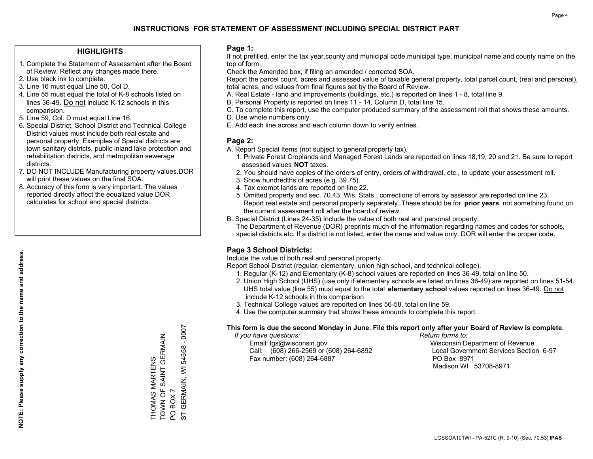## **HIGHLIGHTS**

- 1. Complete the Statement of Assessment after the Board of Review. Reflect any changes made there.
- 2. Use black ink to complete.
- 3. Line 16 must equal Line 50, Col D.
- 4. Line 55 must equal the total of K-8 schools listed on lines 36-49. Do not include K-12 schools in this comparision.
- 5. Line 59, Col. D must equal Line 16.
- 6. Special District, School District and Technical College District values must include both real estate and personal property. Examples of Special districts are: town sanitary districts, public inland lake protection and rehabilitation districts, and metropolitan sewerage districts.
- 7. DO NOT INCLUDE Manufacturing property values.DOR will print these values on the final SOA.

THOMAS MARTENS

TOWN OF SAINT GERMAIN

TOWN OF SAINT GERMAIN *THOMAS MARTENS* 

PO BOX 7

 $\overline{Q}$  $\overline{5}$ 

BOX 7

ST GERMAIN, WI 54558 - 0007

GERMAIN, WI 54558 - 0007

 8. Accuracy of this form is very important. The values reported directly affect the equalized value DOR calculates for school and special districts.

### **Page 1:**

 If not prefilled, enter the tax year,county and municipal code,municipal type, municipal name and county name on the top of form.

Check the Amended box, if filing an amended / corrected SOA.

 Report the parcel count, acres and assessed value of taxable general property, total parcel count, (real and personal), total acres, and values from final figures set by the Board of Review.

- A. Real Estate land and improvements (buildings, etc.) is reported on lines 1 8, total line 9.
- B. Personal Property is reported on lines 11 14, Column D, total line 15.
- C. To complete this report, use the computer produced summary of the assessment roll that shows these amounts.
- D. Use whole numbers only.
- E. Add each line across and each column down to verify entries.

## **Page 2:**

- A. Report Special Items (not subject to general property tax).
- 1. Private Forest Croplands and Managed Forest Lands are reported on lines 18,19, 20 and 21. Be sure to report assessed values **NOT** taxes.
- 2. You should have copies of the orders of entry, orders of withdrawal, etc., to update your assessment roll.
	- 3. Show hundredths of acres (e.g. 39.75).
- 4. Tax exempt lands are reported on line 22.
- 5. Omitted property and sec. 70.43, Wis. Stats., corrections of errors by assessor are reported on line 23. Report real estate and personal property separately. These should be for **prior years**, not something found on the current assessment roll after the board of review.
- B. Special District (Lines 24-35) Include the value of both real and personal property.

 The Department of Revenue (DOR) preprints much of the information regarding names and codes for schools, special districts,etc. If a district is not listed, enter the name and value only, DOR will enter the proper code.

# **Page 3 School Districts:**

Include the value of both real and personal property.

Report School District (regular, elementary, union high school, and technical college).

- 1. Regular (K-12) and Elementary (K-8) school values are reported on lines 36-49, total on line 50.
- 2. Union High School (UHS) (use only if elementary schools are listed on lines 36-49) are reported on lines 51-54. UHS total value (line 55) must equal to the total **elementary school** values reported on lines 36-49. Do notinclude K-12 schools in this comparison.
- 3. Technical College values are reported on lines 56-58, total on line 59.
- 4. Use the computer summary that shows these amounts to complete this report.

#### **This form is due the second Monday in June. File this report only after your Board of Review is complete.**

 *If you have questions: Return forms to:*

 Email: lgs@wisconsin.gov Wisconsin Department of RevenueCall:  $(608)$  266-2569 or  $(608)$  264-6892 Fax number: (608) 264-6887 PO Box 8971

Local Government Services Section 6-97 Madison WI 53708-8971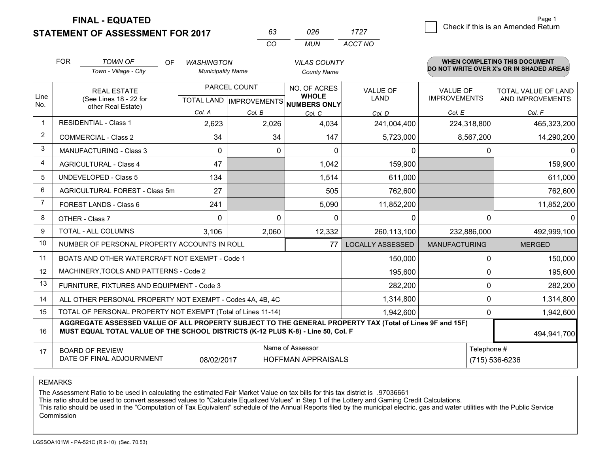**FINAL - EQUATED**

**STATEMENT OF ASSESSMENT FOR 2017** 

| 63 | 026 | 1727    |
|----|-----|---------|
| cо | MUN | ACCT NO |

|             | <b>FOR</b>                                                                                                                                                                                   | <b>TOWN OF</b><br>OF                                         | <b>WASHINGTON</b>        |                                                          | <b>VILAS COUNTY</b>       |                         |                      | WHEN COMPLETING THIS DOCUMENT<br>DO NOT WRITE OVER X's OR IN SHADED AREAS |  |
|-------------|----------------------------------------------------------------------------------------------------------------------------------------------------------------------------------------------|--------------------------------------------------------------|--------------------------|----------------------------------------------------------|---------------------------|-------------------------|----------------------|---------------------------------------------------------------------------|--|
|             |                                                                                                                                                                                              | Town - Village - City                                        | <b>Municipality Name</b> |                                                          | <b>County Name</b>        |                         |                      |                                                                           |  |
|             |                                                                                                                                                                                              | <b>REAL ESTATE</b>                                           |                          | PARCEL COUNT                                             | NO. OF ACRES              | <b>VALUE OF</b>         | <b>VALUE OF</b>      | TOTAL VALUE OF LAND                                                       |  |
| Line<br>No. | (See Lines 18 - 22 for<br>other Real Estate)                                                                                                                                                 |                                                              |                          | <b>WHOLE</b><br>TOTAL LAND   IMPROVEMENTS   NUMBERS ONLY | <b>LAND</b>               | <b>IMPROVEMENTS</b>     | AND IMPROVEMENTS     |                                                                           |  |
|             |                                                                                                                                                                                              |                                                              | Col. A                   | Col. B                                                   | Col. C                    | Col. D                  | Col. E               | Col. F                                                                    |  |
|             |                                                                                                                                                                                              | <b>RESIDENTIAL - Class 1</b>                                 | 2,623                    | 2,026                                                    | 4,034                     | 241,004,400             | 224,318,800          | 465,323,200                                                               |  |
| 2           | <b>COMMERCIAL - Class 2</b>                                                                                                                                                                  |                                                              | 34                       | 34                                                       | 147                       | 5,723,000               | 8,567,200            | 14,290,200                                                                |  |
| 3           |                                                                                                                                                                                              | <b>MANUFACTURING - Class 3</b>                               | 0                        | 0                                                        | $\Omega$                  | 0                       |                      | $\mathbf{0}$<br>0                                                         |  |
| 4           |                                                                                                                                                                                              | <b>AGRICULTURAL - Class 4</b>                                | 47                       |                                                          | 1,042                     | 159,900                 |                      | 159,900                                                                   |  |
| 5           |                                                                                                                                                                                              | <b>UNDEVELOPED - Class 5</b>                                 | 134                      |                                                          | 1,514                     | 611,000                 |                      | 611,000                                                                   |  |
| 6           |                                                                                                                                                                                              | AGRICULTURAL FOREST - Class 5m                               | 27                       |                                                          | 505                       | 762,600                 |                      | 762,600                                                                   |  |
| 7           |                                                                                                                                                                                              | FOREST LANDS - Class 6                                       | 241                      |                                                          | 5,090                     | 11,852,200              |                      | 11,852,200                                                                |  |
| 8           |                                                                                                                                                                                              | OTHER - Class 7                                              | $\Omega$                 | $\Omega$                                                 | $\Omega$                  | $\Omega$                |                      | $\Omega$<br>$\Omega$                                                      |  |
| 9           |                                                                                                                                                                                              | TOTAL - ALL COLUMNS                                          | 3,106                    | 2,060                                                    | 12,332                    | 260,113,100             | 232,886,000          | 492,999,100                                                               |  |
| 10          |                                                                                                                                                                                              | NUMBER OF PERSONAL PROPERTY ACCOUNTS IN ROLL                 |                          |                                                          | 77                        | <b>LOCALLY ASSESSED</b> | <b>MANUFACTURING</b> | <b>MERGED</b>                                                             |  |
| 11          |                                                                                                                                                                                              | BOATS AND OTHER WATERCRAFT NOT EXEMPT - Code 1               |                          |                                                          |                           | 150,000                 |                      | 150,000<br>$\Omega$                                                       |  |
| 12          |                                                                                                                                                                                              | MACHINERY, TOOLS AND PATTERNS - Code 2                       |                          |                                                          |                           | 195,600                 |                      | 195,600<br>$\Omega$                                                       |  |
| 13          |                                                                                                                                                                                              | FURNITURE, FIXTURES AND EQUIPMENT - Code 3                   |                          |                                                          |                           | 282,200                 |                      | $\Omega$<br>282,200                                                       |  |
| 14          |                                                                                                                                                                                              | ALL OTHER PERSONAL PROPERTY NOT EXEMPT - Codes 4A, 4B, 4C    |                          |                                                          |                           | 1,314,800               |                      | 0<br>1,314,800                                                            |  |
| 15          |                                                                                                                                                                                              | TOTAL OF PERSONAL PROPERTY NOT EXEMPT (Total of Lines 11-14) |                          |                                                          |                           | 1,942,600               |                      | 1,942,600<br>$\Omega$                                                     |  |
| 16          | AGGREGATE ASSESSED VALUE OF ALL PROPERTY SUBJECT TO THE GENERAL PROPERTY TAX (Total of Lines 9F and 15F)<br>MUST EQUAL TOTAL VALUE OF THE SCHOOL DISTRICTS (K-12 PLUS K-8) - Line 50, Col. F |                                                              |                          |                                                          |                           |                         |                      |                                                                           |  |
| 17          |                                                                                                                                                                                              | <b>BOARD OF REVIEW</b>                                       |                          |                                                          | Name of Assessor          |                         |                      | Telephone #                                                               |  |
|             |                                                                                                                                                                                              | DATE OF FINAL ADJOURNMENT                                    | 08/02/2017               |                                                          | <b>HOFFMAN APPRAISALS</b> |                         | (715) 536-6236       |                                                                           |  |

REMARKS

The Assessment Ratio to be used in calculating the estimated Fair Market Value on tax bills for this tax district is .97036661

This ratio should be used to convert assessed values to "Calculate Equalized Values" in Step 1 of the Lottery and Gaming Credit Calculations.<br>This ratio should be used in the "Computation of Tax Equivalent" schedule of the Commission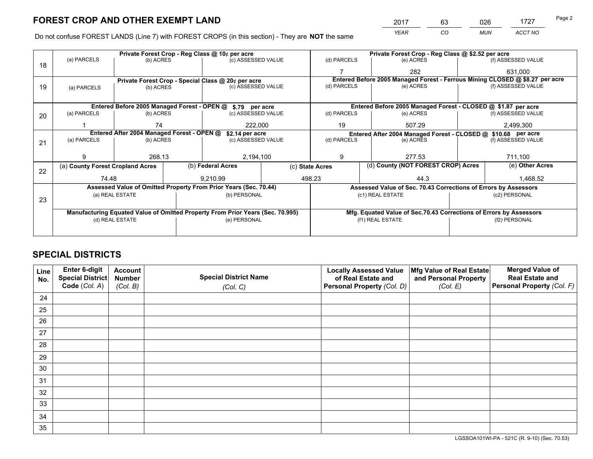*YEAR CO MUN ACCT NO* <sup>2017</sup> <sup>63</sup> <sup>026</sup> <sup>1727</sup> Page 2

Do not confuse FOREST LANDS (Line 7) with FOREST CROPS (in this section) - They are **NOT** the same

|    |                                                                                |                 |  | Private Forest Crop - Reg Class @ 10¢ per acre                   |        | Private Forest Crop - Reg Class @ \$2.52 per acre |                                    |                                                                              |               |                    |  |
|----|--------------------------------------------------------------------------------|-----------------|--|------------------------------------------------------------------|--------|---------------------------------------------------|------------------------------------|------------------------------------------------------------------------------|---------------|--------------------|--|
| 18 | (a) PARCELS                                                                    | (b) ACRES       |  | (c) ASSESSED VALUE                                               |        | (d) PARCELS                                       |                                    | (e) ACRES                                                                    |               | (f) ASSESSED VALUE |  |
|    |                                                                                |                 |  |                                                                  |        |                                                   |                                    | 282                                                                          |               | 631,000            |  |
|    | Private Forest Crop - Special Class @ 20¢ per acre                             |                 |  |                                                                  |        |                                                   |                                    | Entered Before 2005 Managed Forest - Ferrous Mining CLOSED @ \$8.27 per acre |               |                    |  |
| 19 | (b) ACRES<br>(a) PARCELS                                                       |                 |  | (c) ASSESSED VALUE                                               |        | (d) PARCELS                                       |                                    | (e) ACRES                                                                    |               | (f) ASSESSED VALUE |  |
|    |                                                                                |                 |  |                                                                  |        |                                                   |                                    |                                                                              |               |                    |  |
|    |                                                                                |                 |  | Entered Before 2005 Managed Forest - OPEN @ \$.79 per acre       |        |                                                   |                                    | Entered Before 2005 Managed Forest - CLOSED @ \$1.87 per acre                |               |                    |  |
| 20 | (a) PARCELS                                                                    | (b) ACRES       |  | (c) ASSESSED VALUE                                               |        | (d) PARCELS                                       |                                    | (e) ACRES                                                                    |               | (f) ASSESSED VALUE |  |
|    |                                                                                | 74              |  | 222,000                                                          |        | 19                                                |                                    | 507.29                                                                       |               | 2,499,300          |  |
|    | Entered After 2004 Managed Forest - OPEN @<br>\$2.14 per acre                  |                 |  |                                                                  |        |                                                   |                                    | Entered After 2004 Managed Forest - CLOSED @ \$10.68 per acre                |               |                    |  |
| 21 | (a) PARCELS                                                                    | (b) ACRES       |  | (c) ASSESSED VALUE                                               |        | (d) PARCELS                                       |                                    | (e) ACRES                                                                    |               | (f) ASSESSED VALUE |  |
|    |                                                                                |                 |  |                                                                  |        |                                                   |                                    |                                                                              |               |                    |  |
|    | 9                                                                              | 268.13          |  | 2,194,100                                                        |        | 9<br>277.53                                       |                                    |                                                                              | 711,100       |                    |  |
|    | (a) County Forest Cropland Acres                                               |                 |  | (b) Federal Acres                                                |        | (c) State Acres                                   | (d) County (NOT FOREST CROP) Acres |                                                                              |               | (e) Other Acres    |  |
| 22 | 74.48                                                                          |                 |  | 9.210.99                                                         | 498.23 |                                                   |                                    | 44.3                                                                         |               | 1,468.52           |  |
|    |                                                                                |                 |  | Assessed Value of Omitted Property From Prior Years (Sec. 70.44) |        |                                                   |                                    | Assessed Value of Sec. 70.43 Corrections of Errors by Assessors              |               |                    |  |
|    |                                                                                | (a) REAL ESTATE |  | (b) PERSONAL                                                     |        |                                                   |                                    | (c1) REAL ESTATE                                                             |               | (c2) PERSONAL      |  |
| 23 |                                                                                |                 |  |                                                                  |        |                                                   |                                    |                                                                              |               |                    |  |
|    | Manufacturing Equated Value of Omitted Property From Prior Years (Sec. 70.995) |                 |  |                                                                  |        |                                                   |                                    | Mfg. Equated Value of Sec.70.43 Corrections of Errors by Assessors           |               |                    |  |
|    |                                                                                | (d) REAL ESTATE |  | (e) PERSONAL                                                     |        | (f1) REAL ESTATE                                  |                                    |                                                                              | (f2) PERSONAL |                    |  |
|    |                                                                                |                 |  |                                                                  |        |                                                   |                                    |                                                                              |               |                    |  |

# **SPECIAL DISTRICTS**

| Line<br>No. | Enter 6-digit<br><b>Account</b><br><b>Special District Name</b><br>Special District<br><b>Number</b><br>Code (Col. A) |          | <b>Locally Assessed Value</b><br>Mfg Value of Real Estate<br>of Real Estate and<br>and Personal Property |                            | <b>Merged Value of</b><br><b>Real Estate and</b><br>Personal Property (Col. F) |  |
|-------------|-----------------------------------------------------------------------------------------------------------------------|----------|----------------------------------------------------------------------------------------------------------|----------------------------|--------------------------------------------------------------------------------|--|
|             |                                                                                                                       | (Col. B) | (Col. C)                                                                                                 | Personal Property (Col. D) | (Col. E)                                                                       |  |
| 24          |                                                                                                                       |          |                                                                                                          |                            |                                                                                |  |
| 25          |                                                                                                                       |          |                                                                                                          |                            |                                                                                |  |
| 26          |                                                                                                                       |          |                                                                                                          |                            |                                                                                |  |
| 27          |                                                                                                                       |          |                                                                                                          |                            |                                                                                |  |
| 28          |                                                                                                                       |          |                                                                                                          |                            |                                                                                |  |
| 29          |                                                                                                                       |          |                                                                                                          |                            |                                                                                |  |
| 30          |                                                                                                                       |          |                                                                                                          |                            |                                                                                |  |
| 31          |                                                                                                                       |          |                                                                                                          |                            |                                                                                |  |
| 32          |                                                                                                                       |          |                                                                                                          |                            |                                                                                |  |
| 33          |                                                                                                                       |          |                                                                                                          |                            |                                                                                |  |
| 34          |                                                                                                                       |          |                                                                                                          |                            |                                                                                |  |
| 35          |                                                                                                                       |          |                                                                                                          |                            |                                                                                |  |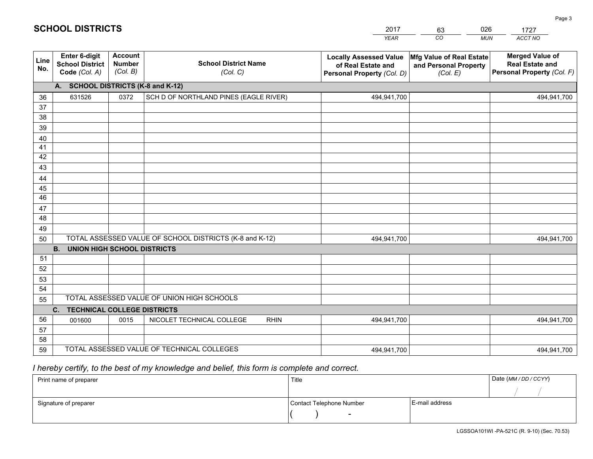|             | <b>SCHOOL DISTRICTS</b>                                         |                                      |                                         | 2017<br><b>YEAR</b>                                                               | 026<br>63<br>CO<br><b>MUN</b>                                 | 1727<br>ACCT NO                                                                       |
|-------------|-----------------------------------------------------------------|--------------------------------------|-----------------------------------------|-----------------------------------------------------------------------------------|---------------------------------------------------------------|---------------------------------------------------------------------------------------|
| Line<br>No. | <b>Enter 6-digit</b><br><b>School District</b><br>Code (Col. A) | Account<br><b>Number</b><br>(Col. B) | <b>School District Name</b><br>(Col. C) | <b>Locally Assessed Value</b><br>of Real Estate and<br>Personal Property (Col. D) | Mfg Value of Real Estate<br>and Personal Property<br>(Col. E) | <b>Merged Value of</b><br><b>Real Estate and</b><br><b>Personal Property (Col. F)</b> |
|             | А.                                                              |                                      | <b>SCHOOL DISTRICTS (K-8 and K-12)</b>  |                                                                                   |                                                               |                                                                                       |
| 36          | 631526                                                          | 0372                                 | SCH D OF NORTHLAND PINES (EAGLE RIVER)  | 494,941,700                                                                       |                                                               | 494,941,700                                                                           |
| 37          |                                                                 |                                      |                                         |                                                                                   |                                                               |                                                                                       |
| 38          |                                                                 |                                      |                                         |                                                                                   |                                                               |                                                                                       |
| 39          |                                                                 |                                      |                                         |                                                                                   |                                                               |                                                                                       |
| 40          |                                                                 |                                      |                                         |                                                                                   |                                                               |                                                                                       |

| 39 |                                                                          |      |                                                         |             |             |  |             |  |  |  |  |  |
|----|--------------------------------------------------------------------------|------|---------------------------------------------------------|-------------|-------------|--|-------------|--|--|--|--|--|
| 40 |                                                                          |      |                                                         |             |             |  |             |  |  |  |  |  |
| 41 |                                                                          |      |                                                         |             |             |  |             |  |  |  |  |  |
| 42 |                                                                          |      |                                                         |             |             |  |             |  |  |  |  |  |
| 43 |                                                                          |      |                                                         |             |             |  |             |  |  |  |  |  |
| 44 |                                                                          |      |                                                         |             |             |  |             |  |  |  |  |  |
| 45 |                                                                          |      |                                                         |             |             |  |             |  |  |  |  |  |
| 46 |                                                                          |      |                                                         |             |             |  |             |  |  |  |  |  |
| 47 |                                                                          |      |                                                         |             |             |  |             |  |  |  |  |  |
| 48 |                                                                          |      |                                                         |             |             |  |             |  |  |  |  |  |
| 49 |                                                                          |      |                                                         |             |             |  |             |  |  |  |  |  |
| 50 |                                                                          |      | TOTAL ASSESSED VALUE OF SCHOOL DISTRICTS (K-8 and K-12) |             | 494,941,700 |  | 494,941,700 |  |  |  |  |  |
|    | <b>UNION HIGH SCHOOL DISTRICTS</b><br><b>B.</b>                          |      |                                                         |             |             |  |             |  |  |  |  |  |
| 51 |                                                                          |      |                                                         |             |             |  |             |  |  |  |  |  |
| 52 |                                                                          |      |                                                         |             |             |  |             |  |  |  |  |  |
| 53 |                                                                          |      |                                                         |             |             |  |             |  |  |  |  |  |
| 54 |                                                                          |      |                                                         |             |             |  |             |  |  |  |  |  |
| 55 | TOTAL ASSESSED VALUE OF UNION HIGH SCHOOLS                               |      |                                                         |             |             |  |             |  |  |  |  |  |
|    | TECHNICAL COLLEGE DISTRICTS<br>$C_{1}$                                   |      |                                                         |             |             |  |             |  |  |  |  |  |
| 56 | 001600                                                                   | 0015 | NICOLET TECHNICAL COLLEGE                               | <b>RHIN</b> | 494,941,700 |  | 494,941,700 |  |  |  |  |  |
| 57 |                                                                          |      |                                                         |             |             |  |             |  |  |  |  |  |
| 58 |                                                                          |      |                                                         |             |             |  |             |  |  |  |  |  |
| 59 | TOTAL ASSESSED VALUE OF TECHNICAL COLLEGES<br>494,941,700<br>494,941,700 |      |                                                         |             |             |  |             |  |  |  |  |  |

# *I hereby certify, to the best of my knowledge and belief, this form is complete and correct.*

| Print name of preparer | Title                    |                | Date (MM / DD / CCYY) |
|------------------------|--------------------------|----------------|-----------------------|
|                        |                          |                |                       |
| Signature of preparer  | Contact Telephone Number | E-mail address |                       |
|                        | $\overline{\phantom{0}}$ |                |                       |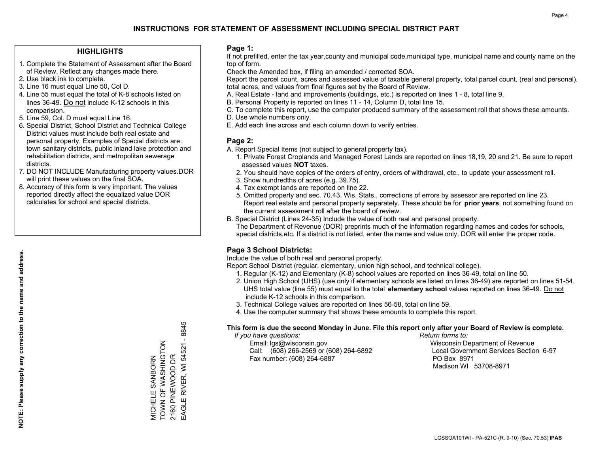## **HIGHLIGHTS**

- 1. Complete the Statement of Assessment after the Board of Review. Reflect any changes made there.
- 2. Use black ink to complete.
- 3. Line 16 must equal Line 50, Col D.
- 4. Line 55 must equal the total of K-8 schools listed on lines 36-49. Do not include K-12 schools in this comparision.
- 5. Line 59, Col. D must equal Line 16.
- 6. Special District, School District and Technical College District values must include both real estate and personal property. Examples of Special districts are: town sanitary districts, public inland lake protection and rehabilitation districts, and metropolitan sewerage districts.
- 7. DO NOT INCLUDE Manufacturing property values.DOR will print these values on the final SOA.
- 8. Accuracy of this form is very important. The values reported directly affect the equalized value DOR calculates for school and special districts.

### **Page 1:**

 If not prefilled, enter the tax year,county and municipal code,municipal type, municipal name and county name on the top of form.

Check the Amended box, if filing an amended / corrected SOA.

 Report the parcel count, acres and assessed value of taxable general property, total parcel count, (real and personal), total acres, and values from final figures set by the Board of Review.

- A. Real Estate land and improvements (buildings, etc.) is reported on lines 1 8, total line 9.
- B. Personal Property is reported on lines 11 14, Column D, total line 15.
- C. To complete this report, use the computer produced summary of the assessment roll that shows these amounts.
- D. Use whole numbers only.
- E. Add each line across and each column down to verify entries.

### **Page 2:**

- A. Report Special Items (not subject to general property tax).
- 1. Private Forest Croplands and Managed Forest Lands are reported on lines 18,19, 20 and 21. Be sure to report assessed values **NOT** taxes.
- 2. You should have copies of the orders of entry, orders of withdrawal, etc., to update your assessment roll.
	- 3. Show hundredths of acres (e.g. 39.75).
- 4. Tax exempt lands are reported on line 22.
- 5. Omitted property and sec. 70.43, Wis. Stats., corrections of errors by assessor are reported on line 23. Report real estate and personal property separately. These should be for **prior years**, not something found on the current assessment roll after the board of review.
- B. Special District (Lines 24-35) Include the value of both real and personal property.
- The Department of Revenue (DOR) preprints much of the information regarding names and codes for schools, special districts,etc. If a district is not listed, enter the name and value only, DOR will enter the proper code.

# **Page 3 School Districts:**

Include the value of both real and personal property.

Report School District (regular, elementary, union high school, and technical college).

- 1. Regular (K-12) and Elementary (K-8) school values are reported on lines 36-49, total on line 50.
- 2. Union High School (UHS) (use only if elementary schools are listed on lines 36-49) are reported on lines 51-54. UHS total value (line 55) must equal to the total **elementary school** values reported on lines 36-49. Do notinclude K-12 schools in this comparison.
- 3. Technical College values are reported on lines 56-58, total on line 59.
- 4. Use the computer summary that shows these amounts to complete this report.

#### **This form is due the second Monday in June. File this report only after your Board of Review is complete.**

 *If you have questions: Return forms to:*

 Email: lgs@wisconsin.gov Wisconsin Department of RevenueCall:  $(608)$  266-2569 or  $(608)$  264-6892 Fax number: (608) 264-6887 PO Box 8971

Local Government Services Section 6-97 Madison WI 53708-8971

EAGLE RIVER, WI 54521 - 8845 MICHELE SANBORN<br>TOWN OF WASHINGTON<br>2160 PINEWOOD DR TOWN OF WASHINGTON EAGLE RIVER, WI 54521 2160 PINEWOOD DR MICHELE SANBORN

 $-8845$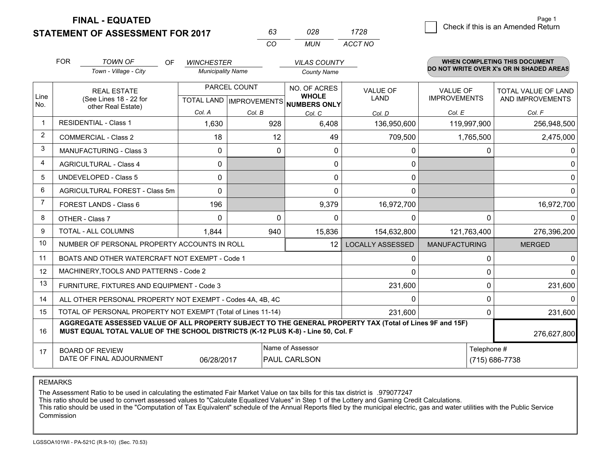**STATEMENT OF ASSESSMENT FOR 2017 FINAL - EQUATED**

 $\overline{\mathcal{B}}$  Check if this is an Amended Return Page 1

|                | <b>FOR</b>                                                         | <b>TOWN OF</b><br>OF<br>Town - Village - City                                                                                                                                                | <b>WINCHESTER</b><br><b>Municipality Name</b> |              | <b>VILAS COUNTY</b><br><b>County Name</b>                            |                                |                                        |              | <b>WHEN COMPLETING THIS DOCUMENT</b><br>DO NOT WRITE OVER X's OR IN SHADED AREAS |
|----------------|--------------------------------------------------------------------|----------------------------------------------------------------------------------------------------------------------------------------------------------------------------------------------|-----------------------------------------------|--------------|----------------------------------------------------------------------|--------------------------------|----------------------------------------|--------------|----------------------------------------------------------------------------------|
| Line<br>No.    | <b>REAL ESTATE</b><br>(See Lines 18 - 22 for<br>other Real Estate) |                                                                                                                                                                                              |                                               | PARCEL COUNT | NO. OF ACRES<br><b>WHOLE</b><br>TOTAL LAND IMPROVEMENTS NUMBERS ONLY | <b>VALUE OF</b><br><b>LAND</b> | <b>VALUE OF</b><br><b>IMPROVEMENTS</b> |              | <b>TOTAL VALUE OF LAND</b><br>AND IMPROVEMENTS                                   |
|                |                                                                    |                                                                                                                                                                                              | Col. A                                        | Col. B       | Col. C                                                               | Col. D                         | Col. E                                 |              | Col. F                                                                           |
| $\mathbf 1$    | RESIDENTIAL - Class 1                                              |                                                                                                                                                                                              | 1,630                                         | 928          | 6,408                                                                | 136,950,600                    | 119,997,900                            |              | 256,948,500                                                                      |
| $\overline{2}$ |                                                                    | <b>COMMERCIAL - Class 2</b>                                                                                                                                                                  | 18                                            | 12           | 49                                                                   | 709,500                        | 1,765,500                              |              | 2,475,000                                                                        |
| 3              |                                                                    | <b>MANUFACTURING - Class 3</b>                                                                                                                                                               | $\Omega$                                      | $\Omega$     | 0                                                                    | 0                              |                                        | $\mathbf{0}$ | 0                                                                                |
| 4              |                                                                    | <b>AGRICULTURAL - Class 4</b>                                                                                                                                                                | 0                                             |              | 0                                                                    | 0                              |                                        |              | $\mathbf{0}$                                                                     |
| 5              |                                                                    | <b>UNDEVELOPED - Class 5</b>                                                                                                                                                                 | $\Omega$                                      |              | 0                                                                    | 0                              |                                        |              | $\mathbf{0}$                                                                     |
| 6              |                                                                    | AGRICULTURAL FOREST - Class 5m                                                                                                                                                               | $\Omega$                                      |              | 0                                                                    | $\Omega$                       |                                        |              | $\Omega$                                                                         |
| 7              |                                                                    | FOREST LANDS - Class 6                                                                                                                                                                       | 196                                           |              | 9,379                                                                | 16,972,700                     |                                        |              | 16,972,700                                                                       |
| 8              | OTHER - Class 7                                                    |                                                                                                                                                                                              | $\Omega$                                      | $\mathbf 0$  | $\Omega$                                                             | 0                              |                                        | $\Omega$     | $\Omega$                                                                         |
| 9              |                                                                    | TOTAL - ALL COLUMNS                                                                                                                                                                          | 1,844                                         | 940          | 15,836                                                               | 154,632,800                    | 121,763,400                            |              | 276,396,200                                                                      |
| 10             |                                                                    | NUMBER OF PERSONAL PROPERTY ACCOUNTS IN ROLL                                                                                                                                                 |                                               |              | 12                                                                   | <b>LOCALLY ASSESSED</b>        | <b>MANUFACTURING</b>                   |              | <b>MERGED</b>                                                                    |
| 11             |                                                                    | BOATS AND OTHER WATERCRAFT NOT EXEMPT - Code 1                                                                                                                                               |                                               |              |                                                                      | 0                              |                                        | 0            | 0                                                                                |
| 12             |                                                                    | MACHINERY, TOOLS AND PATTERNS - Code 2                                                                                                                                                       |                                               |              |                                                                      | $\Omega$                       |                                        | $\Omega$     | $\Omega$                                                                         |
| 13             |                                                                    | FURNITURE, FIXTURES AND EQUIPMENT - Code 3                                                                                                                                                   |                                               |              |                                                                      | 231,600                        |                                        | $\Omega$     | 231,600                                                                          |
| 14             |                                                                    | ALL OTHER PERSONAL PROPERTY NOT EXEMPT - Codes 4A, 4B, 4C                                                                                                                                    |                                               |              |                                                                      | $\Omega$                       |                                        | $\Omega$     | $\Omega$                                                                         |
| 15             |                                                                    | TOTAL OF PERSONAL PROPERTY NOT EXEMPT (Total of Lines 11-14)                                                                                                                                 |                                               |              |                                                                      | 231,600                        | $\Omega$                               |              | 231,600                                                                          |
| 16             |                                                                    | AGGREGATE ASSESSED VALUE OF ALL PROPERTY SUBJECT TO THE GENERAL PROPERTY TAX (Total of Lines 9F and 15F)<br>MUST EQUAL TOTAL VALUE OF THE SCHOOL DISTRICTS (K-12 PLUS K-8) - Line 50, Col. F |                                               |              |                                                                      |                                |                                        |              | 276,627,800                                                                      |
| 17             | <b>BOARD OF REVIEW</b>                                             | DATE OF FINAL ADJOURNMENT                                                                                                                                                                    | 06/28/2017                                    |              | Name of Assessor<br><b>PAUL CARLSON</b>                              | Telephone #<br>(715) 686-7738  |                                        |              |                                                                                  |

*MUN*

*ACCT NO1728*

*<sup>63</sup> <sup>028</sup>*

*CO*

REMARKS

The Assessment Ratio to be used in calculating the estimated Fair Market Value on tax bills for this tax district is .979077247<br>This ratio should be used to convert assessed values to "Calculate Equalized Values" in Step 1 Commission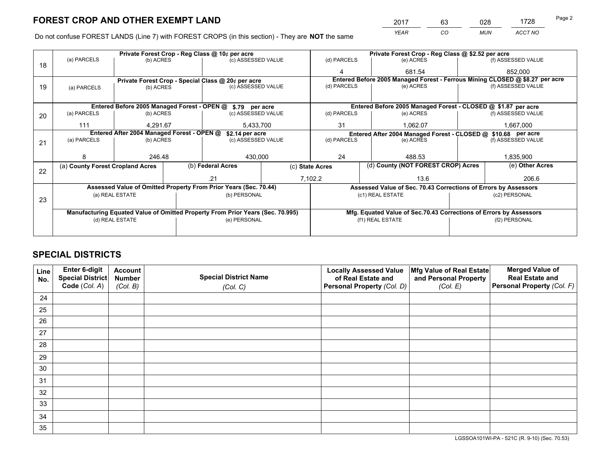*YEAR CO MUN ACCT NO* <sup>2017</sup> <sup>63</sup> <sup>028</sup> <sup>1728</sup>

Do not confuse FOREST LANDS (Line 7) with FOREST CROPS (in this section) - They are **NOT** the same

|    |                                                                                |                                                                  | Private Forest Crop - Reg Class @ 10¢ per acre |                    |                                                                              | Private Forest Crop - Reg Class @ \$2.52 per acre     |                                                               |                                                                    |       |                    |
|----|--------------------------------------------------------------------------------|------------------------------------------------------------------|------------------------------------------------|--------------------|------------------------------------------------------------------------------|-------------------------------------------------------|---------------------------------------------------------------|--------------------------------------------------------------------|-------|--------------------|
| 18 | (a) PARCELS                                                                    | (b) ACRES                                                        |                                                | (c) ASSESSED VALUE |                                                                              | (d) PARCELS                                           |                                                               | (e) ACRES                                                          |       | (f) ASSESSED VALUE |
|    |                                                                                |                                                                  |                                                |                    |                                                                              |                                                       |                                                               | 681.54                                                             |       | 852,000            |
|    |                                                                                | Private Forest Crop - Special Class @ 20¢ per acre               |                                                |                    | Entered Before 2005 Managed Forest - Ferrous Mining CLOSED @ \$8.27 per acre |                                                       |                                                               |                                                                    |       |                    |
| 19 | (a) PARCELS                                                                    | (b) ACRES                                                        |                                                | (c) ASSESSED VALUE |                                                                              | (d) PARCELS                                           |                                                               | (e) ACRES                                                          |       | (f) ASSESSED VALUE |
|    |                                                                                |                                                                  |                                                |                    |                                                                              |                                                       |                                                               |                                                                    |       |                    |
|    |                                                                                | Entered Before 2005 Managed Forest - OPEN @ \$.79 per acre       |                                                |                    |                                                                              |                                                       |                                                               | Entered Before 2005 Managed Forest - CLOSED @ \$1.87 per acre      |       |                    |
| 20 | (a) PARCELS                                                                    | (b) ACRES                                                        |                                                | (c) ASSESSED VALUE |                                                                              | (d) PARCELS                                           |                                                               | (e) ACRES                                                          |       | (f) ASSESSED VALUE |
|    | 111                                                                            | 4.291.67                                                         |                                                | 5,433,700          |                                                                              | 31                                                    |                                                               | 1,062.07                                                           |       | 1,667,000          |
|    | Entered After 2004 Managed Forest - OPEN @<br>\$2.14 per acre                  |                                                                  |                                                |                    |                                                                              |                                                       | Entered After 2004 Managed Forest - CLOSED @ \$10.68 per acre |                                                                    |       |                    |
| 21 | (a) PARCELS                                                                    | (b) ACRES                                                        |                                                | (c) ASSESSED VALUE |                                                                              | (d) PARCELS                                           |                                                               | (e) ACRES                                                          |       | (f) ASSESSED VALUE |
|    |                                                                                |                                                                  |                                                |                    |                                                                              |                                                       |                                                               |                                                                    |       |                    |
|    | 8                                                                              | 246.48                                                           |                                                | 430,000            |                                                                              | 24                                                    |                                                               | 488.53                                                             |       | 1,835,900          |
|    | (a) County Forest Cropland Acres                                               |                                                                  | (b) Federal Acres                              |                    |                                                                              | (d) County (NOT FOREST CROP) Acres<br>(c) State Acres |                                                               |                                                                    |       | (e) Other Acres    |
| 22 |                                                                                |                                                                  | .21                                            |                    |                                                                              | 7,102.2<br>13.6                                       |                                                               |                                                                    | 206.6 |                    |
|    |                                                                                |                                                                  |                                                |                    |                                                                              |                                                       |                                                               |                                                                    |       |                    |
|    |                                                                                | Assessed Value of Omitted Property From Prior Years (Sec. 70.44) |                                                |                    |                                                                              |                                                       |                                                               | Assessed Value of Sec. 70.43 Corrections of Errors by Assessors    |       |                    |
| 23 |                                                                                | (a) REAL ESTATE                                                  |                                                | (b) PERSONAL       |                                                                              |                                                       |                                                               | (c1) REAL ESTATE                                                   |       | (c2) PERSONAL      |
|    |                                                                                |                                                                  |                                                |                    |                                                                              |                                                       |                                                               |                                                                    |       |                    |
|    | Manufacturing Equated Value of Omitted Property From Prior Years (Sec. 70.995) |                                                                  |                                                |                    |                                                                              |                                                       |                                                               | Mfg. Equated Value of Sec.70.43 Corrections of Errors by Assessors |       |                    |
|    | (d) REAL ESTATE                                                                |                                                                  | (e) PERSONAL                                   |                    |                                                                              |                                                       | (f1) REAL ESTATE                                              | (f2) PERSONAL                                                      |       |                    |
|    |                                                                                |                                                                  |                                                |                    |                                                                              |                                                       |                                                               |                                                                    |       |                    |

# **SPECIAL DISTRICTS**

| Line<br>No. | Enter 6-digit<br><b>Account</b><br><b>Special District Name</b><br>Special District<br><b>Number</b><br>Code (Col. A) |          | <b>Locally Assessed Value</b><br>Mfg Value of Real Estate<br>of Real Estate and<br>and Personal Property |                            | <b>Merged Value of</b><br><b>Real Estate and</b><br>Personal Property (Col. F) |  |
|-------------|-----------------------------------------------------------------------------------------------------------------------|----------|----------------------------------------------------------------------------------------------------------|----------------------------|--------------------------------------------------------------------------------|--|
|             |                                                                                                                       | (Col. B) | (Col. C)                                                                                                 | Personal Property (Col. D) | (Col. E)                                                                       |  |
| 24          |                                                                                                                       |          |                                                                                                          |                            |                                                                                |  |
| 25          |                                                                                                                       |          |                                                                                                          |                            |                                                                                |  |
| 26          |                                                                                                                       |          |                                                                                                          |                            |                                                                                |  |
| 27          |                                                                                                                       |          |                                                                                                          |                            |                                                                                |  |
| 28          |                                                                                                                       |          |                                                                                                          |                            |                                                                                |  |
| 29          |                                                                                                                       |          |                                                                                                          |                            |                                                                                |  |
| 30          |                                                                                                                       |          |                                                                                                          |                            |                                                                                |  |
| 31          |                                                                                                                       |          |                                                                                                          |                            |                                                                                |  |
| 32          |                                                                                                                       |          |                                                                                                          |                            |                                                                                |  |
| 33          |                                                                                                                       |          |                                                                                                          |                            |                                                                                |  |
| 34          |                                                                                                                       |          |                                                                                                          |                            |                                                                                |  |
| 35          |                                                                                                                       |          |                                                                                                          |                            |                                                                                |  |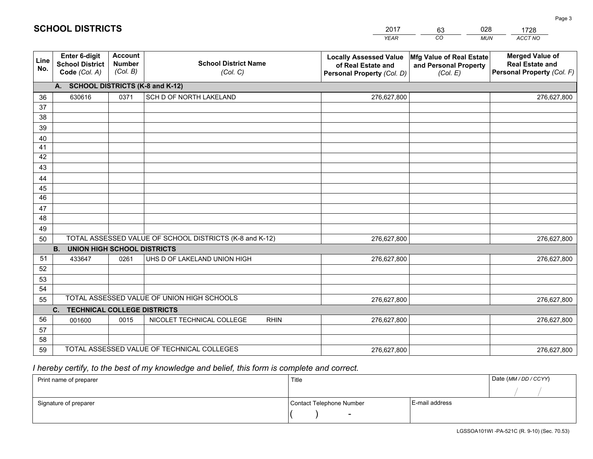|             |                                                          |                                             |                                                         | <b>YEAR</b>                                                                       | CO<br><b>MUN</b>                                              | ACCT NO                                                                        |
|-------------|----------------------------------------------------------|---------------------------------------------|---------------------------------------------------------|-----------------------------------------------------------------------------------|---------------------------------------------------------------|--------------------------------------------------------------------------------|
| Line<br>No. | Enter 6-digit<br><b>School District</b><br>Code (Col. A) | <b>Account</b><br><b>Number</b><br>(Col. B) | <b>School District Name</b><br>(Col. C)                 | <b>Locally Assessed Value</b><br>of Real Estate and<br>Personal Property (Col. D) | Mfg Value of Real Estate<br>and Personal Property<br>(Col. E) | <b>Merged Value of</b><br><b>Real Estate and</b><br>Personal Property (Col. F) |
|             | A. SCHOOL DISTRICTS (K-8 and K-12)                       |                                             |                                                         |                                                                                   |                                                               |                                                                                |
| 36          | 630616                                                   | 0371                                        | SCH D OF NORTH LAKELAND                                 | 276,627,800                                                                       |                                                               | 276,627,800                                                                    |
| 37          |                                                          |                                             |                                                         |                                                                                   |                                                               |                                                                                |
| 38          |                                                          |                                             |                                                         |                                                                                   |                                                               |                                                                                |
| 39          |                                                          |                                             |                                                         |                                                                                   |                                                               |                                                                                |
| 40          |                                                          |                                             |                                                         |                                                                                   |                                                               |                                                                                |
| 41<br>42    |                                                          |                                             |                                                         |                                                                                   |                                                               |                                                                                |
| 43          |                                                          |                                             |                                                         |                                                                                   |                                                               |                                                                                |
| 44          |                                                          |                                             |                                                         |                                                                                   |                                                               |                                                                                |
| 45          |                                                          |                                             |                                                         |                                                                                   |                                                               |                                                                                |
| 46          |                                                          |                                             |                                                         |                                                                                   |                                                               |                                                                                |
| 47          |                                                          |                                             |                                                         |                                                                                   |                                                               |                                                                                |
| 48          |                                                          |                                             |                                                         |                                                                                   |                                                               |                                                                                |
| 49          |                                                          |                                             |                                                         |                                                                                   |                                                               |                                                                                |
| 50          |                                                          |                                             | TOTAL ASSESSED VALUE OF SCHOOL DISTRICTS (K-8 and K-12) | 276,627,800                                                                       |                                                               | 276,627,800                                                                    |
|             | <b>B.</b><br><b>UNION HIGH SCHOOL DISTRICTS</b>          |                                             |                                                         |                                                                                   |                                                               |                                                                                |
| 51          | 433647                                                   | 0261                                        | UHS D OF LAKELAND UNION HIGH                            | 276,627,800                                                                       |                                                               | 276,627,800                                                                    |
| 52          |                                                          |                                             |                                                         |                                                                                   |                                                               |                                                                                |
| 53          |                                                          |                                             |                                                         |                                                                                   |                                                               |                                                                                |
| 54          |                                                          |                                             | TOTAL ASSESSED VALUE OF UNION HIGH SCHOOLS              |                                                                                   |                                                               |                                                                                |
| 55          |                                                          |                                             |                                                         | 276,627,800                                                                       |                                                               | 276,627,800                                                                    |
|             | C. TECHNICAL COLLEGE DISTRICTS                           |                                             |                                                         |                                                                                   |                                                               |                                                                                |
| 56          | 001600                                                   | 0015                                        | NICOLET TECHNICAL COLLEGE<br><b>RHIN</b>                | 276,627,800                                                                       |                                                               | 276,627,800                                                                    |
| 57<br>58    |                                                          |                                             |                                                         |                                                                                   |                                                               |                                                                                |
| 59          |                                                          |                                             | TOTAL ASSESSED VALUE OF TECHNICAL COLLEGES              | 276,627,800                                                                       |                                                               | 276,627,800                                                                    |

2017

63

028

# *I hereby certify, to the best of my knowledge and belief, this form is complete and correct.*

**SCHOOL DISTRICTS**

| Print name of preparer | Title                    | Date (MM / DD / CCYY) |  |
|------------------------|--------------------------|-----------------------|--|
|                        |                          |                       |  |
| Signature of preparer  | Contact Telephone Number | E-mail address        |  |
|                        | $\sim$                   |                       |  |

1728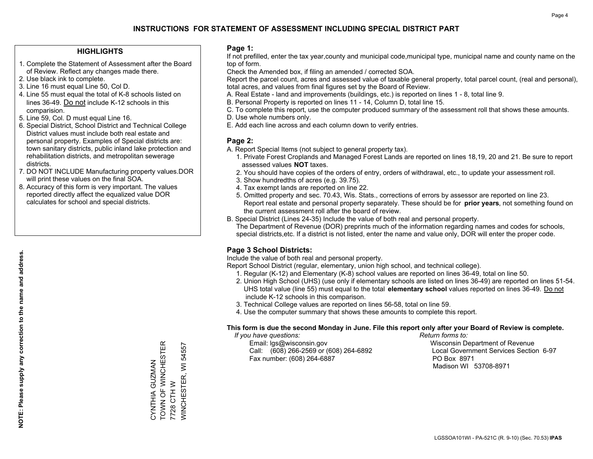## **HIGHLIGHTS**

- 1. Complete the Statement of Assessment after the Board of Review. Reflect any changes made there.
- 2. Use black ink to complete.
- 3. Line 16 must equal Line 50, Col D.
- 4. Line 55 must equal the total of K-8 schools listed on lines 36-49. Do not include K-12 schools in this comparision.
- 5. Line 59, Col. D must equal Line 16.
- 6. Special District, School District and Technical College District values must include both real estate and personal property. Examples of Special districts are: town sanitary districts, public inland lake protection and rehabilitation districts, and metropolitan sewerage districts.
- 7. DO NOT INCLUDE Manufacturing property values.DOR will print these values on the final SOA.

CYNTHIA GUZMAN TOWN OF WINCHESTER

CYNTHIA GUZMAN<br>TOWN OF WINCHESTER

7728 CTH W

7728 CTH W

WINCHESTER, WI 54557

**NINCHESTER, WI 54557** 

 8. Accuracy of this form is very important. The values reported directly affect the equalized value DOR calculates for school and special districts.

### **Page 1:**

 If not prefilled, enter the tax year,county and municipal code,municipal type, municipal name and county name on the top of form.

Check the Amended box, if filing an amended / corrected SOA.

 Report the parcel count, acres and assessed value of taxable general property, total parcel count, (real and personal), total acres, and values from final figures set by the Board of Review.

- A. Real Estate land and improvements (buildings, etc.) is reported on lines 1 8, total line 9.
- B. Personal Property is reported on lines 11 14, Column D, total line 15.
- C. To complete this report, use the computer produced summary of the assessment roll that shows these amounts.
- D. Use whole numbers only.
- E. Add each line across and each column down to verify entries.

## **Page 2:**

- A. Report Special Items (not subject to general property tax).
- 1. Private Forest Croplands and Managed Forest Lands are reported on lines 18,19, 20 and 21. Be sure to report assessed values **NOT** taxes.
- 2. You should have copies of the orders of entry, orders of withdrawal, etc., to update your assessment roll.
	- 3. Show hundredths of acres (e.g. 39.75).
- 4. Tax exempt lands are reported on line 22.
- 5. Omitted property and sec. 70.43, Wis. Stats., corrections of errors by assessor are reported on line 23. Report real estate and personal property separately. These should be for **prior years**, not something found on the current assessment roll after the board of review.
- B. Special District (Lines 24-35) Include the value of both real and personal property.
- The Department of Revenue (DOR) preprints much of the information regarding names and codes for schools, special districts,etc. If a district is not listed, enter the name and value only, DOR will enter the proper code.

# **Page 3 School Districts:**

Include the value of both real and personal property.

Report School District (regular, elementary, union high school, and technical college).

- 1. Regular (K-12) and Elementary (K-8) school values are reported on lines 36-49, total on line 50.
- 2. Union High School (UHS) (use only if elementary schools are listed on lines 36-49) are reported on lines 51-54. UHS total value (line 55) must equal to the total **elementary school** values reported on lines 36-49. Do notinclude K-12 schools in this comparison.
- 3. Technical College values are reported on lines 56-58, total on line 59.
- 4. Use the computer summary that shows these amounts to complete this report.

#### **This form is due the second Monday in June. File this report only after your Board of Review is complete.**

 *If you have questions: Return forms to:*

 Email: lgs@wisconsin.gov Wisconsin Department of RevenueCall:  $(608)$  266-2569 or  $(608)$  264-6892 Fax number: (608) 264-6887 PO Box 8971

Local Government Services Section 6-97 Madison WI 53708-8971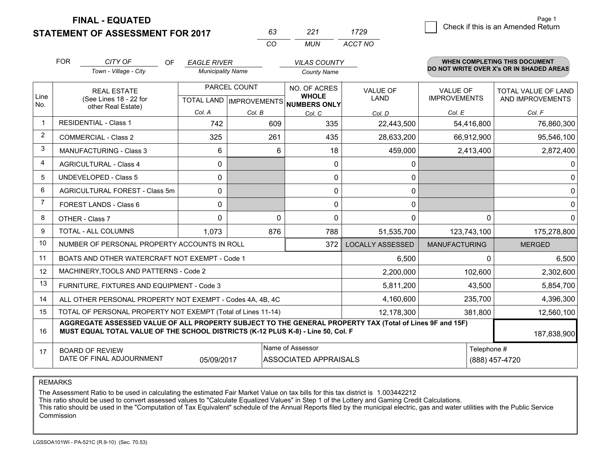**FINAL - EQUATED**

# **STATEMENT OF ASSESSMENT FOR 2017**

|          | 221 | 1729    |
|----------|-----|---------|
| $\cdots$ | MUN | ACCT NO |

|                | <b>FOR</b><br>CITY OF                                                                                                                                                                        | <b>OF</b> | <b>EAGLE RIVER</b>       |          | <b>VILAS COUNTY</b>                                      |                         |                      | WHEN COMPLETING THIS DOCUMENT<br>DO NOT WRITE OVER X's OR IN SHADED AREAS |
|----------------|----------------------------------------------------------------------------------------------------------------------------------------------------------------------------------------------|-----------|--------------------------|----------|----------------------------------------------------------|-------------------------|----------------------|---------------------------------------------------------------------------|
|                | Town - Village - City                                                                                                                                                                        |           | <b>Municipality Name</b> |          | <b>County Name</b>                                       |                         |                      |                                                                           |
|                | <b>REAL ESTATE</b>                                                                                                                                                                           |           | PARCEL COUNT             |          | NO. OF ACRES                                             | VALUE OF                | <b>VALUE OF</b>      | <b>TOTAL VALUE OF LAND</b>                                                |
| Line<br>No.    | (See Lines 18 - 22 for<br>other Real Estate)                                                                                                                                                 |           |                          |          | <b>WHOLE</b><br>TOTAL LAND   IMPROVEMENTS   NUMBERS ONLY | <b>LAND</b>             | <b>IMPROVEMENTS</b>  | AND IMPROVEMENTS                                                          |
|                |                                                                                                                                                                                              |           | Col. A                   | Col. B   | Col. C                                                   | Col. D                  | Col. E               | Col. F                                                                    |
| -1             | <b>RESIDENTIAL - Class 1</b>                                                                                                                                                                 |           | 742                      | 609      | 335                                                      | 22,443,500              | 54,416,800           | 76,860,300                                                                |
| 2              | <b>COMMERCIAL - Class 2</b>                                                                                                                                                                  |           | 325                      | 261      | 435                                                      | 28,633,200              | 66,912,900           | 95,546,100                                                                |
| 3              | MANUFACTURING - Class 3                                                                                                                                                                      |           | 6                        | 6        | 18                                                       | 459,000                 | 2,413,400            | 2,872,400                                                                 |
| 4              | <b>AGRICULTURAL - Class 4</b>                                                                                                                                                                |           | $\mathbf{0}$             |          | $\mathbf{0}$                                             | 0                       |                      | 0                                                                         |
| 5              | <b>UNDEVELOPED - Class 5</b>                                                                                                                                                                 |           | 0                        |          | 0                                                        | 0                       |                      | 0                                                                         |
| 6              | AGRICULTURAL FOREST - Class 5m                                                                                                                                                               |           | 0                        |          | 0                                                        | $\mathbf 0$             |                      | 0                                                                         |
| $\overline{7}$ | FOREST LANDS - Class 6                                                                                                                                                                       |           | 0                        |          | 0                                                        | 0                       |                      | 0                                                                         |
| 8              | OTHER - Class 7                                                                                                                                                                              |           | $\Omega$                 | $\Omega$ | $\Omega$                                                 | $\Omega$                | 0                    | $\Omega$                                                                  |
| 9              | TOTAL - ALL COLUMNS<br>1,073                                                                                                                                                                 |           |                          | 876      | 788                                                      | 51,535,700              | 123,743,100          | 175,278,800                                                               |
| 10             | NUMBER OF PERSONAL PROPERTY ACCOUNTS IN ROLL                                                                                                                                                 |           |                          |          | 372                                                      | <b>LOCALLY ASSESSED</b> | <b>MANUFACTURING</b> | <b>MERGED</b>                                                             |
| 11             | BOATS AND OTHER WATERCRAFT NOT EXEMPT - Code 1<br>6,500                                                                                                                                      |           |                          |          |                                                          |                         |                      | 6,500<br>$\Omega$                                                         |
| 12             | MACHINERY, TOOLS AND PATTERNS - Code 2                                                                                                                                                       |           |                          |          |                                                          | 2,200,000               | 102,600              | 2,302,600                                                                 |
| 13             | FURNITURE, FIXTURES AND EQUIPMENT - Code 3<br>5,811,200                                                                                                                                      |           |                          |          |                                                          |                         | 43,500               | 5,854,700                                                                 |
| 14             | 4,160,600<br>235,700<br>ALL OTHER PERSONAL PROPERTY NOT EXEMPT - Codes 4A, 4B, 4C                                                                                                            |           |                          |          |                                                          |                         |                      | 4,396,300                                                                 |
| 15             | TOTAL OF PERSONAL PROPERTY NOT EXEMPT (Total of Lines 11-14)<br>12,178,300                                                                                                                   |           |                          |          |                                                          |                         | 381,800              | 12,560,100                                                                |
| 16             | AGGREGATE ASSESSED VALUE OF ALL PROPERTY SUBJECT TO THE GENERAL PROPERTY TAX (Total of Lines 9F and 15F)<br>MUST EQUAL TOTAL VALUE OF THE SCHOOL DISTRICTS (K-12 PLUS K-8) - Line 50, Col. F |           |                          |          |                                                          |                         | 187,838,900          |                                                                           |
| 17             | <b>BOARD OF REVIEW</b>                                                                                                                                                                       |           |                          |          | Name of Assessor                                         |                         | Telephone #          |                                                                           |
|                | DATE OF FINAL ADJOURNMENT<br><b>ASSOCIATED APPRAISALS</b><br>(888) 457-4720<br>05/09/2017                                                                                                    |           |                          |          |                                                          |                         |                      |                                                                           |

REMARKS

The Assessment Ratio to be used in calculating the estimated Fair Market Value on tax bills for this tax district is 1.003442212<br>This ratio should be used to convert assessed values to "Calculate Equalized Values" in Step Commission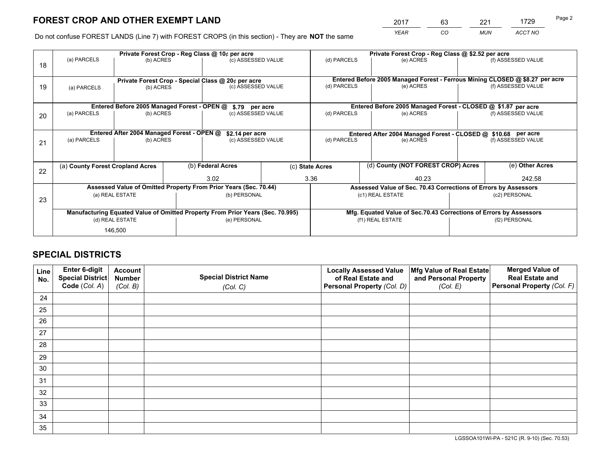*YEAR CO MUN ACCT NO* <sup>2017</sup> <sup>63</sup> <sup>221</sup> <sup>1729</sup> Page 2

Do not confuse FOREST LANDS (Line 7) with FOREST CROPS (in this section) - They are **NOT** the same

|                                                                                | Private Forest Crop - Reg Class @ 10¢ per acre                   |                                             |  |                    |                                                                              |                                                                 | Private Forest Crop - Reg Class @ \$2.52 per acre             |                    |                    |               |  |
|--------------------------------------------------------------------------------|------------------------------------------------------------------|---------------------------------------------|--|--------------------|------------------------------------------------------------------------------|-----------------------------------------------------------------|---------------------------------------------------------------|--------------------|--------------------|---------------|--|
| 18                                                                             | (a) PARCELS                                                      | (b) ACRES                                   |  | (c) ASSESSED VALUE |                                                                              | (d) PARCELS                                                     | (e) ACRES                                                     |                    | (f) ASSESSED VALUE |               |  |
|                                                                                |                                                                  |                                             |  |                    |                                                                              |                                                                 |                                                               |                    |                    |               |  |
|                                                                                | Private Forest Crop - Special Class @ 20¢ per acre               |                                             |  |                    | Entered Before 2005 Managed Forest - Ferrous Mining CLOSED @ \$8.27 per acre |                                                                 |                                                               |                    |                    |               |  |
| 19                                                                             | (a) PARCELS                                                      | (b) ACRES                                   |  | (c) ASSESSED VALUE |                                                                              | (d) PARCELS                                                     | (e) ACRES                                                     |                    | (f) ASSESSED VALUE |               |  |
|                                                                                |                                                                  |                                             |  |                    |                                                                              |                                                                 |                                                               |                    |                    |               |  |
|                                                                                |                                                                  | Entered Before 2005 Managed Forest - OPEN @ |  | \$.79 per acre     |                                                                              |                                                                 | Entered Before 2005 Managed Forest - CLOSED @ \$1.87 per acre |                    |                    |               |  |
| 20                                                                             | (a) PARCELS                                                      | (b) ACRES                                   |  | (c) ASSESSED VALUE |                                                                              | (d) PARCELS                                                     | (e) ACRES                                                     |                    | (f) ASSESSED VALUE |               |  |
|                                                                                |                                                                  |                                             |  |                    |                                                                              |                                                                 |                                                               |                    |                    |               |  |
|                                                                                | Entered After 2004 Managed Forest - OPEN @<br>\$2.14 per acre    |                                             |  |                    |                                                                              | Entered After 2004 Managed Forest - CLOSED @ \$10.68 per acre   |                                                               |                    |                    |               |  |
| 21                                                                             | (a) PARCELS                                                      | (b) ACRES                                   |  | (c) ASSESSED VALUE |                                                                              | (d) PARCELS<br>(e) ACRES                                        |                                                               | (f) ASSESSED VALUE |                    |               |  |
|                                                                                |                                                                  |                                             |  |                    |                                                                              |                                                                 |                                                               |                    |                    |               |  |
|                                                                                |                                                                  |                                             |  |                    |                                                                              |                                                                 |                                                               |                    |                    |               |  |
| 22                                                                             | (a) County Forest Cropland Acres                                 |                                             |  | (b) Federal Acres  |                                                                              | (c) State Acres                                                 | (d) County (NOT FOREST CROP) Acres                            |                    | (e) Other Acres    |               |  |
|                                                                                |                                                                  |                                             |  | 3.02               |                                                                              | 3.36                                                            | 40.23                                                         |                    | 242.58             |               |  |
|                                                                                | Assessed Value of Omitted Property From Prior Years (Sec. 70.44) |                                             |  |                    |                                                                              | Assessed Value of Sec. 70.43 Corrections of Errors by Assessors |                                                               |                    |                    |               |  |
| 23                                                                             |                                                                  | (a) REAL ESTATE                             |  | (b) PERSONAL       |                                                                              | (c1) REAL ESTATE                                                |                                                               |                    |                    | (c2) PERSONAL |  |
|                                                                                |                                                                  |                                             |  |                    |                                                                              |                                                                 |                                                               |                    |                    |               |  |
| Manufacturing Equated Value of Omitted Property From Prior Years (Sec. 70.995) |                                                                  |                                             |  |                    | Mfg. Equated Value of Sec.70.43 Corrections of Errors by Assessors           |                                                                 |                                                               |                    |                    |               |  |
|                                                                                |                                                                  | (d) REAL ESTATE                             |  | (e) PERSONAL       |                                                                              |                                                                 | (f1) REAL ESTATE                                              |                    | (f2) PERSONAL      |               |  |
|                                                                                |                                                                  | 146,500                                     |  |                    |                                                                              |                                                                 |                                                               |                    |                    |               |  |

# **SPECIAL DISTRICTS**

| Line<br>No. | Enter 6-digit<br>Special District<br>Code (Col. A) | <b>Account</b><br><b>Number</b> | <b>Special District Name</b> | <b>Locally Assessed Value</b><br>of Real Estate and | Mfg Value of Real Estate<br>and Personal Property | <b>Merged Value of</b><br><b>Real Estate and</b><br>Personal Property (Col. F) |
|-------------|----------------------------------------------------|---------------------------------|------------------------------|-----------------------------------------------------|---------------------------------------------------|--------------------------------------------------------------------------------|
|             |                                                    | (Col. B)                        | (Col. C)                     | Personal Property (Col. D)                          | (Col. E)                                          |                                                                                |
| 24          |                                                    |                                 |                              |                                                     |                                                   |                                                                                |
| 25          |                                                    |                                 |                              |                                                     |                                                   |                                                                                |
| 26          |                                                    |                                 |                              |                                                     |                                                   |                                                                                |
| 27          |                                                    |                                 |                              |                                                     |                                                   |                                                                                |
| 28          |                                                    |                                 |                              |                                                     |                                                   |                                                                                |
| 29          |                                                    |                                 |                              |                                                     |                                                   |                                                                                |
| 30          |                                                    |                                 |                              |                                                     |                                                   |                                                                                |
| 31          |                                                    |                                 |                              |                                                     |                                                   |                                                                                |
| 32          |                                                    |                                 |                              |                                                     |                                                   |                                                                                |
| 33          |                                                    |                                 |                              |                                                     |                                                   |                                                                                |
| 34          |                                                    |                                 |                              |                                                     |                                                   |                                                                                |
| 35          |                                                    |                                 |                              |                                                     |                                                   |                                                                                |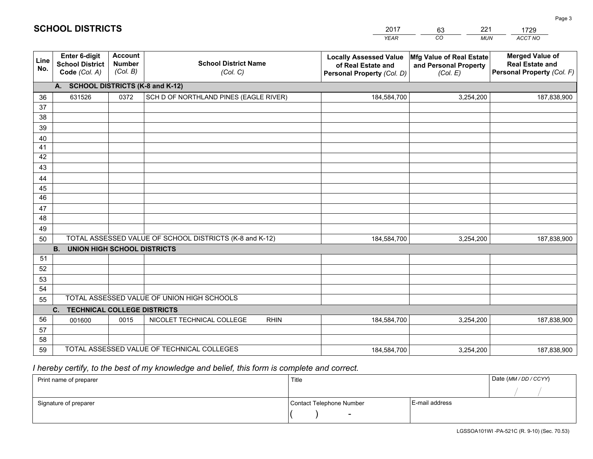| 2017        |
|-------------|
| <b>YEAR</b> |

*CO*  $\frac{63}{22}$ *MUN*  221*ACCT NO*  1729

| Line<br>No. | Enter 6-digit<br><b>School District</b><br>Code (Col. A) | <b>Account</b><br><b>Number</b><br>(Col. B) | <b>School District Name</b><br>(Col. C)                 | <b>Locally Assessed Value</b><br>of Real Estate and<br>Personal Property (Col. D) | Mfg Value of Real Estate<br>and Personal Property<br>(Col. E) | <b>Merged Value of</b><br><b>Real Estate and</b><br>Personal Property (Col. F) |  |  |  |
|-------------|----------------------------------------------------------|---------------------------------------------|---------------------------------------------------------|-----------------------------------------------------------------------------------|---------------------------------------------------------------|--------------------------------------------------------------------------------|--|--|--|
|             | A. SCHOOL DISTRICTS (K-8 and K-12)                       |                                             |                                                         |                                                                                   |                                                               |                                                                                |  |  |  |
| 36          | 631526                                                   | 0372                                        | SCH D OF NORTHLAND PINES (EAGLE RIVER)                  | 184,584,700                                                                       | 3,254,200                                                     | 187,838,900                                                                    |  |  |  |
| 37          |                                                          |                                             |                                                         |                                                                                   |                                                               |                                                                                |  |  |  |
| 38          |                                                          |                                             |                                                         |                                                                                   |                                                               |                                                                                |  |  |  |
| 39          |                                                          |                                             |                                                         |                                                                                   |                                                               |                                                                                |  |  |  |
| 40          |                                                          |                                             |                                                         |                                                                                   |                                                               |                                                                                |  |  |  |
| 41          |                                                          |                                             |                                                         |                                                                                   |                                                               |                                                                                |  |  |  |
| 42          |                                                          |                                             |                                                         |                                                                                   |                                                               |                                                                                |  |  |  |
| 43          |                                                          |                                             |                                                         |                                                                                   |                                                               |                                                                                |  |  |  |
| 44          |                                                          |                                             |                                                         |                                                                                   |                                                               |                                                                                |  |  |  |
| 45          |                                                          |                                             |                                                         |                                                                                   |                                                               |                                                                                |  |  |  |
| 46          |                                                          |                                             |                                                         |                                                                                   |                                                               |                                                                                |  |  |  |
| 47          |                                                          |                                             |                                                         |                                                                                   |                                                               |                                                                                |  |  |  |
| 48          |                                                          |                                             |                                                         |                                                                                   |                                                               |                                                                                |  |  |  |
| 49          |                                                          |                                             |                                                         |                                                                                   |                                                               |                                                                                |  |  |  |
| 50          |                                                          |                                             | TOTAL ASSESSED VALUE OF SCHOOL DISTRICTS (K-8 and K-12) | 184,584,700                                                                       | 3,254,200                                                     | 187,838,900                                                                    |  |  |  |
|             | <b>B.</b><br><b>UNION HIGH SCHOOL DISTRICTS</b>          |                                             |                                                         |                                                                                   |                                                               |                                                                                |  |  |  |
| 51          |                                                          |                                             |                                                         |                                                                                   |                                                               |                                                                                |  |  |  |
| 52          |                                                          |                                             |                                                         |                                                                                   |                                                               |                                                                                |  |  |  |
| 53          |                                                          |                                             |                                                         |                                                                                   |                                                               |                                                                                |  |  |  |
| 54          |                                                          |                                             | TOTAL ASSESSED VALUE OF UNION HIGH SCHOOLS              |                                                                                   |                                                               |                                                                                |  |  |  |
| 55          |                                                          |                                             |                                                         |                                                                                   |                                                               |                                                                                |  |  |  |
|             | C.<br><b>TECHNICAL COLLEGE DISTRICTS</b>                 |                                             |                                                         |                                                                                   |                                                               |                                                                                |  |  |  |
| 56          | 001600                                                   | 0015                                        | NICOLET TECHNICAL COLLEGE<br><b>RHIN</b>                | 184,584,700                                                                       | 3,254,200                                                     | 187,838,900                                                                    |  |  |  |
| 57<br>58    |                                                          |                                             |                                                         |                                                                                   |                                                               |                                                                                |  |  |  |
| 59          |                                                          |                                             | TOTAL ASSESSED VALUE OF TECHNICAL COLLEGES              |                                                                                   |                                                               |                                                                                |  |  |  |
|             |                                                          |                                             |                                                         | 184,584,700                                                                       | 3,254,200                                                     | 187,838,900                                                                    |  |  |  |

 *I hereby certify, to the best of my knowledge and belief, this form is complete and correct.*

**SCHOOL DISTRICTS**

| Print name of preparer | Title                    |                | Date (MM/DD/CCYY) |
|------------------------|--------------------------|----------------|-------------------|
|                        |                          |                |                   |
| Signature of preparer  | Contact Telephone Number | E-mail address |                   |
|                        | $\overline{\phantom{0}}$ |                |                   |